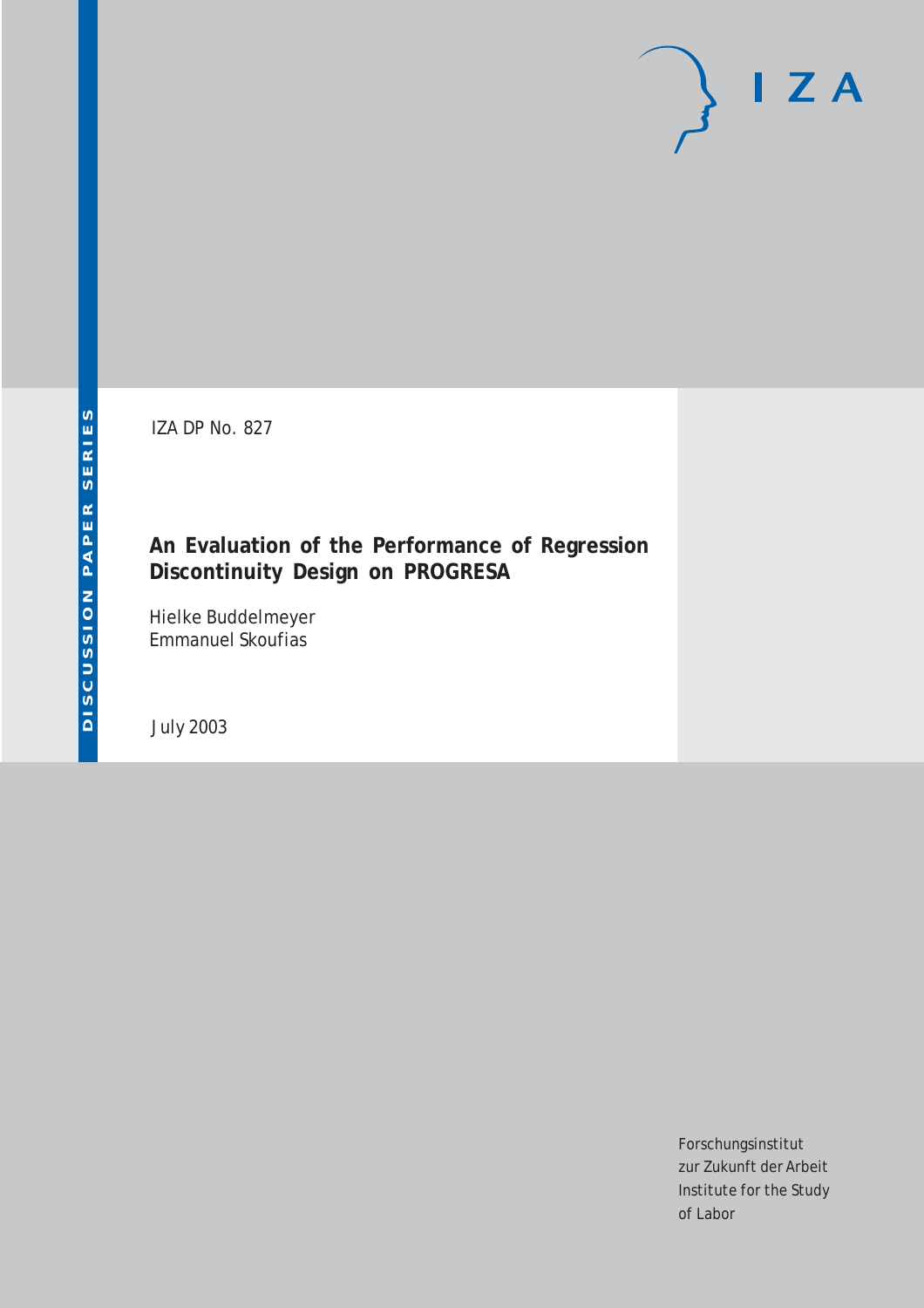IZA DP No. 827

## **An Evaluation of the Performance of Regression Discontinuity Design on PROGRESA**

Hielke Buddelmeyer Emmanuel Skoufias

July 2003

Forschungsinstitut zur Zukunft der Arbeit Institute for the Study of Labor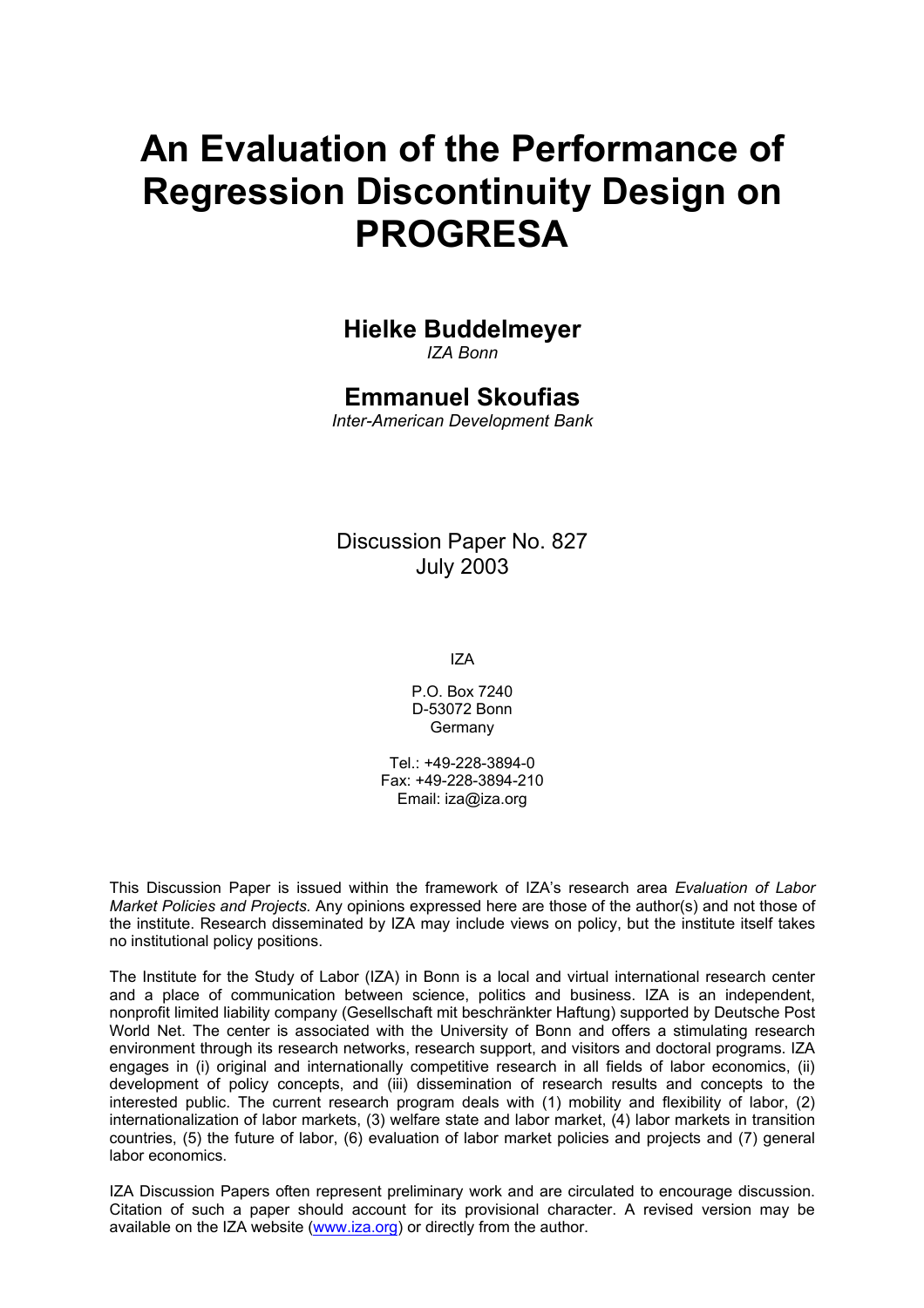# **An Evaluation of the Performance of Regression Discontinuity Design on PROGRESA**

### **Hielke Buddelmeyer**

*IZA Bonn* 

### **Emmanuel Skoufias**

*Inter-American Development Bank* 

Discussion Paper No. 827 July 2003

IZA

P.O. Box 7240 D-53072 Bonn Germany

Tel.: +49-228-3894-0 Fax: +49-228-3894-210 Email: [iza@iza.org](mailto:iza@iza.org)

This Discussion Paper is issued within the framework of IZA's research area *Evaluation of Labor Market Policies and Projects.* Any opinions expressed here are those of the author(s) and not those of the institute. Research disseminated by IZA may include views on policy, but the institute itself takes no institutional policy positions.

The Institute for the Study of Labor (IZA) in Bonn is a local and virtual international research center and a place of communication between science, politics and business. IZA is an independent, nonprofit limited liability company (Gesellschaft mit beschränkter Haftung) supported by Deutsche Post World Net. The center is associated with the University of Bonn and offers a stimulating research environment through its research networks, research support, and visitors and doctoral programs. IZA engages in (i) original and internationally competitive research in all fields of labor economics, (ii) development of policy concepts, and (iii) dissemination of research results and concepts to the interested public. The current research program deals with (1) mobility and flexibility of labor, (2) internationalization of labor markets, (3) welfare state and labor market, (4) labor markets in transition countries, (5) the future of labor, (6) evaluation of labor market policies and projects and (7) general labor economics.

IZA Discussion Papers often represent preliminary work and are circulated to encourage discussion. Citation of such a paper should account for its provisional character. A revised version may be available on the IZA website ([www.iza.org](http://www.iza.org/)) or directly from the author.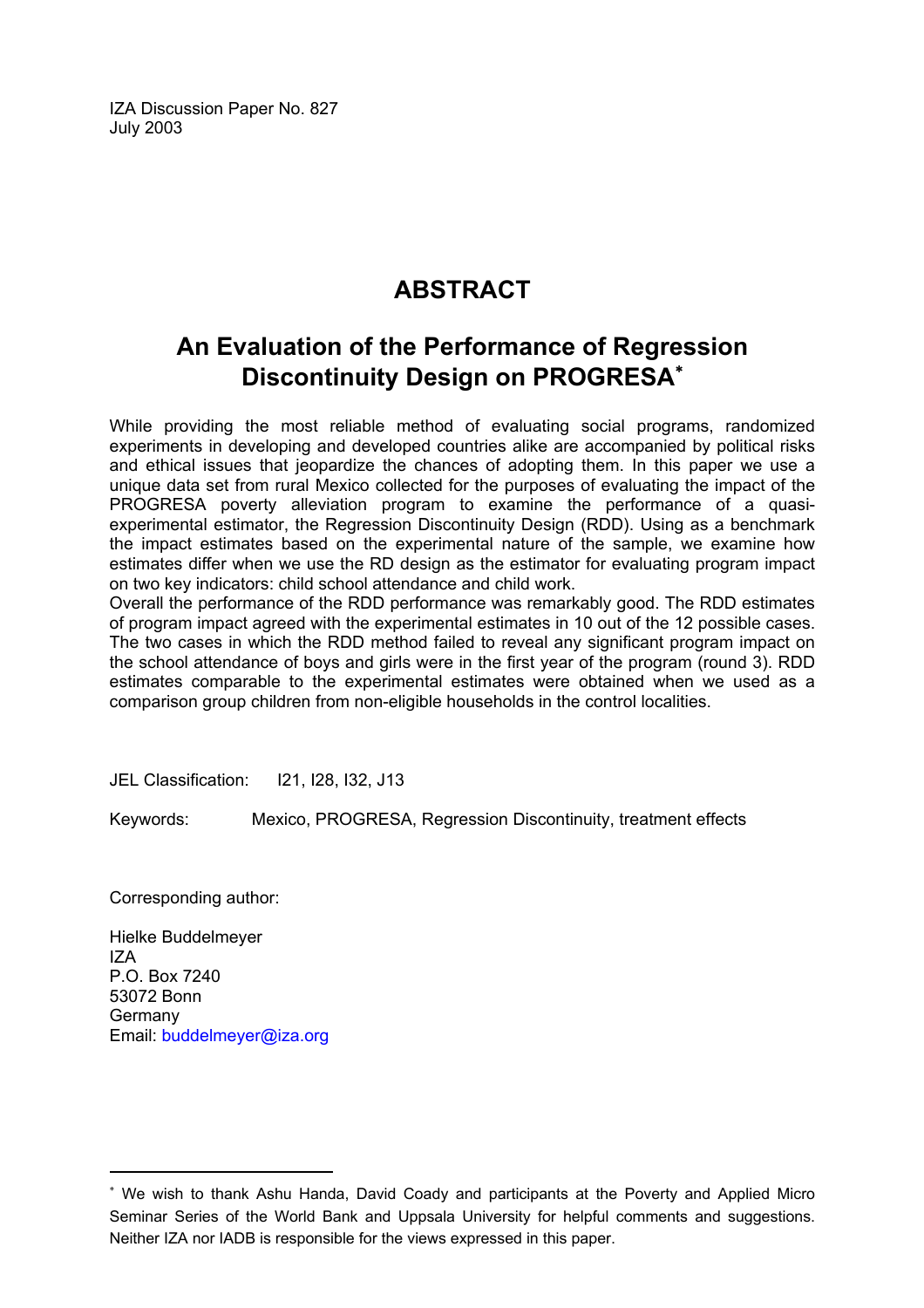IZA Discussion Paper No. 827 July 2003

# **ABSTRACT**

## **An Evaluation of the Performance of Regression Discontinuity Design on PROGRESA**[∗](#page-2-0)

While providing the most reliable method of evaluating social programs, randomized experiments in developing and developed countries alike are accompanied by political risks and ethical issues that jeopardize the chances of adopting them. In this paper we use a unique data set from rural Mexico collected for the purposes of evaluating the impact of the PROGRESA poverty alleviation program to examine the performance of a quasiexperimental estimator, the Regression Discontinuity Design (RDD). Using as a benchmark the impact estimates based on the experimental nature of the sample, we examine how estimates differ when we use the RD design as the estimator for evaluating program impact on two key indicators: child school attendance and child work.

Overall the performance of the RDD performance was remarkably good. The RDD estimates of program impact agreed with the experimental estimates in 10 out of the 12 possible cases. The two cases in which the RDD method failed to reveal any significant program impact on the school attendance of boys and girls were in the first year of the program (round 3). RDD estimates comparable to the experimental estimates were obtained when we used as a comparison group children from non-eligible households in the control localities.

JEL Classification: I21, I28, I32, J13

Keywords: Mexico, PROGRESA, Regression Discontinuity, treatment effects

Corresponding author:

 $\overline{a}$ 

Hielke Buddelmeyer IZA P.O. Box 7240 53072 Bonn Germany Email: [buddelmeyer@iza.org](mailto:buddelmeyer@iza.org)

<span id="page-2-0"></span><sup>∗</sup> We wish to thank Ashu Handa, David Coady and participants at the Poverty and Applied Micro Seminar Series of the World Bank and Uppsala University for helpful comments and suggestions. Neither IZA nor IADB is responsible for the views expressed in this paper.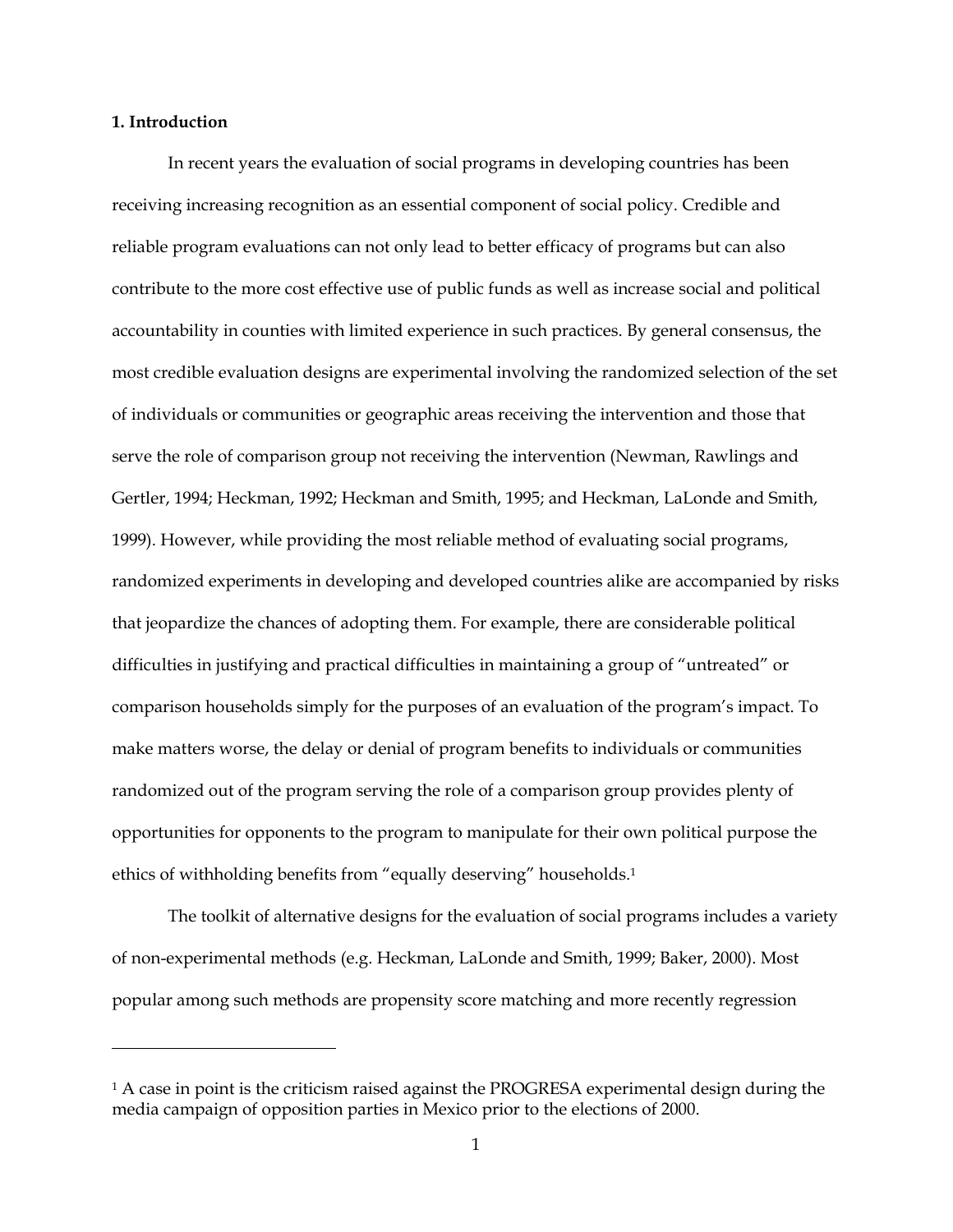#### **1. Introduction**

<u>.</u>

In recent years the evaluation of social programs in developing countries has been receiving increasing recognition as an essential component of social policy. Credible and reliable program evaluations can not only lead to better efficacy of programs but can also contribute to the more cost effective use of public funds as well as increase social and political accountability in counties with limited experience in such practices. By general consensus, the most credible evaluation designs are experimental involving the randomized selection of the set of individuals or communities or geographic areas receiving the intervention and those that serve the role of comparison group not receiving the intervention (Newman, Rawlings and Gertler, 1994; Heckman, 1992; Heckman and Smith, 1995; and Heckman, LaLonde and Smith, 1999). However, while providing the most reliable method of evaluating social programs, randomized experiments in developing and developed countries alike are accompanied by risks that jeopardize the chances of adopting them. For example, there are considerable political difficulties in justifying and practical difficulties in maintaining a group of "untreated" or comparison households simply for the purposes of an evaluation of the program's impact. To make matters worse, the delay or denial of program benefits to individuals or communities randomized out of the program serving the role of a comparison group provides plenty of opportunities for opponents to the program to manipulate for their own political purpose the ethics of withholding benefits from "equally deserving" households[.1](#page-3-0) 

The toolkit of alternative designs for the evaluation of social programs includes a variety of non-experimental methods (e.g. Heckman, LaLonde and Smith, 1999; Baker, 2000). Most popular among such methods are propensity score matching and more recently regression

<span id="page-3-0"></span><sup>&</sup>lt;sup>1</sup> A case in point is the criticism raised against the PROGRESA experimental design during the media campaign of opposition parties in Mexico prior to the elections of 2000.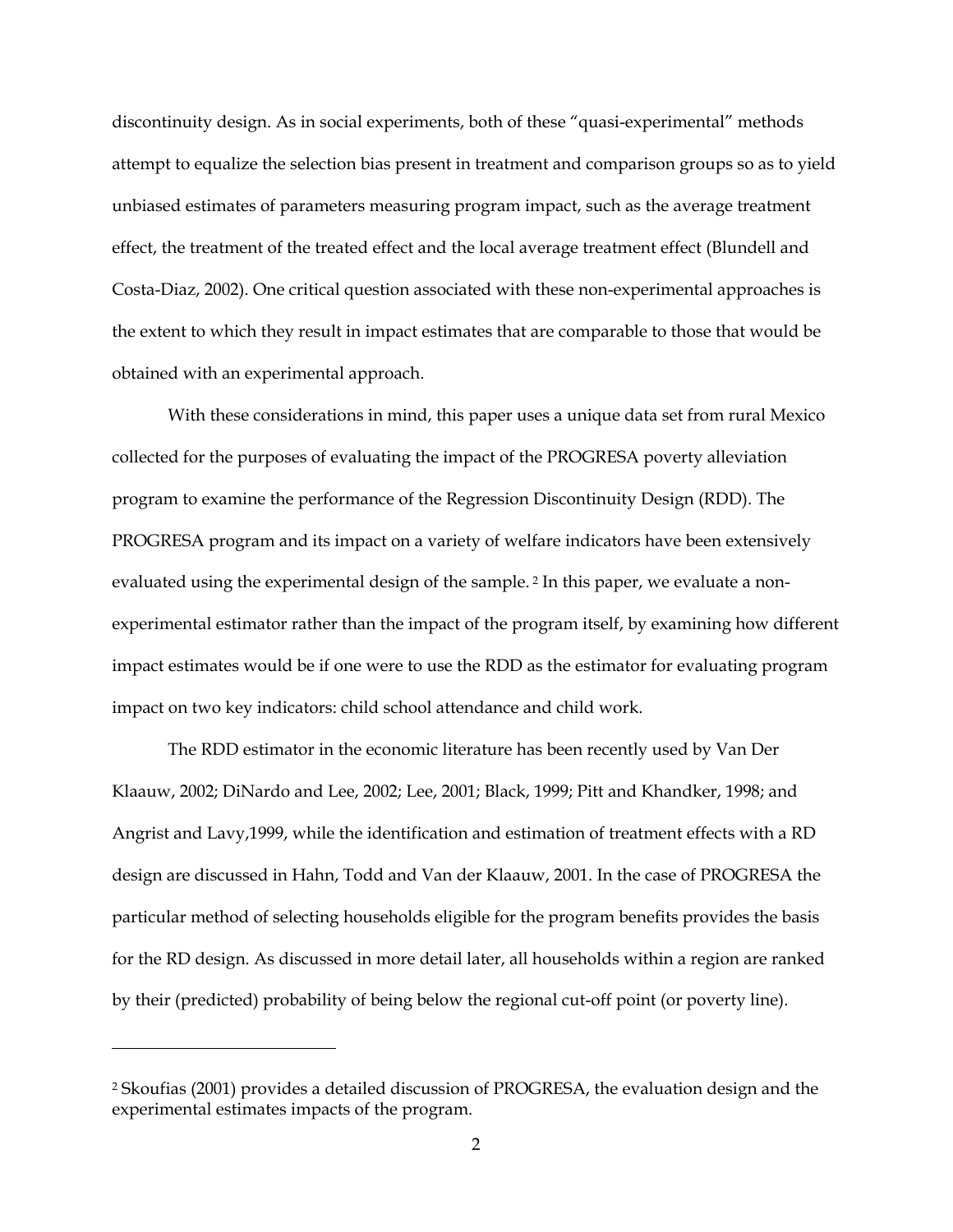discontinuity design. As in social experiments, both of these "quasi-experimental" methods attempt to equalize the selection bias present in treatment and comparison groups so as to yield unbiased estimates of parameters measuring program impact, such as the average treatment effect, the treatment of the treated effect and the local average treatment effect (Blundell and Costa-Diaz, 2002). One critical question associated with these non-experimental approaches is the extent to which they result in impact estimates that are comparable to those that would be obtained with an experimental approach.

With these considerations in mind, this paper uses a unique data set from rural Mexico collected for the purposes of evaluating the impact of the PROGRESA poverty alleviation program to examine the performance of the Regression Discontinuity Design (RDD). The PROGRESA program and its impact on a variety of welfare indicators have been extensively evaluated using the experimental design of the sample. [2](#page-4-0) In this paper, we evaluate a nonexperimental estimator rather than the impact of the program itself, by examining how different impact estimates would be if one were to use the RDD as the estimator for evaluating program impact on two key indicators: child school attendance and child work.

The RDD estimator in the economic literature has been recently used by Van Der Klaauw, 2002; DiNardo and Lee, 2002; Lee, 2001; Black, 1999; Pitt and Khandker, 1998; and Angrist and Lavy,1999, while the identification and estimation of treatment effects with a RD design are discussed in Hahn, Todd and Van der Klaauw, 2001. In the case of PROGRESA the particular method of selecting households eligible for the program benefits provides the basis for the RD design. As discussed in more detail later, all households within a region are ranked by their (predicted) probability of being below the regional cut-off point (or poverty line).

<u>.</u>

<span id="page-4-0"></span><sup>2</sup> Skoufias (2001) provides a detailed discussion of PROGRESA, the evaluation design and the experimental estimates impacts of the program.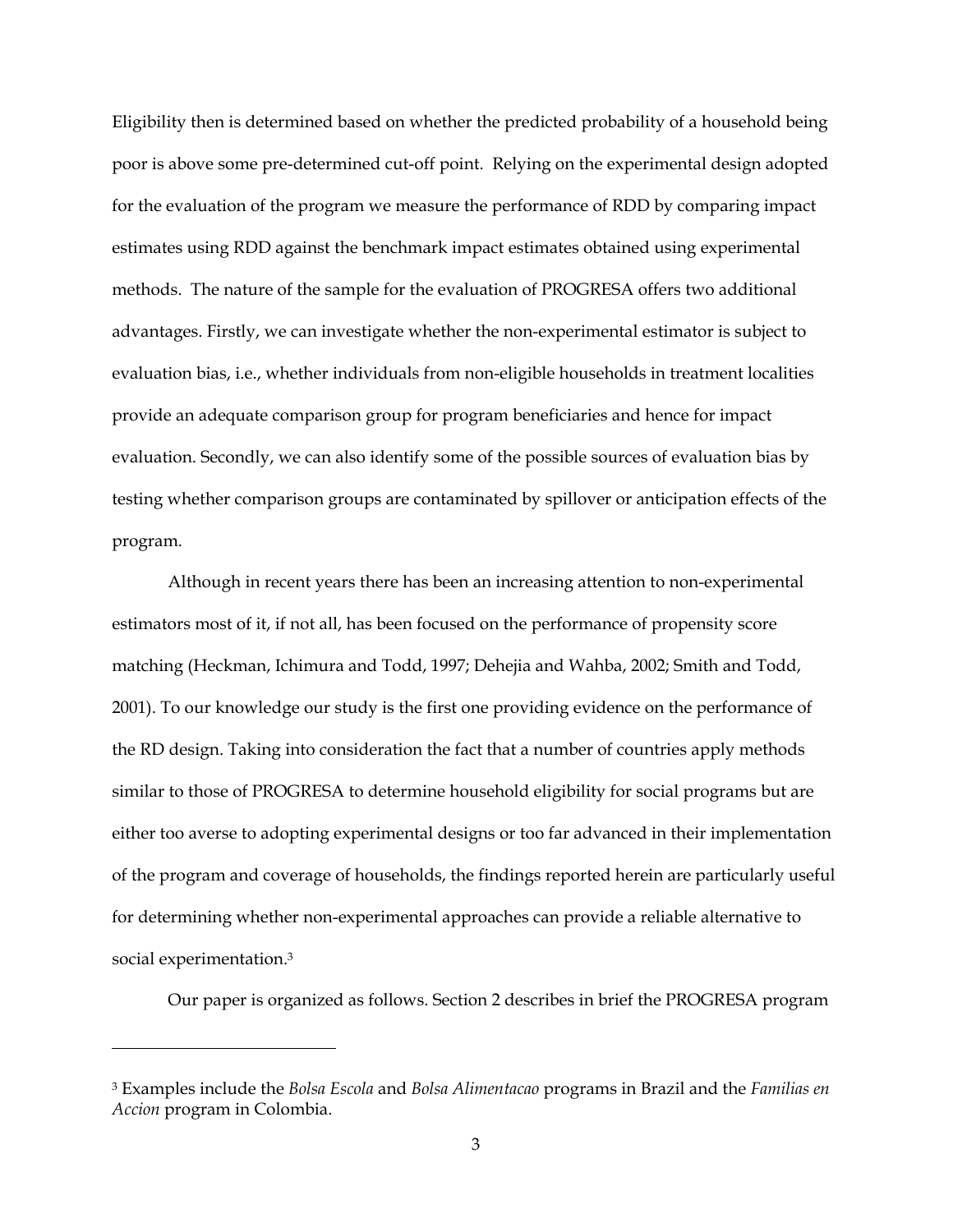Eligibility then is determined based on whether the predicted probability of a household being poor is above some pre-determined cut-off point. Relying on the experimental design adopted for the evaluation of the program we measure the performance of RDD by comparing impact estimates using RDD against the benchmark impact estimates obtained using experimental methods. The nature of the sample for the evaluation of PROGRESA offers two additional advantages. Firstly, we can investigate whether the non-experimental estimator is subject to evaluation bias, i.e., whether individuals from non-eligible households in treatment localities provide an adequate comparison group for program beneficiaries and hence for impact evaluation. Secondly, we can also identify some of the possible sources of evaluation bias by testing whether comparison groups are contaminated by spillover or anticipation effects of the program.

Although in recent years there has been an increasing attention to non-experimental estimators most of it, if not all, has been focused on the performance of propensity score matching (Heckman, Ichimura and Todd, 1997; Dehejia and Wahba, 2002; Smith and Todd, 2001). To our knowledge our study is the first one providing evidence on the performance of the RD design. Taking into consideration the fact that a number of countries apply methods similar to those of PROGRESA to determine household eligibility for social programs but are either too averse to adopting experimental designs or too far advanced in their implementation of the program and coverage of households, the findings reported herein are particularly useful for determining whether non-experimental approaches can provide a reliable alternative to social experimentation.[3](#page-5-0)

Our paper is organized as follows. Section 2 describes in brief the PROGRESA program

<u>.</u>

<span id="page-5-0"></span><sup>3</sup> Examples include the *Bolsa Escola* and *Bolsa Alimentacao* programs in Brazil and the *Familias en Accion* program in Colombia.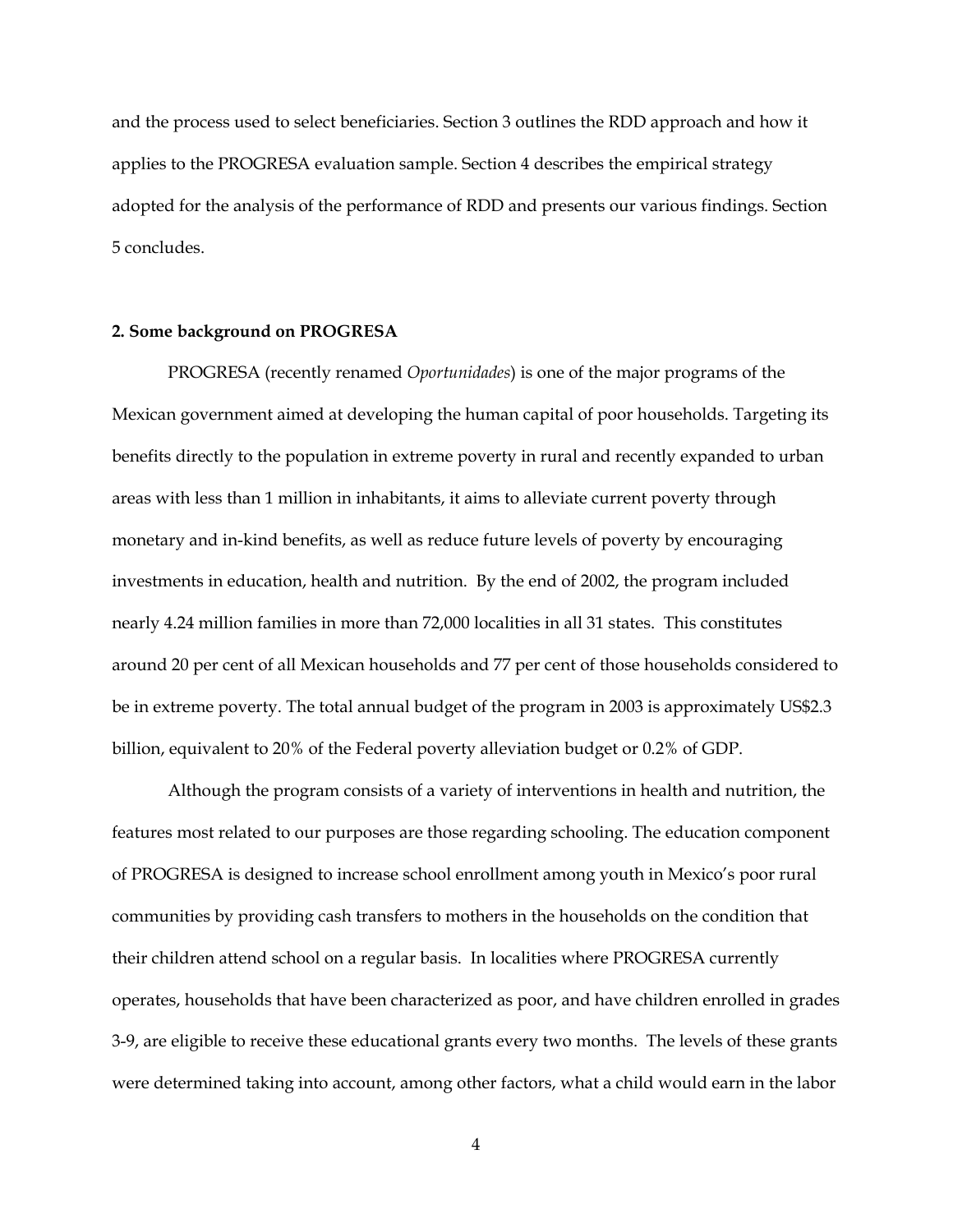and the process used to select beneficiaries. Section 3 outlines the RDD approach and how it applies to the PROGRESA evaluation sample. Section 4 describes the empirical strategy adopted for the analysis of the performance of RDD and presents our various findings. Section 5 concludes.

#### **2. Some background on PROGRESA**

PROGRESA (recently renamed *Oportunidades*) is one of the major programs of the Mexican government aimed at developing the human capital of poor households. Targeting its benefits directly to the population in extreme poverty in rural and recently expanded to urban areas with less than 1 million in inhabitants, it aims to alleviate current poverty through monetary and in-kind benefits, as well as reduce future levels of poverty by encouraging investments in education, health and nutrition. By the end of 2002, the program included nearly 4.24 million families in more than 72,000 localities in all 31 states. This constitutes around 20 per cent of all Mexican households and 77 per cent of those households considered to be in extreme poverty. The total annual budget of the program in 2003 is approximately US\$2.3 billion, equivalent to 20% of the Federal poverty alleviation budget or 0.2% of GDP.

Although the program consists of a variety of interventions in health and nutrition, the features most related to our purposes are those regarding schooling. The education component of PROGRESA is designed to increase school enrollment among youth in Mexico's poor rural communities by providing cash transfers to mothers in the households on the condition that their children attend school on a regular basis. In localities where PROGRESA currently operates, households that have been characterized as poor, and have children enrolled in grades 3-9, are eligible to receive these educational grants every two months. The levels of these grants were determined taking into account, among other factors, what a child would earn in the labor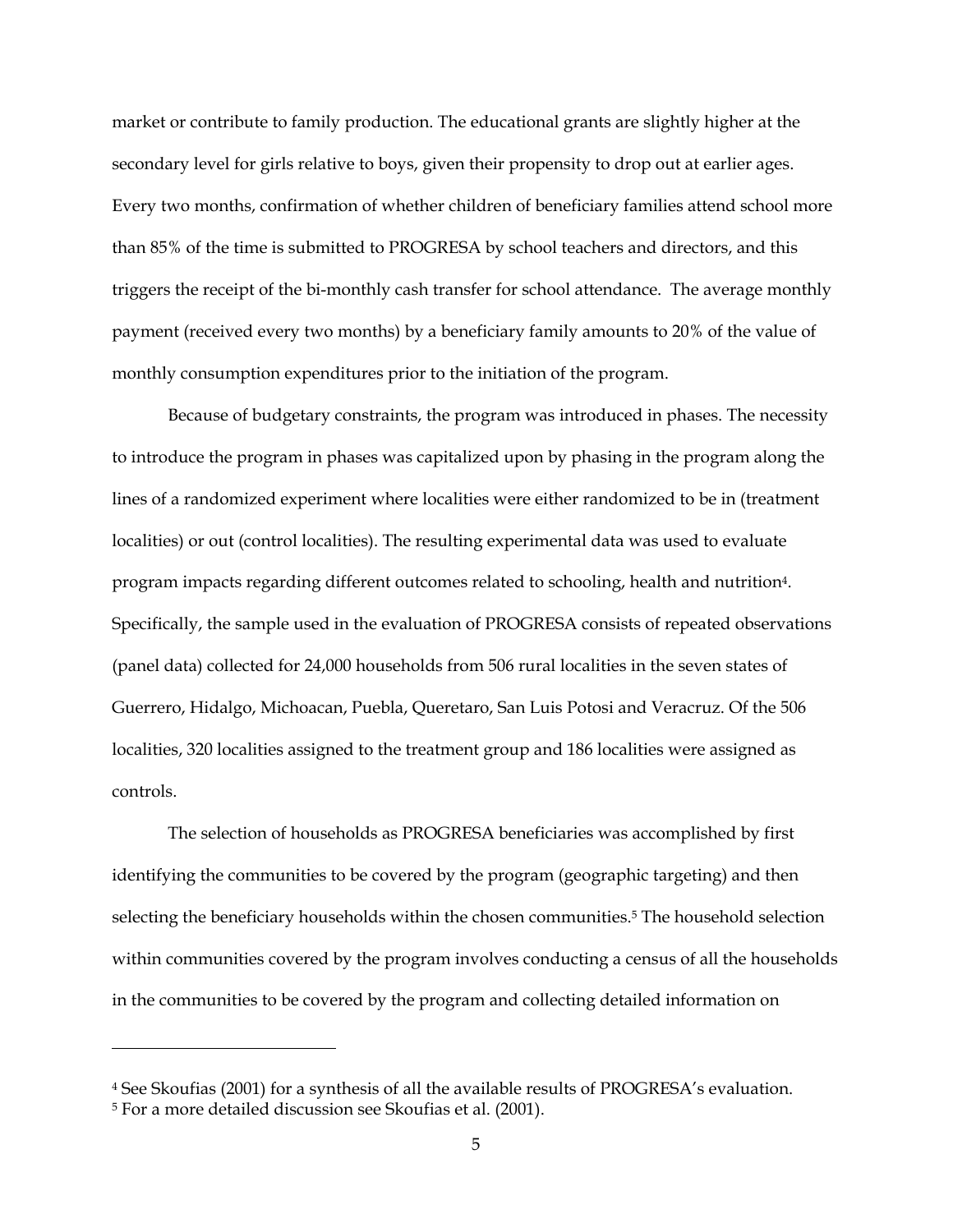market or contribute to family production. The educational grants are slightly higher at the secondary level for girls relative to boys, given their propensity to drop out at earlier ages. Every two months, confirmation of whether children of beneficiary families attend school more than 85% of the time is submitted to PROGRESA by school teachers and directors, and this triggers the receipt of the bi-monthly cash transfer for school attendance. The average monthly payment (received every two months) by a beneficiary family amounts to 20% of the value of monthly consumption expenditures prior to the initiation of the program.

Because of budgetary constraints, the program was introduced in phases. The necessity to introduce the program in phases was capitalized upon by phasing in the program along the lines of a randomized experiment where localities were either randomized to be in (treatment localities) or out (control localities). The resulting experimental data was used to evaluate program impacts regarding different outcomes related to schooling, health and nutrition[4.](#page-7-0)  Specifically, the sample used in the evaluation of PROGRESA consists of repeated observations (panel data) collected for 24,000 households from 506 rural localities in the seven states of Guerrero, Hidalgo, Michoacan, Puebla, Queretaro, San Luis Potosi and Veracruz. Of the 506 localities, 320 localities assigned to the treatment group and 186 localities were assigned as controls.

The selection of households as PROGRESA beneficiaries was accomplished by first identifying the communities to be covered by the program (geographic targeting) and then selecting the beneficiary households within the chosen communities.<sup>5</sup> The household selection within communities covered by the program involves conducting a census of all the households in the communities to be covered by the program and collecting detailed information on

<u>.</u>

<span id="page-7-0"></span><sup>4</sup> See Skoufias (2001) for a synthesis of all the available results of PROGRESA's evaluation.

<span id="page-7-1"></span><sup>5</sup> For a more detailed discussion see Skoufias et al. (2001).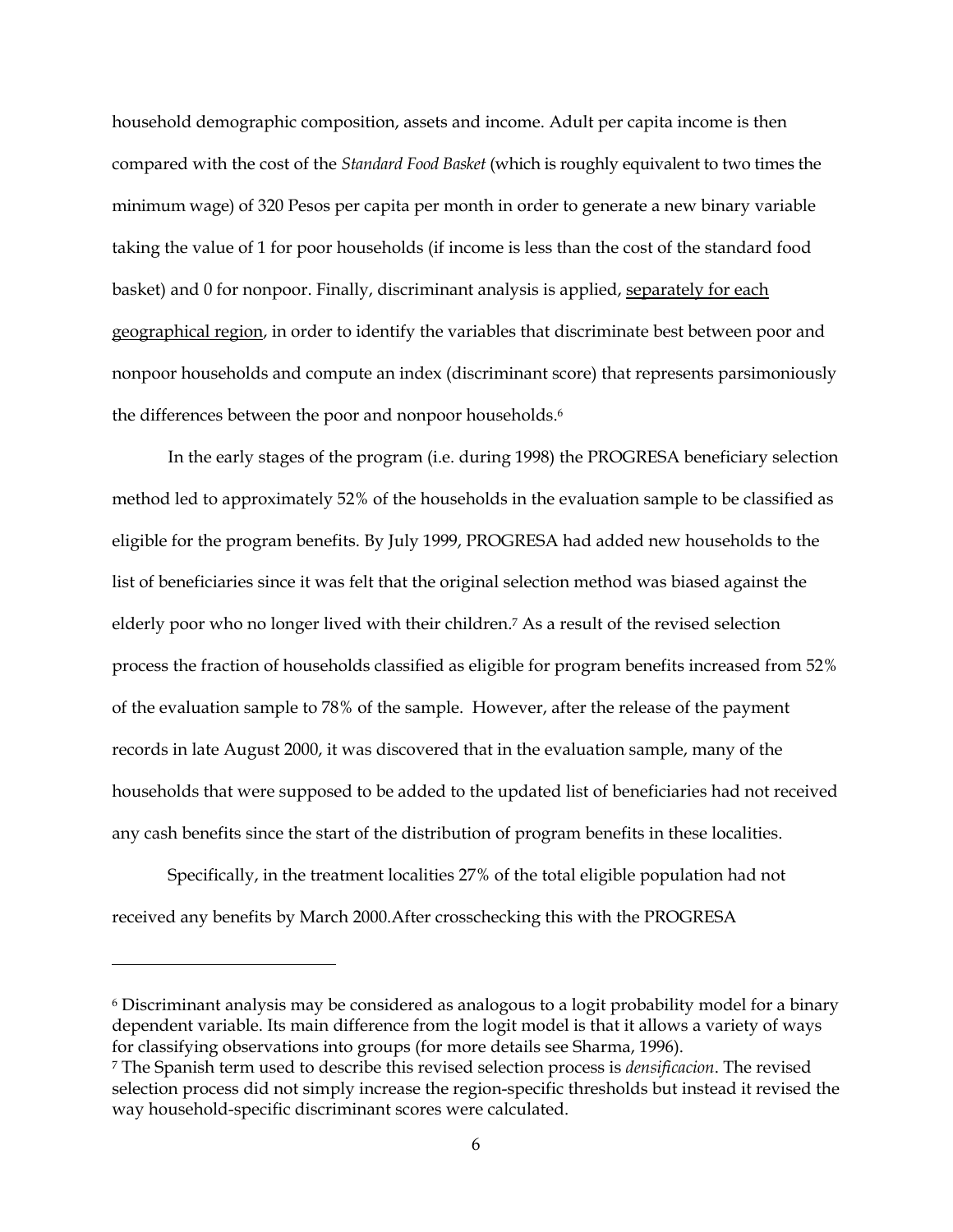household demographic composition, assets and income. Adult per capita income is then compared with the cost of the *Standard Food Basket* (which is roughly equivalent to two times the minimum wage) of 320 Pesos per capita per month in order to generate a new binary variable taking the value of 1 for poor households (if income is less than the cost of the standard food basket) and 0 for nonpoor. Finally, discriminant analysis is applied, separately for each geographical region, in order to identify the variables that discriminate best between poor and nonpoor households and compute an index (discriminant score) that represents parsimoniously the differences between the poor and nonpoor households.<sup>[6](#page-8-0)</sup>

In the early stages of the program (i.e. during 1998) the PROGRESA beneficiary selection method led to approximately 52% of the households in the evaluation sample to be classified as eligible for the program benefits. By July 1999, PROGRESA had added new households to the list of beneficiaries since it was felt that the original selection method was biased against the elderly poor who no longer lived with their children[.7](#page-8-1) As a result of the revised selection process the fraction of households classified as eligible for program benefits increased from 52% of the evaluation sample to 78% of the sample. However, after the release of the payment records in late August 2000, it was discovered that in the evaluation sample, many of the households that were supposed to be added to the updated list of beneficiaries had not received any cash benefits since the start of the distribution of program benefits in these localities.

Specifically, in the treatment localities 27% of the total eligible population had not received any benefits by March 2000.After crosschecking this with the PROGRESA

<u>.</u>

<span id="page-8-0"></span>6 Discriminant analysis may be considered as analogous to a logit probability model for a binary dependent variable. Its main difference from the logit model is that it allows a variety of ways for classifying observations into groups (for more details see Sharma, 1996).

<span id="page-8-1"></span><sup>7</sup> The Spanish term used to describe this revised selection process is *densificacion*. The revised selection process did not simply increase the region-specific thresholds but instead it revised the way household-specific discriminant scores were calculated.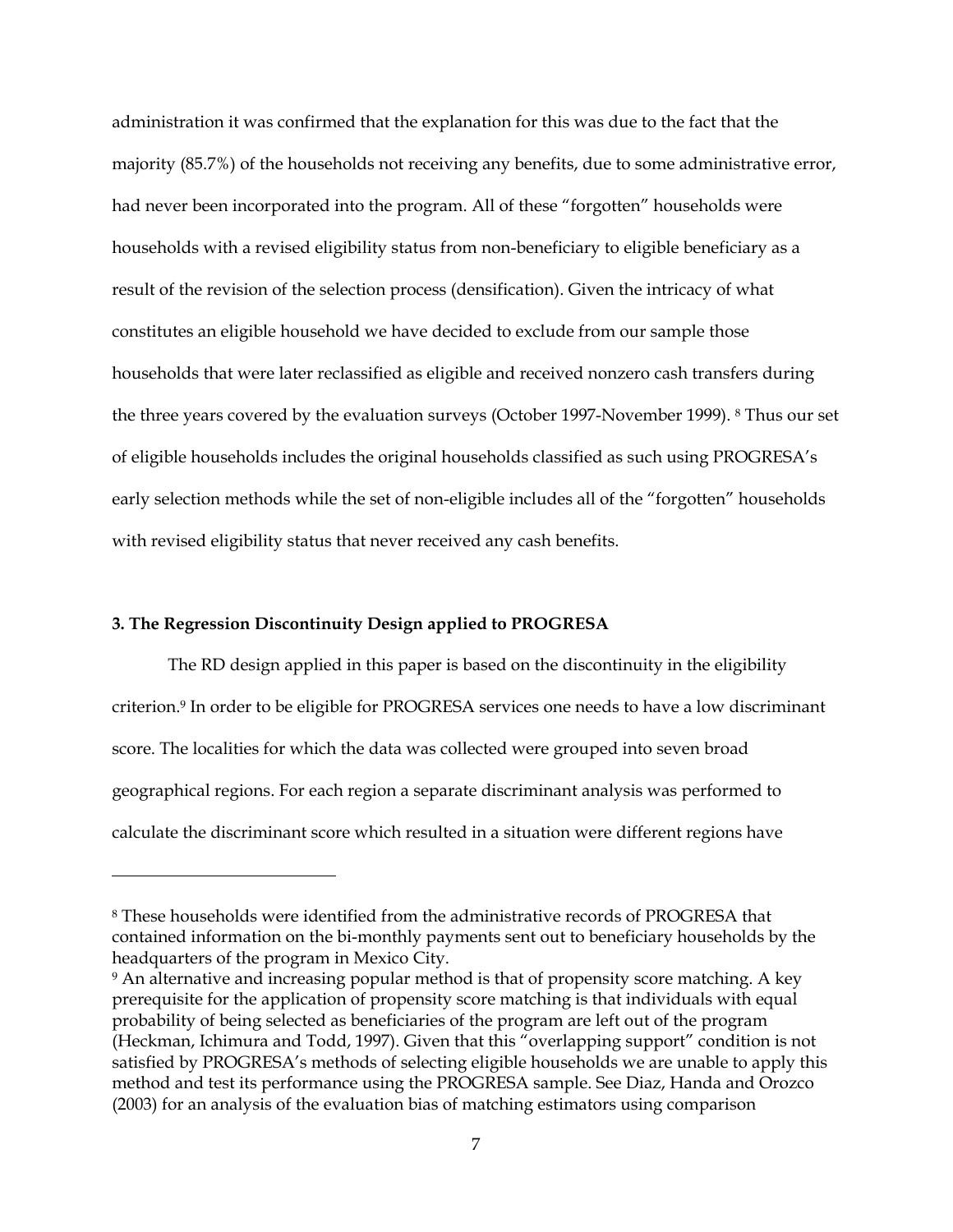<span id="page-9-1"></span>administration it was confirmed that the explanation for this was due to the fact that the majority (85.7%) of the households not receiving any benefits, due to some administrative error, had never been incorporated into the program. All of these "forgotten" households were households with a revised eligibility status from non-beneficiary to eligible beneficiary as a result of the revision of the selection process (densification). Given the intricacy of what constitutes an eligible household we have decided to exclude from our sample those households that were later reclassified as eligible and received nonzero cash transfers during the three years covered by the evaluation surveys (October 1997-November 1999). [8](#page-9-0) Thus our set of eligible households includes the original households classified as such using PROGRESA's early selection methods while the set of non-eligible includes all of the "forgotten" households with revised eligibility status that never received any cash benefits.

#### **3. The Regression Discontinuity Design applied to PROGRESA**

-

The RD design applied in this paper is based on the discontinuity in the eligibility criterion.[9](#page-9-1) In order to be eligible for PROGRESA services one needs to have a low discriminant score. The localities for which the data was collected were grouped into seven broad geographical regions. For each region a separate discriminant analysis was performed to calculate the discriminant score which resulted in a situation were different regions have

<span id="page-9-0"></span><sup>8</sup> These households were identified from the administrative records of PROGRESA that contained information on the bi-monthly payments sent out to beneficiary households by the headquarters of the program in Mexico City.

<sup>&</sup>lt;sup>9</sup> An alternative and increasing popular method is that of propensity score matching. A key prerequisite for the application of propensity score matching is that individuals with equal probability of being selected as beneficiaries of the program are left out of the program (Heckman, Ichimura and Todd, 1997). Given that this "overlapping support" condition is not satisfied by PROGRESA's methods of selecting eligible households we are unable to apply this method and test its performance using the PROGRESA sample. See Diaz, Handa and Orozco (2003) for an analysis of the evaluation bias of matching estimators using comparison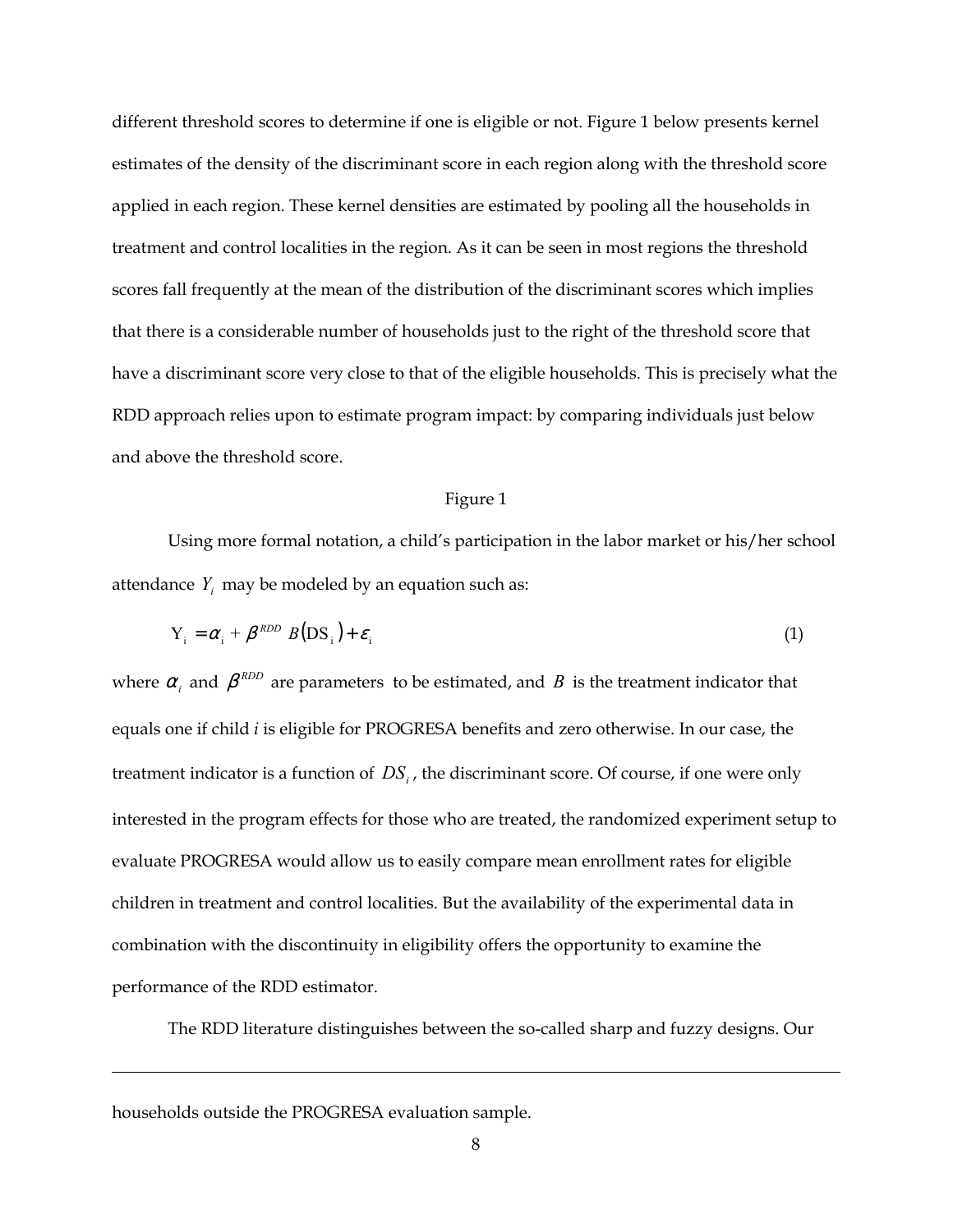different threshold scores to determine if one is eligible or not. Figure 1 below presents kernel estimates of the density of the discriminant score in each region along with the threshold score applied in each region. These kernel densities are estimated by pooling all the households in treatment and control localities in the region. As it can be seen in most regions the threshold scores fall frequently at the mean of the distribution of the discriminant scores which implies that there is a considerable number of households just to the right of the threshold score that have a discriminant score very close to that of the eligible households. This is precisely what the RDD approach relies upon to estimate program impact: by comparing individuals just below and above the threshold score.

#### Figure 1

Using more formal notation, a child's participation in the labor market or his/her school attendance  $Y_i$  may be modeled by an equation such as:

$$
Y_i = \alpha_i + \beta^{RDD} B(DS_i) + \varepsilon_i
$$
 (1)

where  $\alpha_i$  and  $\beta^{RDD}$  are parameters to be estimated, and *B* is the treatment indicator that equals one if child *i* is eligible for PROGRESA benefits and zero otherwise. In our case, the treatment indicator is a function of  $DS_i$ , the discriminant score. Of course, if one were only interested in the program effects for those who are treated, the randomized experiment setup to evaluate PROGRESA would allow us to easily compare mean enrollment rates for eligible children in treatment and control localities. But the availability of the experimental data in combination with the discontinuity in eligibility offers the opportunity to examine the performance of the RDD estimator.

The RDD literature distinguishes between the so-called sharp and fuzzy designs. Our

households outside the PROGRESA evaluation sample.

<u>.</u>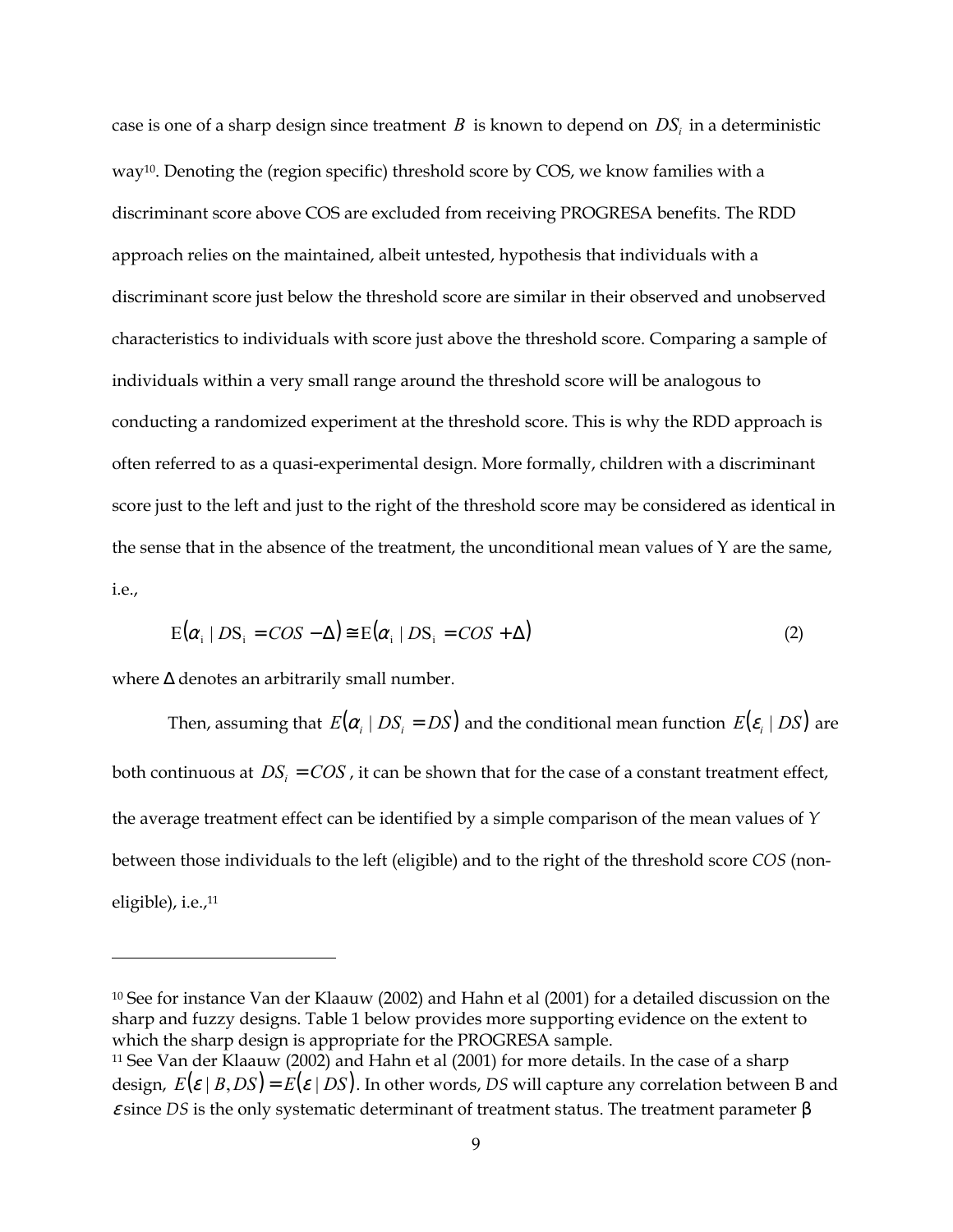<span id="page-11-1"></span>case is one of a sharp design since treatment  $B$  is known to depend on  $DS<sub>i</sub>$  in a deterministic way [10.](#page-11-0) Denoting the (region specific) threshold score by COS, we know families with a discriminant score above COS are excluded from receiving PROGRESA benefits. The RDD approach relies on the maintained, albeit untested, hypothesis that individuals with a discriminant score just below the threshold score are similar in their observed and unobserved characteristics to individuals with score just above the threshold score. Comparing a sample of individuals within a very small range around the threshold score will be analogous to conducting a randomized experiment at the threshold score. This is why the RDD approach is often referred to as a quasi-experimental design. More formally, children with a discriminant score just to the left and just to the right of the threshold score may be considered as identical in the sense that in the absence of the treatment, the unconditional mean values of  $Y$  are the same, i.e.,

$$
E(\alpha_i \mid DS_i = COS - \Delta) \cong E(\alpha_i \mid DS_i = COS + \Delta)
$$
\n(2)

where ∆ denotes an arbitrarily small number.

<u>.</u>

Then, assuming that  $E(\alpha_i | DS_i = DS)$  and the conditional mean function  $E(\varepsilon_i | DS)$  are both continuous at  $DS_i = COS$ , it can be shown that for the case of a constant treatment effect, the average treatment effect can be identified by a simple comparison of the mean values of *Y* between those individuals to the left (eligible) and to the right of the threshold score *COS* (noneligible), i.e., [11](#page-11-1) 

<span id="page-11-0"></span><sup>10</sup> See for instance Van der Klaauw (2002) and Hahn et al (2001) for a detailed discussion on the sharp and fuzzy designs. Table 1 below provides more supporting evidence on the extent to which the sharp design is appropriate for the PROGRESA sample.

<sup>&</sup>lt;sup>11</sup> See Van der Klaauw (2002) and Hahn et al (2001) for more details. In the case of a sharp design,  $E(\varepsilon | B, DS) = E(\varepsilon | DS)$ . In other words, DS will capture any correlation between B and <sup>ε</sup> since *DS* is the only systematic determinant of treatment status. The treatment parameter β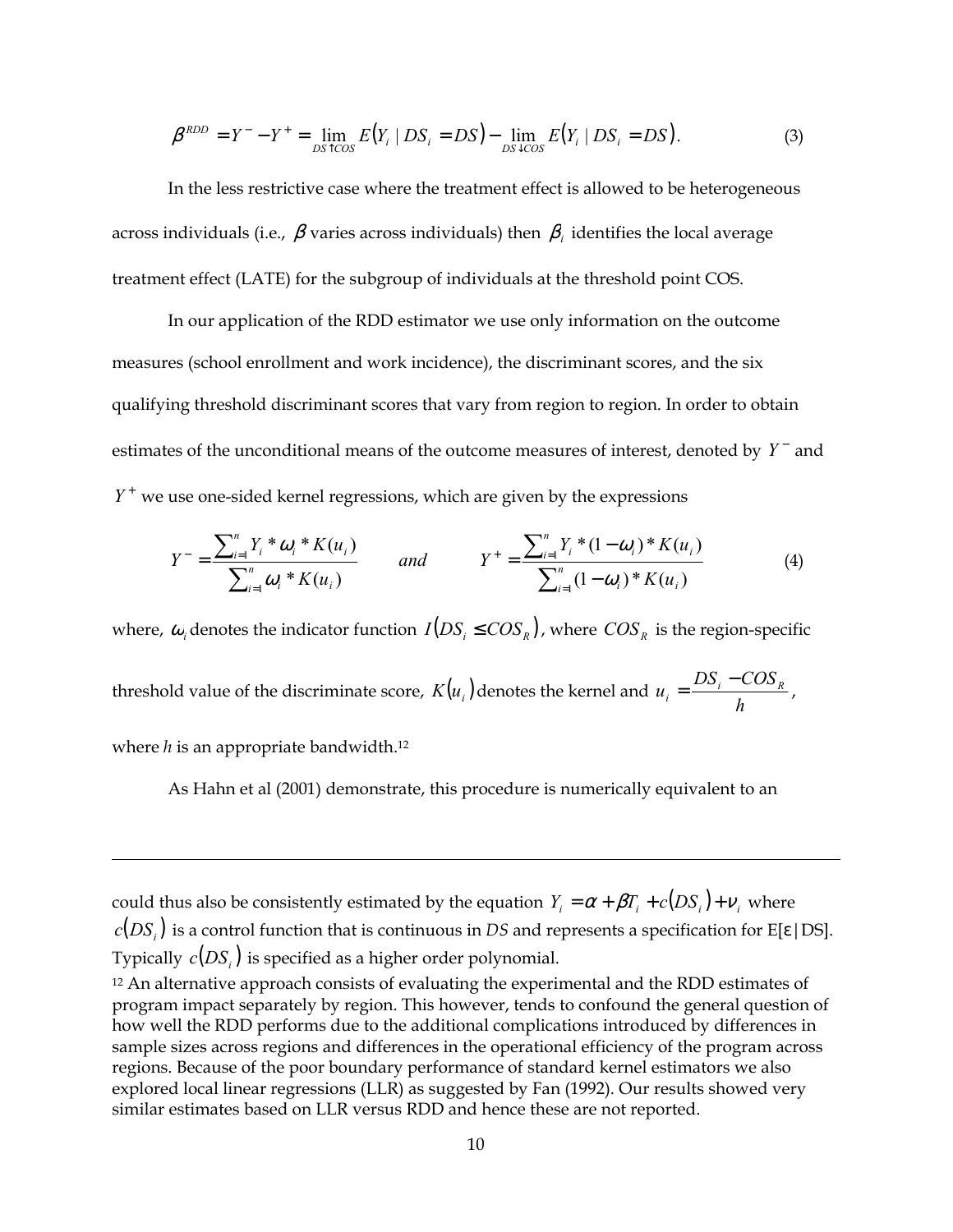$$
\beta^{RDD} = Y^- - Y^+ = \lim_{D S \uparrow \cos} E(Y_i \mid DS_i = DS) - \lim_{D S \downarrow \cos} E(Y_i \mid DS_i = DS).
$$
\n(3)

In the less restrictive case where the treatment effect is allowed to be heterogeneous across individuals (i.e.,  $\beta$  varies across individuals) then  $\beta$  *i* dentifies the local average treatment effect (LATE) for the subgroup of individuals at the threshold point COS.

In our application of the RDD estimator we use only information on the outcome measures (school enrollment and work incidence), the discriminant scores, and the six qualifying threshold discriminant scores that vary from region to region. In order to obtain estimates of the unconditional means of the outcome measures of interest, denoted by Y<sup>-</sup> and  $Y^+$  we use one-sided kernel regressions, which are given by the expressions

$$
Y^{-} = \frac{\sum_{i=1}^{n} Y_{i} \ast \omega_{i} \ast K(u_{i})}{\sum_{i=1}^{n} \omega_{i} \ast K(u_{i})}
$$
 and 
$$
Y^{+} = \frac{\sum_{i=1}^{n} Y_{i} \ast (1 - \omega_{i}) \ast K(u_{i})}{\sum_{i=1}^{n} (1 - \omega_{i}) \ast K(u_{i})}
$$
(4)

where,  $\omega_i$  denotes the indicator function  $I(DS_i \leq COS_R)$ , where  $COS_R$  is the region-specific threshold value of the discriminate score,  $K(u_i)$  denotes the kernel and  $u_i = \frac{2M_i}{h}$  $u_i = \frac{DS_i - COS_R}{l}$ where *h* is an appropriate bandwidth.<sup>12</sup>

As Hahn et al (2001) demonstrate, this procedure is numerically equivalent to an

could thus also be consistently estimated by the equation  $Y_i = \alpha + \beta T_i + c(DS_i) + v_i$  where  $c(DS_i)$  is a control function that is continuous in *DS* and represents a specification for E[ε|DS]. Typically  $c(DS_i)$  is specified as a higher order polynomial.

<u>.</u>

<span id="page-12-0"></span><sup>12</sup> An alternative approach consists of evaluating the experimental and the RDD estimates of program impact separately by region. This however, tends to confound the general question of how well the RDD performs due to the additional complications introduced by differences in sample sizes across regions and differences in the operational efficiency of the program across regions. Because of the poor boundary performance of standard kernel estimators we also explored local linear regressions (LLR) as suggested by Fan (1992). Our results showed very similar estimates based on LLR versus RDD and hence these are not reported.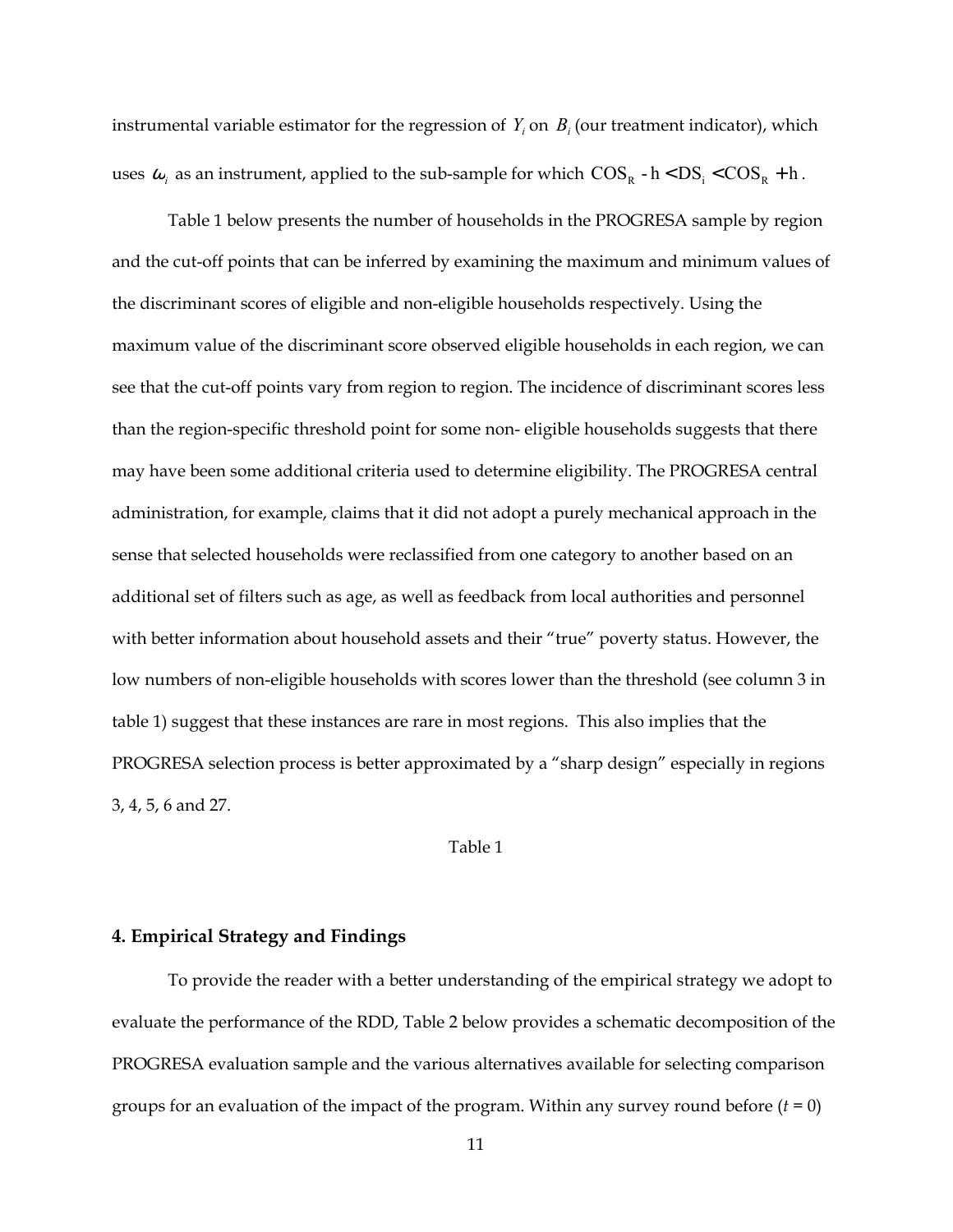instrumental variable estimator for the regression of  $Y_i$  on  $B_i$  (our treatment indicator), which uses  $\omega_i$  as an instrument, applied to the sub-sample for which  $\text{COS}_R$  - h <  $\text{DS}_i$  <  $\text{COS}_R$  + h.

Table 1 below presents the number of households in the PROGRESA sample by region and the cut-off points that can be inferred by examining the maximum and minimum values of the discriminant scores of eligible and non-eligible households respectively. Using the maximum value of the discriminant score observed eligible households in each region, we can see that the cut-off points vary from region to region. The incidence of discriminant scores less than the region-specific threshold point for some non- eligible households suggests that there may have been some additional criteria used to determine eligibility. The PROGRESA central administration, for example, claims that it did not adopt a purely mechanical approach in the sense that selected households were reclassified from one category to another based on an additional set of filters such as age, as well as feedback from local authorities and personnel with better information about household assets and their "true" poverty status. However, the low numbers of non-eligible households with scores lower than the threshold (see column 3 in table 1) suggest that these instances are rare in most regions. This also implies that the PROGRESA selection process is better approximated by a "sharp design" especially in regions 3, 4, 5, 6 and 27.

#### Table 1

#### **4. Empirical Strategy and Findings**

To provide the reader with a better understanding of the empirical strategy we adopt to evaluate the performance of the RDD, Table 2 below provides a schematic decomposition of the PROGRESA evaluation sample and the various alternatives available for selecting comparison groups for an evaluation of the impact of the program. Within any survey round before  $(t = 0)$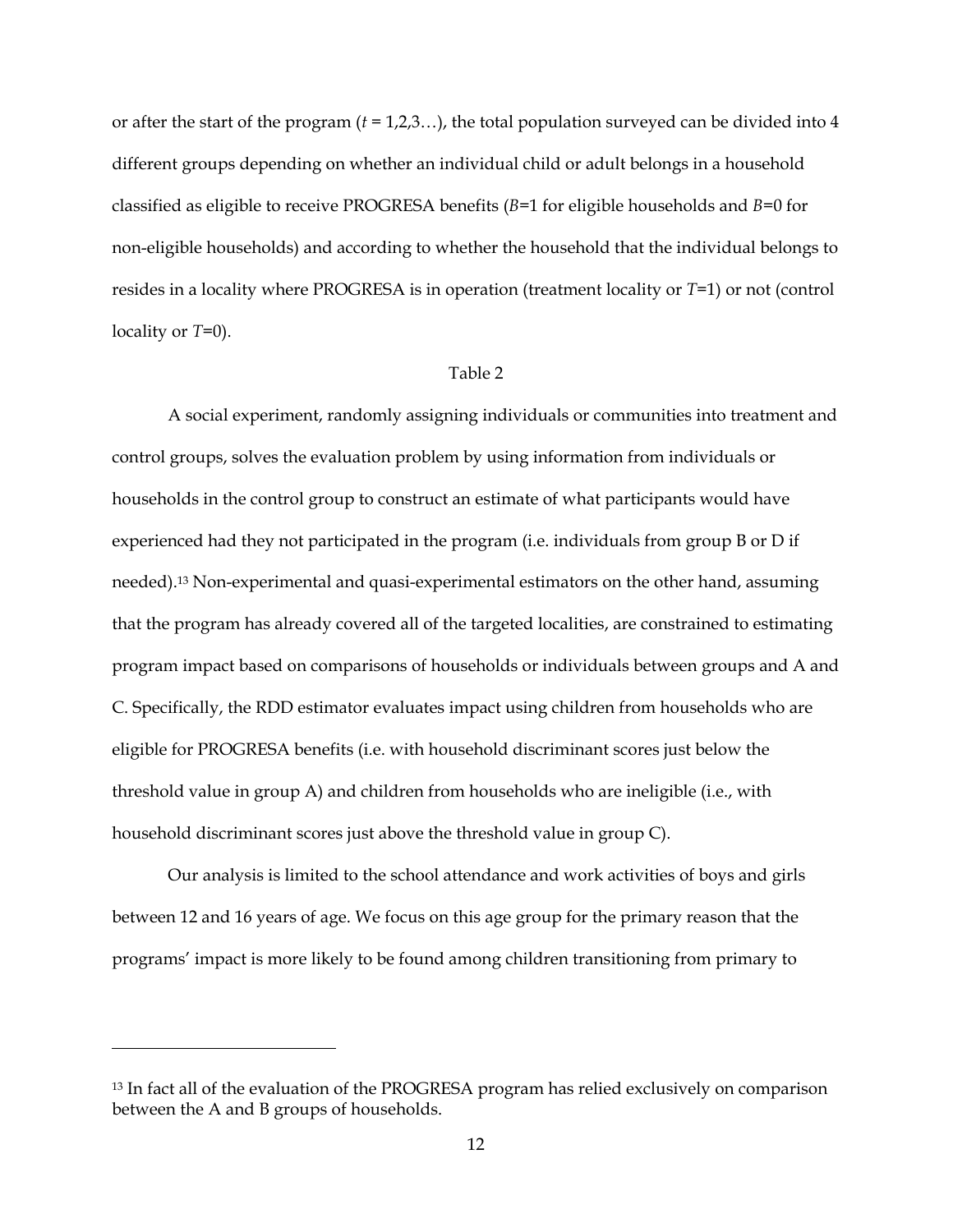or after the start of the program  $(t = 1, 2, 3, ...)$ , the total population surveyed can be divided into 4 different groups depending on whether an individual child or adult belongs in a household classified as eligible to receive PROGRESA benefits (*B*=1 for eligible households and *B*=0 for non-eligible households) and according to whether the household that the individual belongs to resides in a locality where PROGRESA is in operation (treatment locality or *T*=1) or not (control locality or *T*=0).

#### Table 2

A social experiment, randomly assigning individuals or communities into treatment and control groups, solves the evaluation problem by using information from individuals or households in the control group to construct an estimate of what participants would have experienced had they not participated in the program (i.e. individuals from group B or D if needed)[.13 N](#page-14-0)on-experimental and quasi-experimental estimators on the other hand, assuming that the program has already covered all of the targeted localities, are constrained to estimating program impact based on comparisons of households or individuals between groups and A and C. Specifically, the RDD estimator evaluates impact using children from households who are eligible for PROGRESA benefits (i.e. with household discriminant scores just below the threshold value in group A) and children from households who are ineligible (i.e., with household discriminant scores just above the threshold value in group C).

Our analysis is limited to the school attendance and work activities of boys and girls between 12 and 16 years of age. We focus on this age group for the primary reason that the programs' impact is more likely to be found among children transitioning from primary to

<u>.</u>

<span id="page-14-0"></span><sup>&</sup>lt;sup>13</sup> In fact all of the evaluation of the PROGRESA program has relied exclusively on comparison between the A and B groups of households.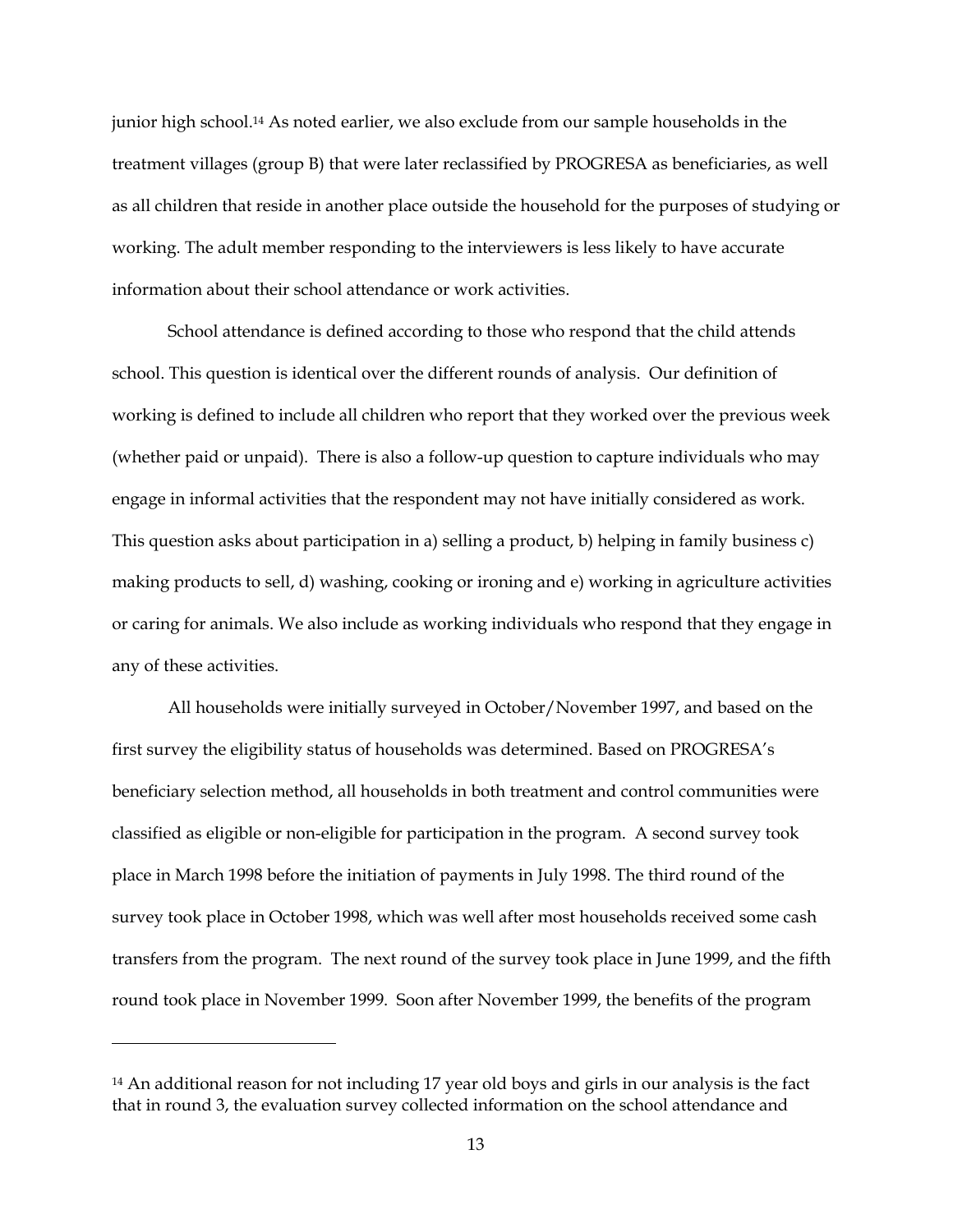<span id="page-15-0"></span>junior high school.[14](#page-15-0) As noted earlier, we also exclude from our sample households in the treatment villages (group B) that were later reclassified by PROGRESA as beneficiaries, as well as all children that reside in another place outside the household for the purposes of studying or working. The adult member responding to the interviewers is less likely to have accurate information about their school attendance or work activities.

School attendance is defined according to those who respond that the child attends school. This question is identical over the different rounds of analysis. Our definition of working is defined to include all children who report that they worked over the previous week (whether paid or unpaid). There is also a follow-up question to capture individuals who may engage in informal activities that the respondent may not have initially considered as work. This question asks about participation in a) selling a product, b) helping in family business c) making products to sell, d) washing, cooking or ironing and e) working in agriculture activities or caring for animals. We also include as working individuals who respond that they engage in any of these activities.

All households were initially surveyed in October/November 1997, and based on the first survey the eligibility status of households was determined. Based on PROGRESA's beneficiary selection method, all households in both treatment and control communities were classified as eligible or non-eligible for participation in the program. A second survey took place in March 1998 before the initiation of payments in July 1998. The third round of the survey took place in October 1998, which was well after most households received some cash transfers from the program. The next round of the survey took place in June 1999, and the fifth round took place in November 1999. Soon after November 1999, the benefits of the program

-

<sup>14</sup> An additional reason for not including 17 year old boys and girls in our analysis is the fact that in round 3, the evaluation survey collected information on the school attendance and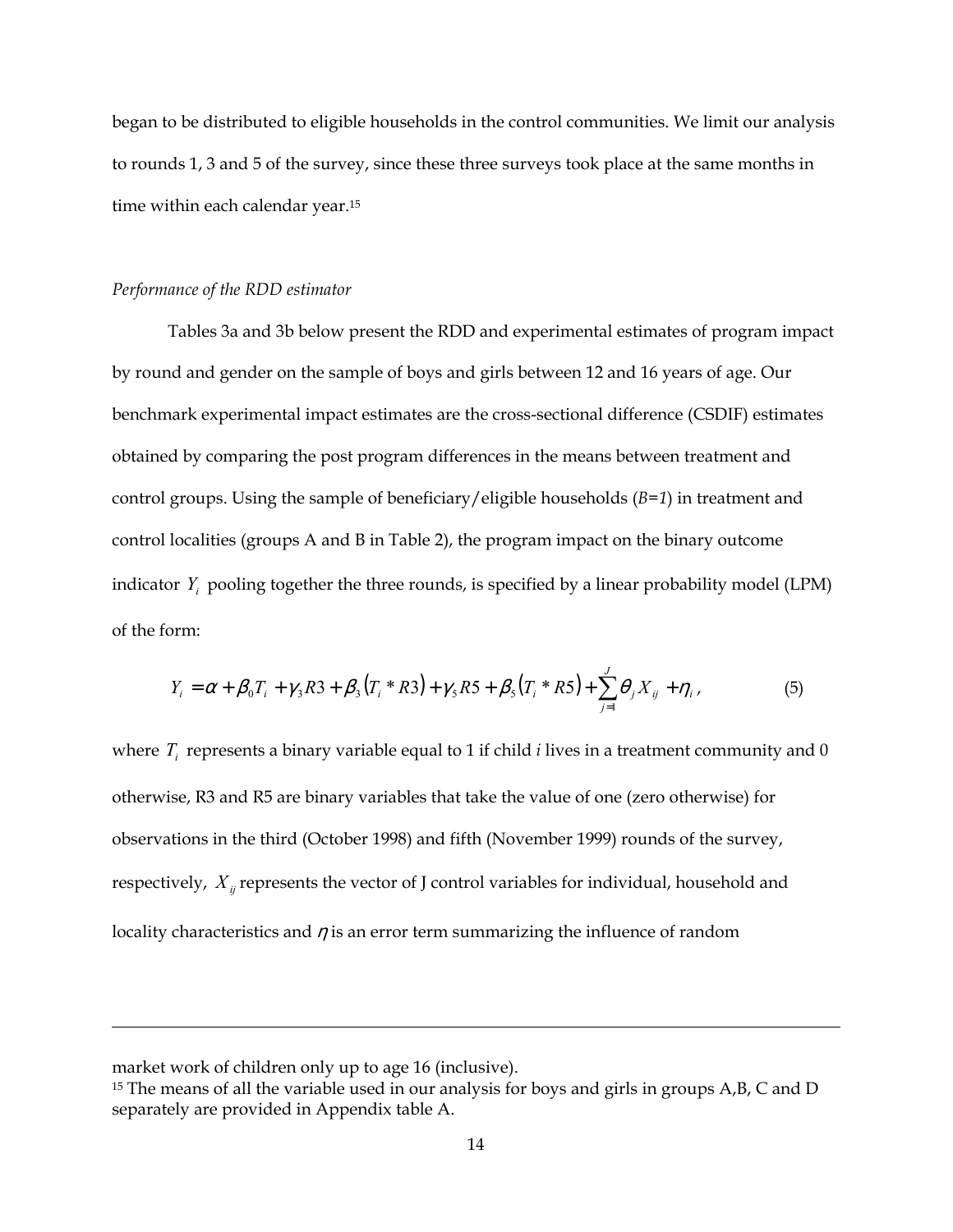began to be distributed to eligible households in the control communities. We limit our analysis to rounds 1, 3 and 5 of the survey, since these three surveys took place at the same months in time within each calendar year.[15](#page-16-0) 

#### *Performance of the RDD estimator*

Tables 3a and 3b below present the RDD and experimental estimates of program impact by round and gender on the sample of boys and girls between 12 and 16 years of age. Our benchmark experimental impact estimates are the cross-sectional difference (CSDIF) estimates obtained by comparing the post program differences in the means between treatment and control groups. Using the sample of beneficiary/eligible households (*B=1*) in treatment and control localities (groups A and B in Table 2), the program impact on the binary outcome indicator  $Y_i$  pooling together the three rounds, is specified by a linear probability model (LPM) of the form:

$$
Y_i = \alpha + \beta_0 T_i + \gamma_3 R3 + \beta_3 (T_i * R3) + \gamma_5 R5 + \beta_5 (T_i * R5) + \sum_{j=1}^J \theta_j X_{ij} + \eta_i,
$$
(5)

where  $T_i$  represents a binary variable equal to 1 if child  $i$  lives in a treatment community and 0 otherwise, R3 and R5 are binary variables that take the value of one (zero otherwise) for observations in the third (October 1998) and fifth (November 1999) rounds of the survey, respectively,  $X_{ij}$  represents the vector of J control variables for individual, household and locality characteristics and  $\eta$  is an error term summarizing the influence of random

-

market work of children only up to age 16 (inclusive).

<span id="page-16-0"></span><sup>&</sup>lt;sup>15</sup> The means of all the variable used in our analysis for boys and girls in groups A,B, C and D separately are provided in Appendix table A.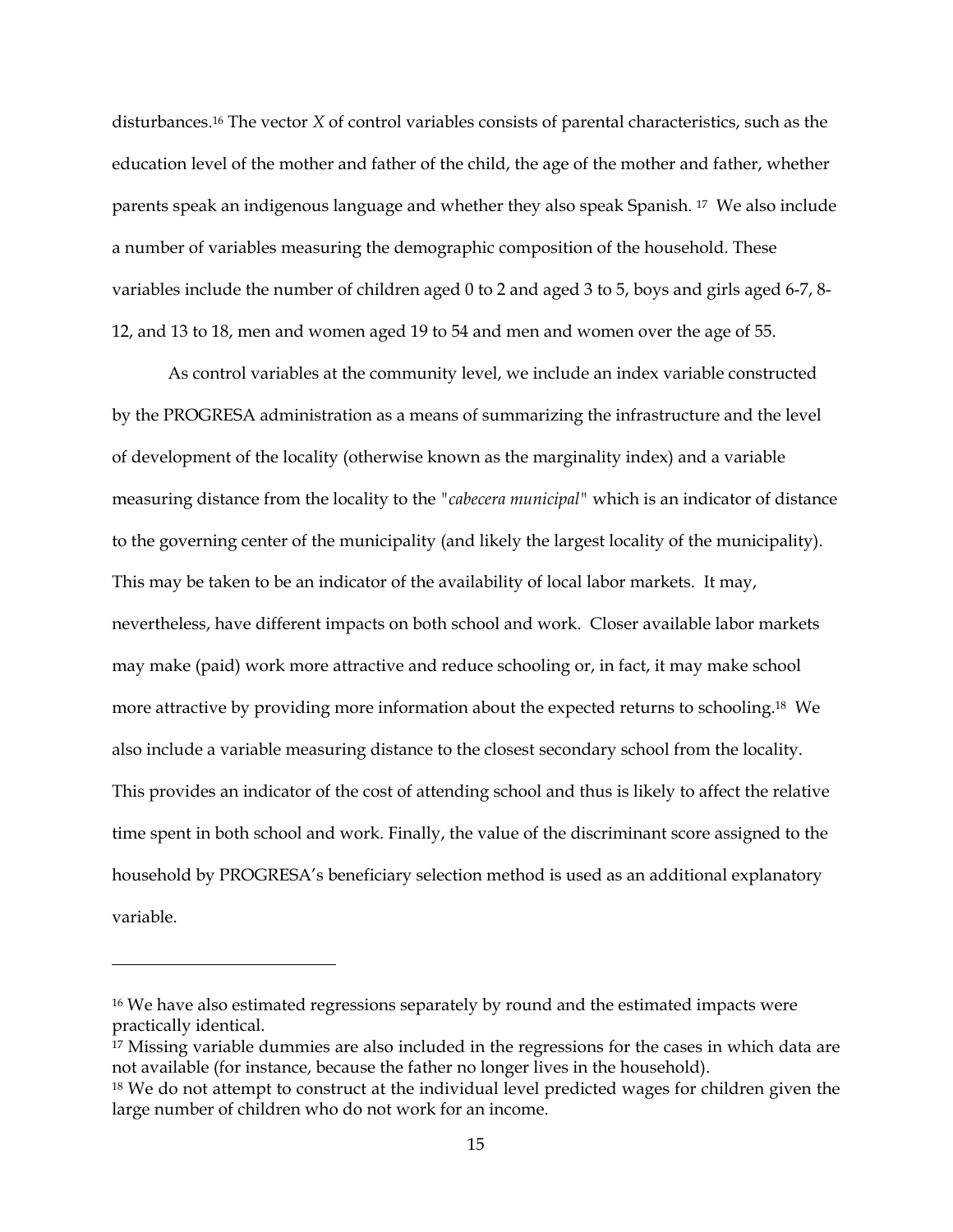disturbances.[16 T](#page-17-0)he vector *X* of control variables consists of parental characteristics, such as the education level of the mother and father of the child, the age of the mother and father, whether parents speak an indigenous language and whether they also speak Spanish. [17](#page-17-1) We also include a number of variables measuring the demographic composition of the household. These variables include the number of children aged 0 to 2 and aged 3 to 5, boys and girls aged 6-7, 8- 12, and 13 to 18, men and women aged 19 to 54 and men and women over the age of 55.

As control variables at the community level, we include an index variable constructed by the PROGRESA administration as a means of summarizing the infrastructure and the level of development of the locality (otherwise known as the marginality index) and a variable measuring distance from the locality to the *"cabecera municipal"* which is an indicator of distance to the governing center of the municipality (and likely the largest locality of the municipality). This may be taken to be an indicator of the availability of local labor markets. It may, nevertheless, have different impacts on both school and work. Closer available labor markets may make (paid) work more attractive and reduce schooling or, in fact, it may make school more attractive by providing more information about the expected returns to schooling[.18](#page-17-2) We also include a variable measuring distance to the closest secondary school from the locality. This provides an indicator of the cost of attending school and thus is likely to affect the relative time spent in both school and work. Finally, the value of the discriminant score assigned to the household by PROGRESA's beneficiary selection method is used as an additional explanatory variable.

<u>.</u>

<span id="page-17-0"></span><sup>&</sup>lt;sup>16</sup> We have also estimated regressions separately by round and the estimated impacts were practically identical.

<span id="page-17-1"></span><sup>&</sup>lt;sup>17</sup> Missing variable dummies are also included in the regressions for the cases in which data are not available (for instance, because the father no longer lives in the household).

<span id="page-17-2"></span><sup>&</sup>lt;sup>18</sup> We do not attempt to construct at the individual level predicted wages for children given the large number of children who do not work for an income.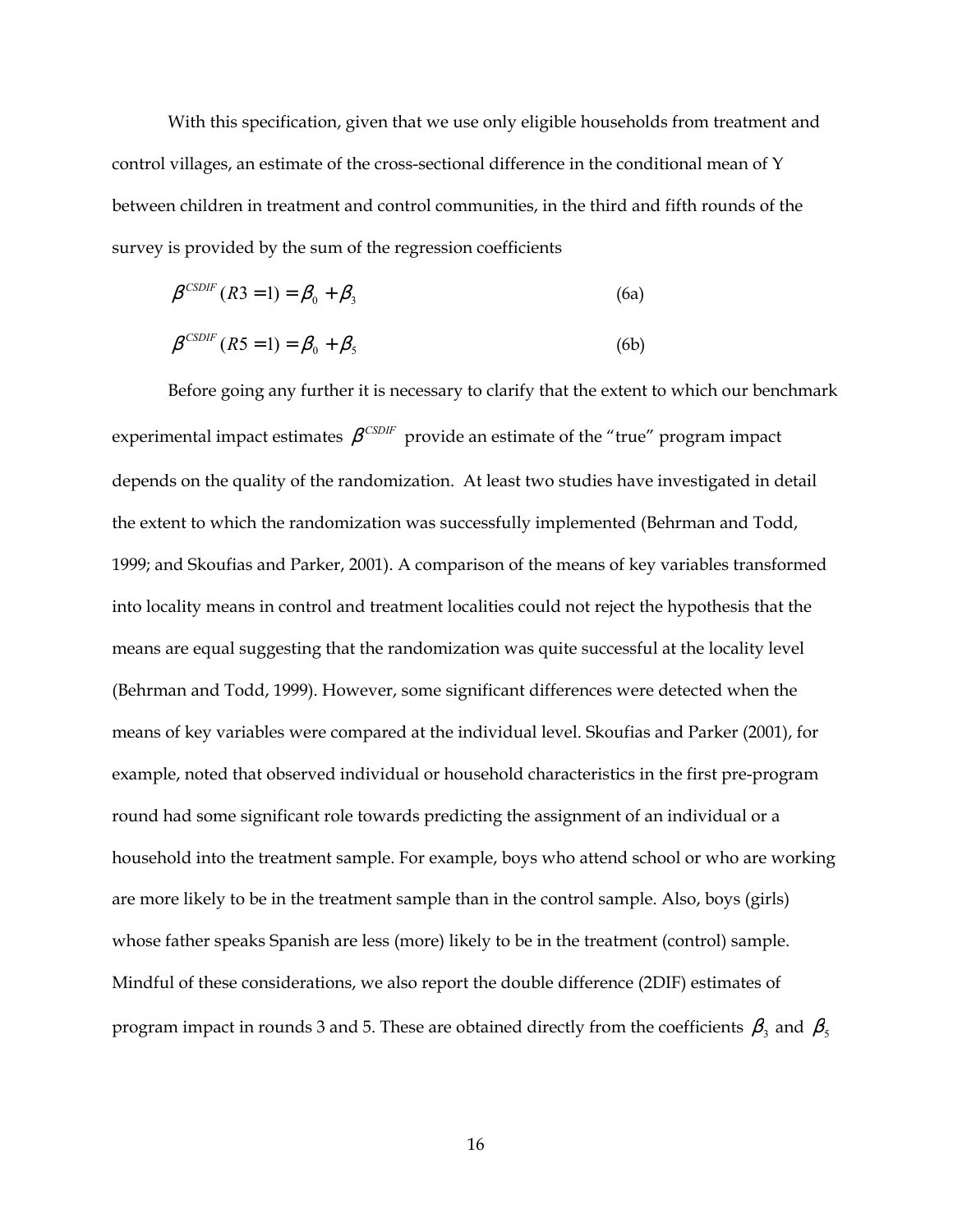With this specification, given that we use only eligible households from treatment and control villages, an estimate of the cross-sectional difference in the conditional mean of Y between children in treatment and control communities, in the third and fifth rounds of the survey is provided by the sum of the regression coefficients

$$
\beta^{\text{CSDF}}(R3=1) = \beta_0 + \beta_3 \tag{6a}
$$

$$
\beta^{\text{CSDIF}}(R5=1) = \beta_0 + \beta_5 \tag{6b}
$$

Before going any further it is necessary to clarify that the extent to which our benchmark experimental impact estimates  $\beta^{CSDIF}$  provide an estimate of the "true" program impact depends on the quality of the randomization. At least two studies have investigated in detail the extent to which the randomization was successfully implemented (Behrman and Todd, 1999; and Skoufias and Parker, 2001). A comparison of the means of key variables transformed into locality means in control and treatment localities could not reject the hypothesis that the means are equal suggesting that the randomization was quite successful at the locality level (Behrman and Todd, 1999). However, some significant differences were detected when the means of key variables were compared at the individual level. Skoufias and Parker (2001), for example, noted that observed individual or household characteristics in the first pre-program round had some significant role towards predicting the assignment of an individual or a household into the treatment sample. For example, boys who attend school or who are working are more likely to be in the treatment sample than in the control sample. Also, boys (girls) whose father speaks Spanish are less (more) likely to be in the treatment (control) sample. Mindful of these considerations, we also report the double difference (2DIF) estimates of program impact in rounds 3 and 5. These are obtained directly from the coefficients  $\beta_\text{\tiny{3}}$  and  $\beta_\text{\tiny{5}}$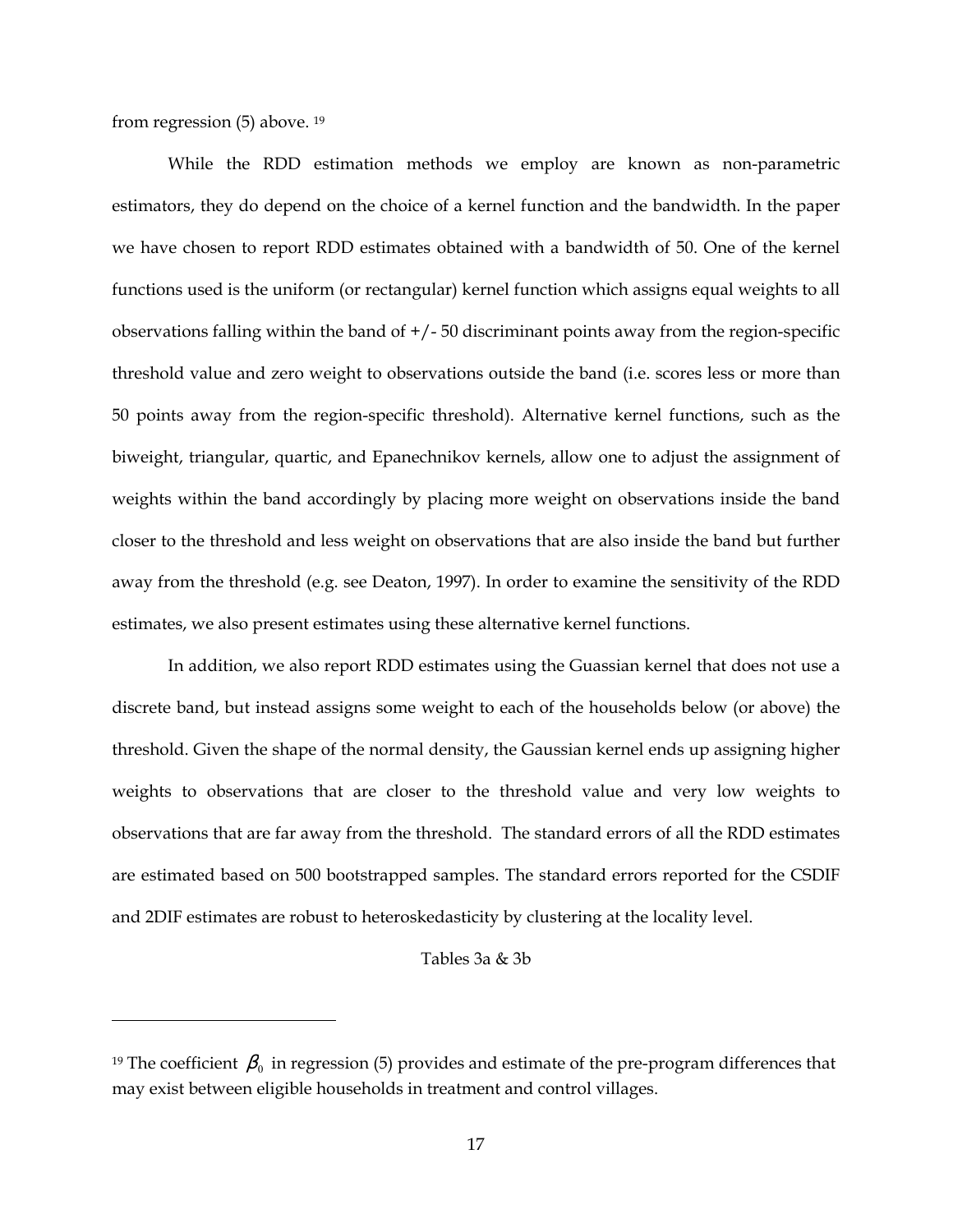from regression (5) above. [19](#page-19-0) 

<u>.</u>

While the RDD estimation methods we employ are known as non-parametric estimators, they do depend on the choice of a kernel function and the bandwidth. In the paper we have chosen to report RDD estimates obtained with a bandwidth of 50. One of the kernel functions used is the uniform (or rectangular) kernel function which assigns equal weights to all observations falling within the band of +/- 50 discriminant points away from the region-specific threshold value and zero weight to observations outside the band (i.e. scores less or more than 50 points away from the region-specific threshold). Alternative kernel functions, such as the biweight, triangular, quartic, and Epanechnikov kernels, allow one to adjust the assignment of weights within the band accordingly by placing more weight on observations inside the band closer to the threshold and less weight on observations that are also inside the band but further away from the threshold (e.g. see Deaton, 1997). In order to examine the sensitivity of the RDD estimates, we also present estimates using these alternative kernel functions.

In addition, we also report RDD estimates using the Guassian kernel that does not use a discrete band, but instead assigns some weight to each of the households below (or above) the threshold. Given the shape of the normal density, the Gaussian kernel ends up assigning higher weights to observations that are closer to the threshold value and very low weights to observations that are far away from the threshold. The standard errors of all the RDD estimates are estimated based on 500 bootstrapped samples. The standard errors reported for the CSDIF and 2DIF estimates are robust to heteroskedasticity by clustering at the locality level.

#### Tables 3a & 3b

<span id="page-19-0"></span><sup>&</sup>lt;sup>19</sup> The coefficient  $\beta_0$  in regression (5) provides and estimate of the pre-program differences that may exist between eligible households in treatment and control villages.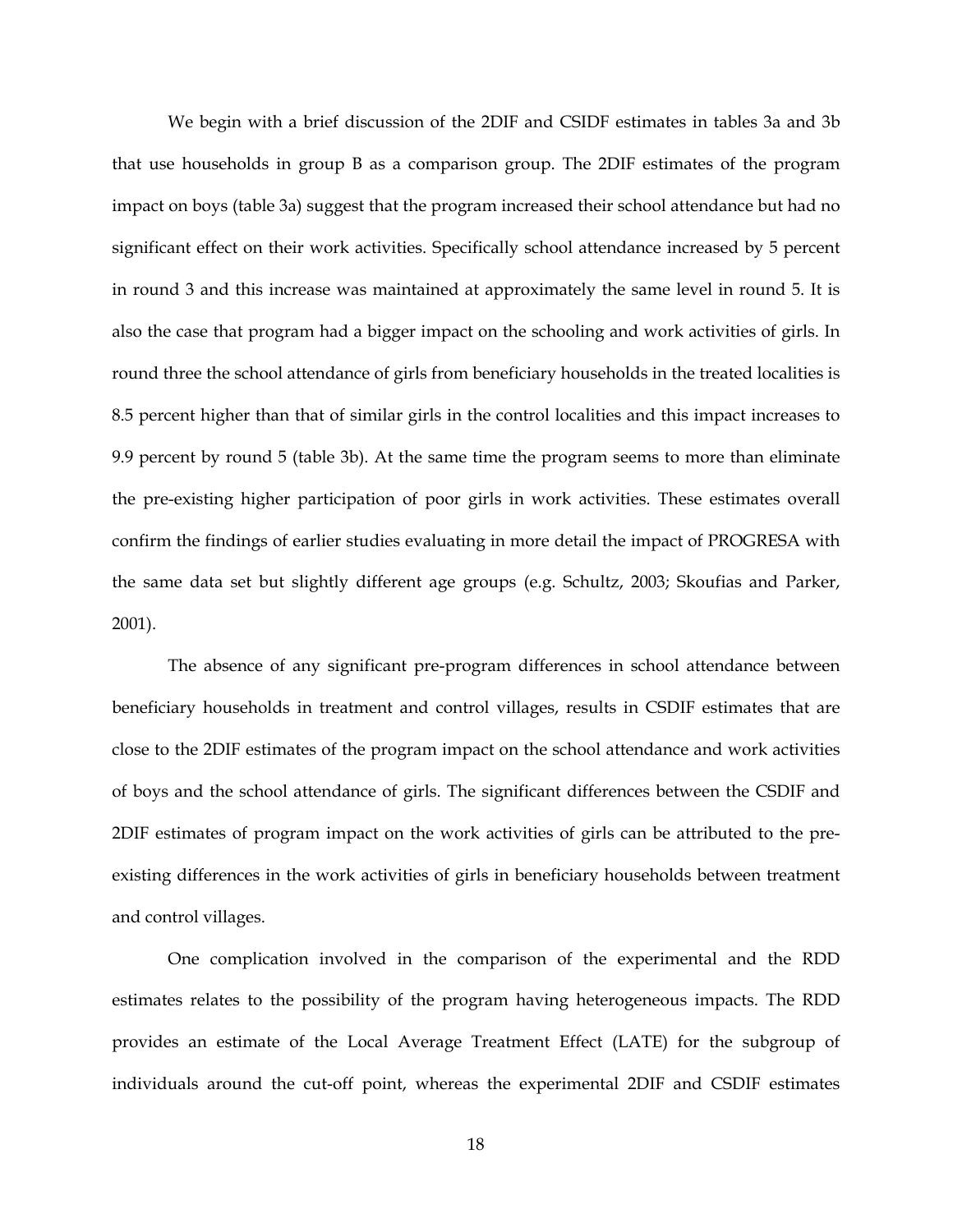We begin with a brief discussion of the 2DIF and CSIDF estimates in tables 3a and 3b that use households in group B as a comparison group. The 2DIF estimates of the program impact on boys (table 3a) suggest that the program increased their school attendance but had no significant effect on their work activities. Specifically school attendance increased by 5 percent in round 3 and this increase was maintained at approximately the same level in round 5. It is also the case that program had a bigger impact on the schooling and work activities of girls. In round three the school attendance of girls from beneficiary households in the treated localities is 8.5 percent higher than that of similar girls in the control localities and this impact increases to 9.9 percent by round 5 (table 3b). At the same time the program seems to more than eliminate the pre-existing higher participation of poor girls in work activities. These estimates overall confirm the findings of earlier studies evaluating in more detail the impact of PROGRESA with the same data set but slightly different age groups (e.g. Schultz, 2003; Skoufias and Parker, 2001).

The absence of any significant pre-program differences in school attendance between beneficiary households in treatment and control villages, results in CSDIF estimates that are close to the 2DIF estimates of the program impact on the school attendance and work activities of boys and the school attendance of girls. The significant differences between the CSDIF and 2DIF estimates of program impact on the work activities of girls can be attributed to the preexisting differences in the work activities of girls in beneficiary households between treatment and control villages.

One complication involved in the comparison of the experimental and the RDD estimates relates to the possibility of the program having heterogeneous impacts. The RDD provides an estimate of the Local Average Treatment Effect (LATE) for the subgroup of individuals around the cut-off point, whereas the experimental 2DIF and CSDIF estimates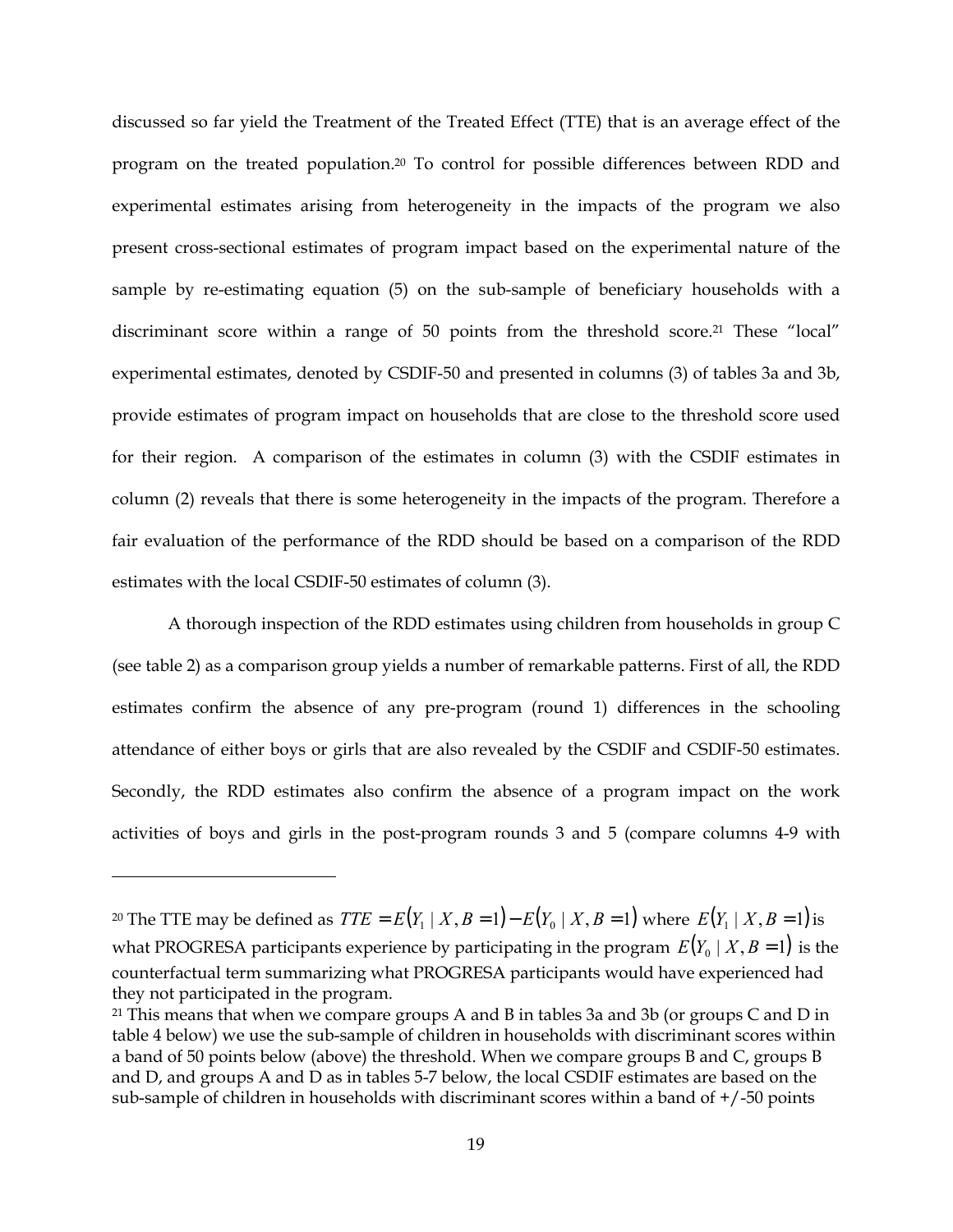<span id="page-21-1"></span>discussed so far yield the Treatment of the Treated Effect (TTE) that is an average effect of the program on the treated population.[20](#page-21-0) To control for possible differences between RDD and experimental estimates arising from heterogeneity in the impacts of the program we also present cross-sectional estimates of program impact based on the experimental nature of the sample by re-estimating equation (5) on the sub-sample of beneficiary households with a discriminant score within a range of 50 points from the threshold score.<sup>21</sup> These "local" experimental estimates, denoted by CSDIF-50 and presented in columns (3) of tables 3a and 3b, provide estimates of program impact on households that are close to the threshold score used for their region. A comparison of the estimates in column (3) with the CSDIF estimates in column (2) reveals that there is some heterogeneity in the impacts of the program. Therefore a fair evaluation of the performance of the RDD should be based on a comparison of the RDD estimates with the local CSDIF-50 estimates of column (3).

A thorough inspection of the RDD estimates using children from households in group C (see table 2) as a comparison group yields a number of remarkable patterns. First of all, the RDD estimates confirm the absence of any pre-program (round 1) differences in the schooling attendance of either boys or girls that are also revealed by the CSDIF and CSDIF-50 estimates. Secondly, the RDD estimates also confirm the absence of a program impact on the work activities of boys and girls in the post-program rounds 3 and 5 (compare columns 4-9 with

<u>.</u>

<span id="page-21-0"></span><sup>&</sup>lt;sup>20</sup> The TTE may be defined as  $TTE = E(Y_1 | X, B = 1) - E(Y_0 | X, B = 1)$  where  $E(Y_1 | X, B = 1)$  is what PROGRESA participants experience by participating in the program  $E(Y_0 | X, B = 1)$  is the counterfactual term summarizing what PROGRESA participants would have experienced had they not participated in the program.

 $21$  This means that when we compare groups A and B in tables 3a and 3b (or groups C and D in table 4 below) we use the sub-sample of children in households with discriminant scores within a band of 50 points below (above) the threshold. When we compare groups B and C, groups B and D, and groups A and D as in tables 5-7 below, the local CSDIF estimates are based on the sub-sample of children in households with discriminant scores within a band of +/-50 points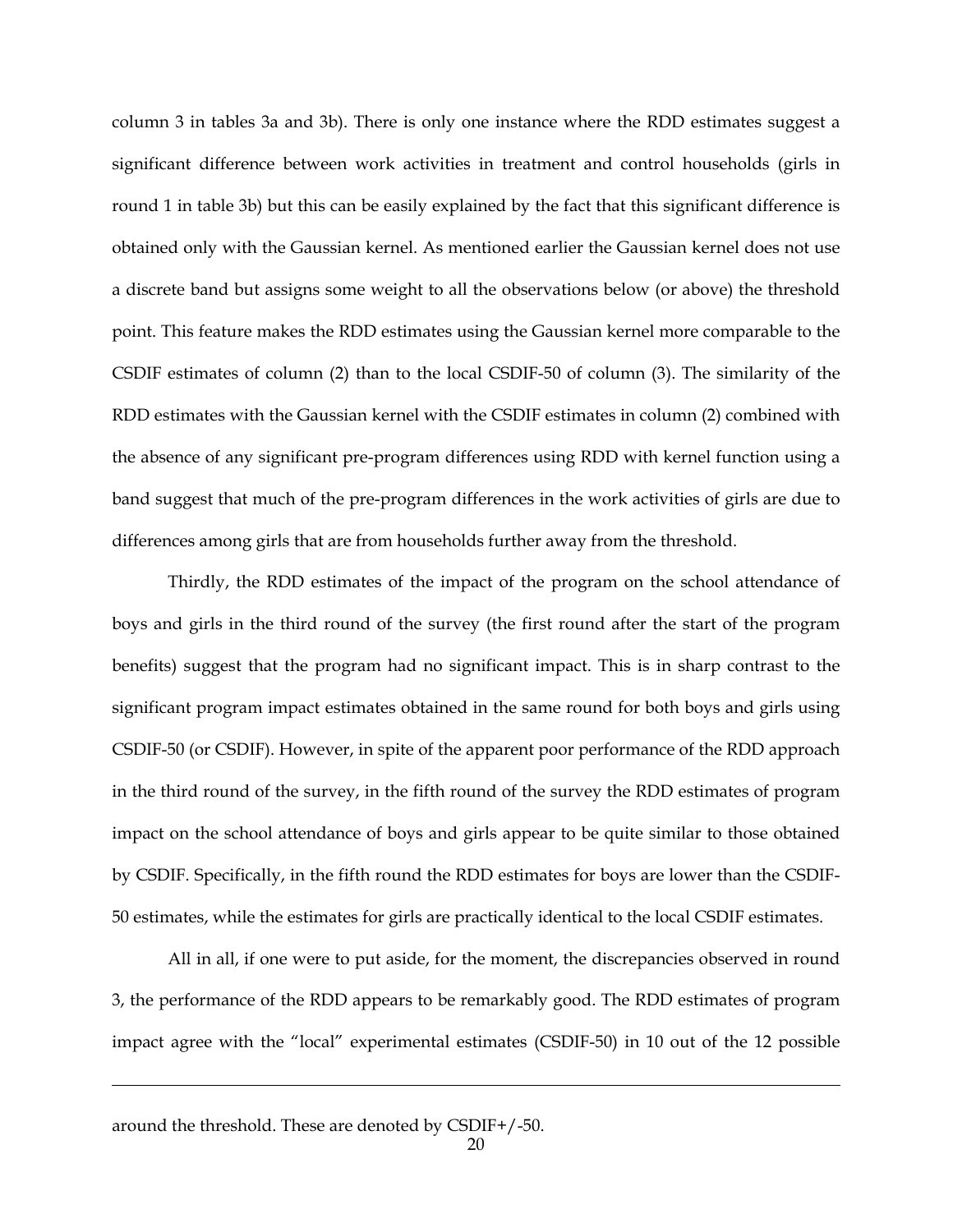column 3 in tables 3a and 3b). There is only one instance where the RDD estimates suggest a significant difference between work activities in treatment and control households (girls in round 1 in table 3b) but this can be easily explained by the fact that this significant difference is obtained only with the Gaussian kernel. As mentioned earlier the Gaussian kernel does not use a discrete band but assigns some weight to all the observations below (or above) the threshold point. This feature makes the RDD estimates using the Gaussian kernel more comparable to the CSDIF estimates of column (2) than to the local CSDIF-50 of column (3). The similarity of the RDD estimates with the Gaussian kernel with the CSDIF estimates in column (2) combined with the absence of any significant pre-program differences using RDD with kernel function using a band suggest that much of the pre-program differences in the work activities of girls are due to differences among girls that are from households further away from the threshold.

Thirdly, the RDD estimates of the impact of the program on the school attendance of boys and girls in the third round of the survey (the first round after the start of the program benefits) suggest that the program had no significant impact. This is in sharp contrast to the significant program impact estimates obtained in the same round for both boys and girls using CSDIF-50 (or CSDIF). However, in spite of the apparent poor performance of the RDD approach in the third round of the survey, in the fifth round of the survey the RDD estimates of program impact on the school attendance of boys and girls appear to be quite similar to those obtained by CSDIF. Specifically, in the fifth round the RDD estimates for boys are lower than the CSDIF-50 estimates, while the estimates for girls are practically identical to the local CSDIF estimates.

All in all, if one were to put aside, for the moment, the discrepancies observed in round 3, the performance of the RDD appears to be remarkably good. The RDD estimates of program impact agree with the "local" experimental estimates (CSDIF-50) in 10 out of the 12 possible

<u>.</u>

around the threshold. These are denoted by CSDIF+/-50.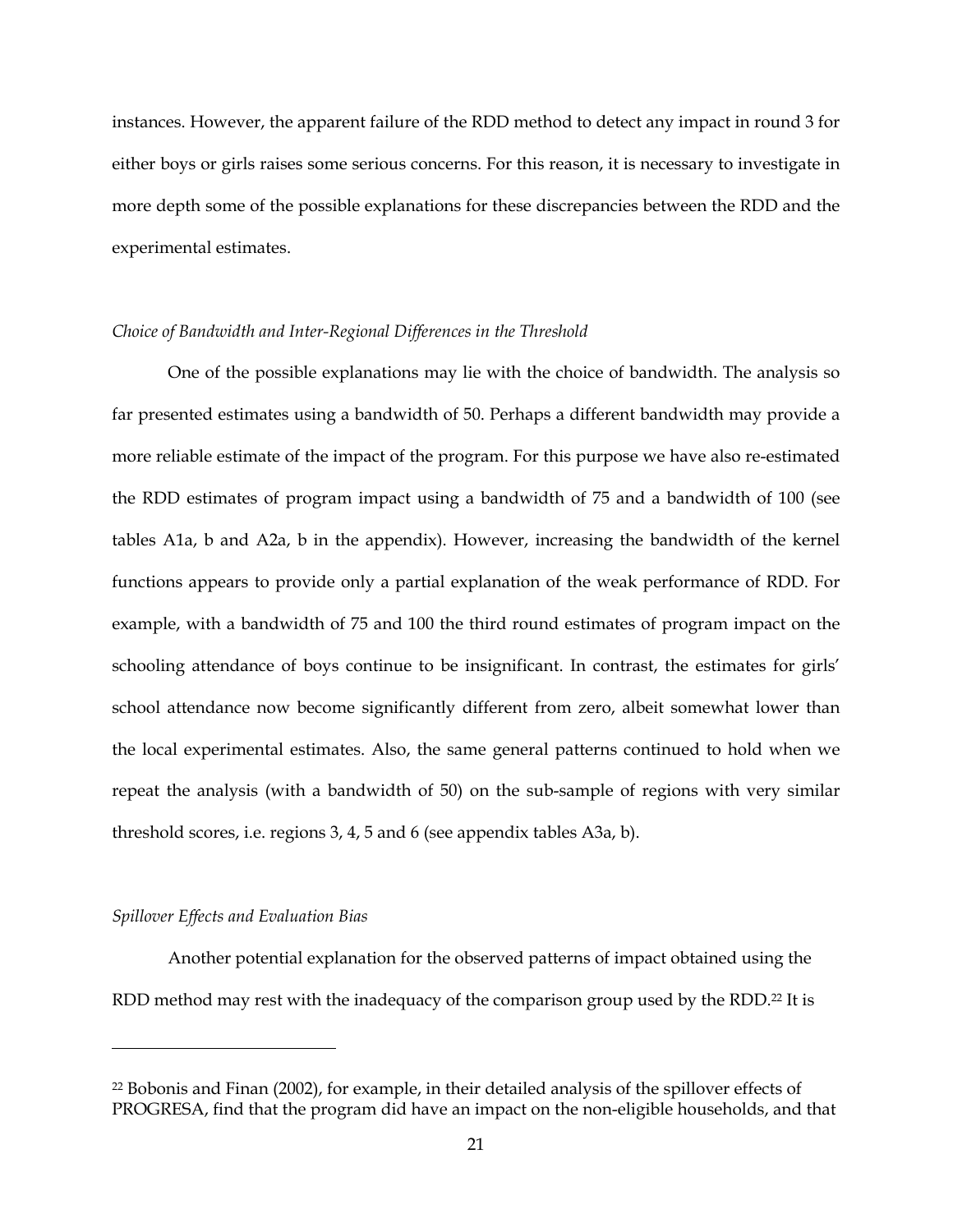<span id="page-23-0"></span>instances. However, the apparent failure of the RDD method to detect any impact in round 3 for either boys or girls raises some serious concerns. For this reason, it is necessary to investigate in more depth some of the possible explanations for these discrepancies between the RDD and the experimental estimates.

#### *Choice of Bandwidth and Inter-Regional Differences in the Threshold*

One of the possible explanations may lie with the choice of bandwidth. The analysis so far presented estimates using a bandwidth of 50. Perhaps a different bandwidth may provide a more reliable estimate of the impact of the program. For this purpose we have also re-estimated the RDD estimates of program impact using a bandwidth of 75 and a bandwidth of 100 (see tables A1a, b and A2a, b in the appendix). However, increasing the bandwidth of the kernel functions appears to provide only a partial explanation of the weak performance of RDD. For example, with a bandwidth of 75 and 100 the third round estimates of program impact on the schooling attendance of boys continue to be insignificant. In contrast, the estimates for girls' school attendance now become significantly different from zero, albeit somewhat lower than the local experimental estimates. Also, the same general patterns continued to hold when we repeat the analysis (with a bandwidth of 50) on the sub-sample of regions with very similar threshold scores, i.e. regions 3, 4, 5 and 6 (see appendix tables A3a, b).

#### *Spillover Effects and Evaluation Bias*

<u>.</u>

Another potential explanation for the observed patterns of impact obtained using the RDD method may rest with the inadequacy of the comparison group used by the RDD.<sup>22</sup> It is

<sup>22</sup> Bobonis and Finan (2002), for example, in their detailed analysis of the spillover effects of PROGRESA, find that the program did have an impact on the non-eligible households, and that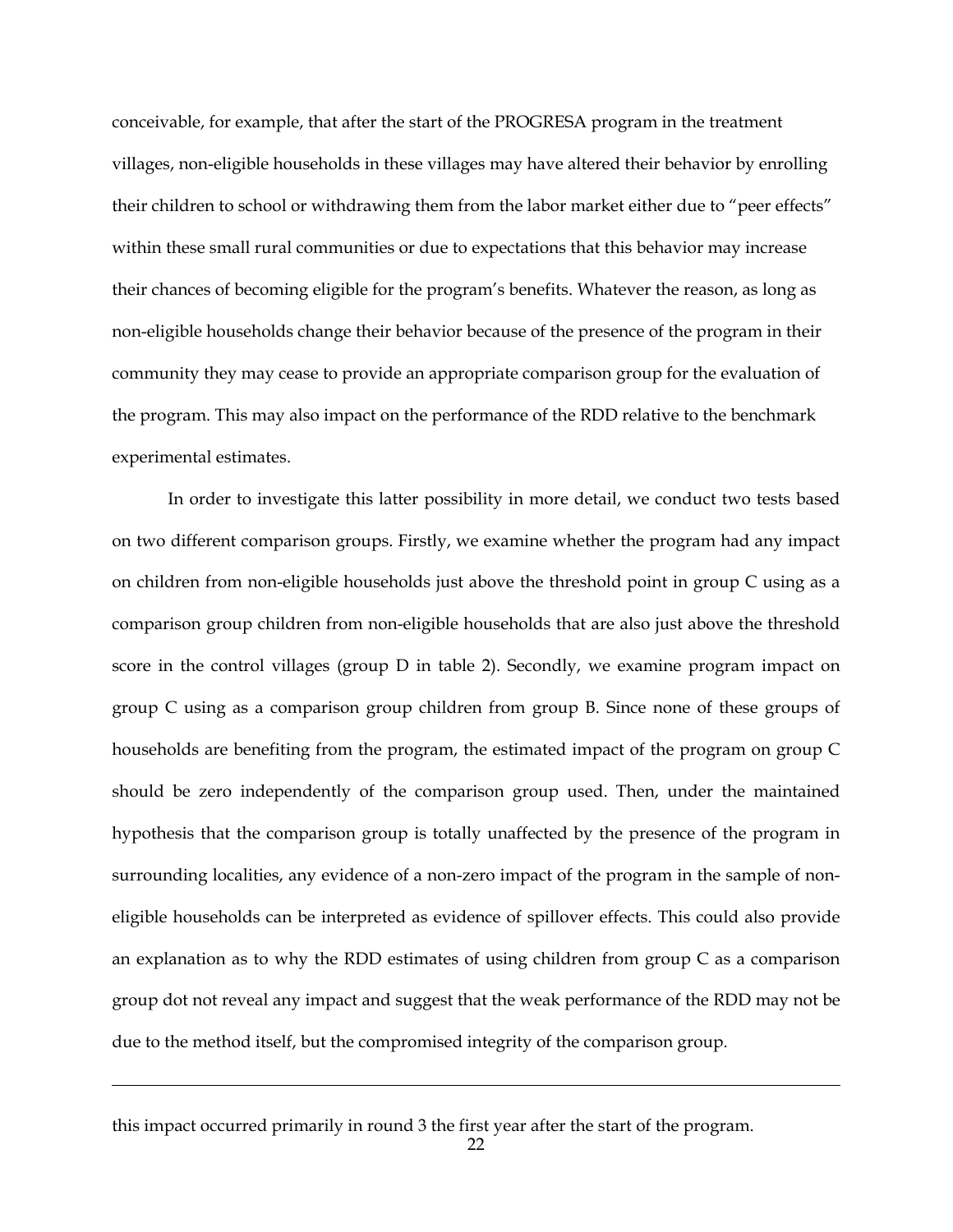conceivable, for example, that after the start of the PROGRESA program in the treatment villages, non-eligible households in these villages may have altered their behavior by enrolling their children to school or withdrawing them from the labor market either due to "peer effects" within these small rural communities or due to expectations that this behavior may increase their chances of becoming eligible for the program's benefits. Whatever the reason, as long as non-eligible households change their behavior because of the presence of the program in their community they may cease to provide an appropriate comparison group for the evaluation of the program. This may also impact on the performance of the RDD relative to the benchmark experimental estimates.

In order to investigate this latter possibility in more detail, we conduct two tests based on two different comparison groups. Firstly, we examine whether the program had any impact on children from non-eligible households just above the threshold point in group C using as a comparison group children from non-eligible households that are also just above the threshold score in the control villages (group D in table 2). Secondly, we examine program impact on group C using as a comparison group children from group B. Since none of these groups of households are benefiting from the program, the estimated impact of the program on group C should be zero independently of the comparison group used. Then, under the maintained hypothesis that the comparison group is totally unaffected by the presence of the program in surrounding localities, any evidence of a non-zero impact of the program in the sample of noneligible households can be interpreted as evidence of spillover effects. This could also provide an explanation as to why the RDD estimates of using children from group C as a comparison group dot not reveal any impact and suggest that the weak performance of the RDD may not be due to the method itself, but the compromised integrity of the comparison group.

this impact occurred primarily in round 3 the first year after the start of the program.

<u>.</u>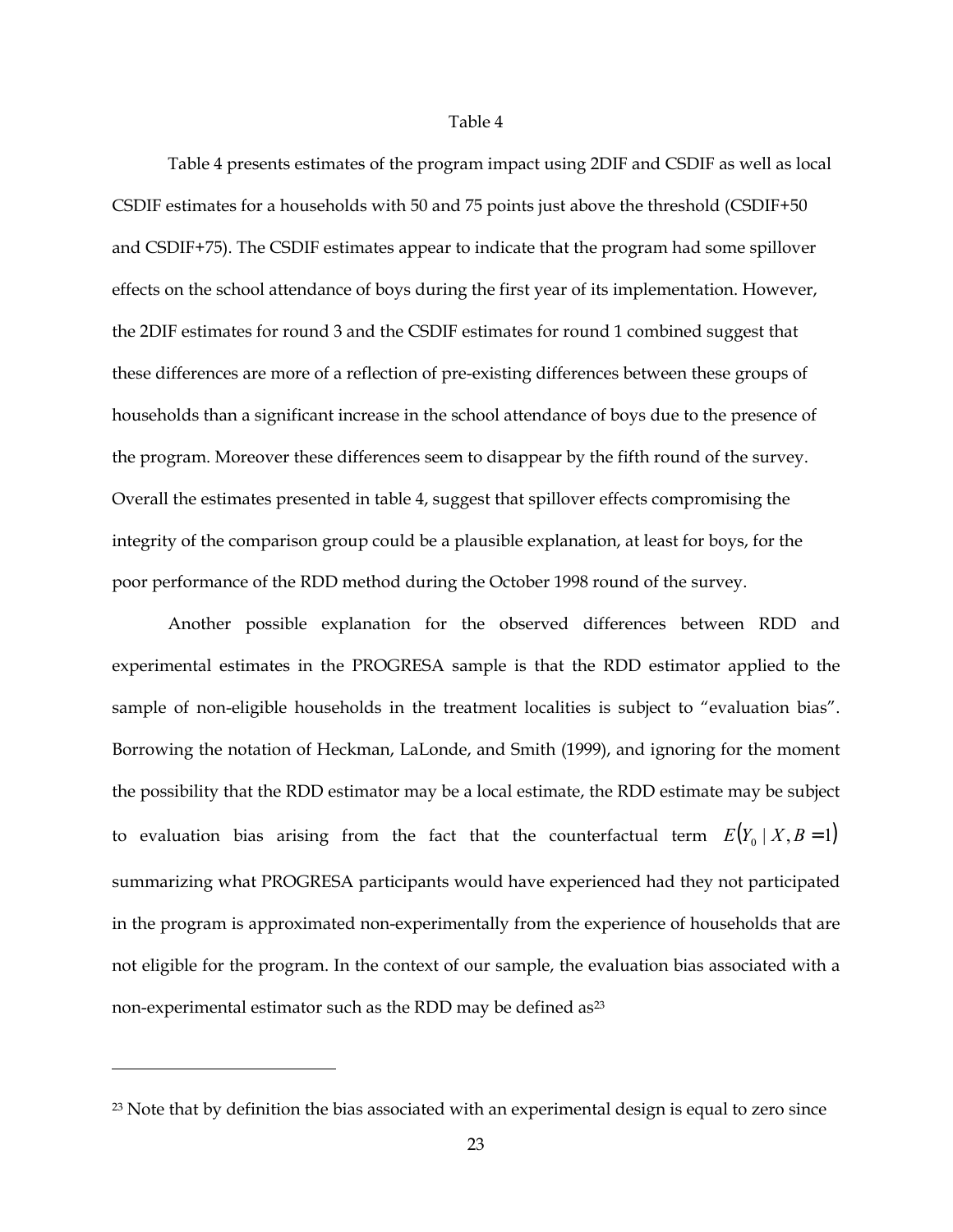#### Table 4

<span id="page-25-0"></span>Table 4 presents estimates of the program impact using 2DIF and CSDIF as well as local CSDIF estimates for a households with 50 and 75 points just above the threshold (CSDIF+50 and CSDIF+75). The CSDIF estimates appear to indicate that the program had some spillover effects on the school attendance of boys during the first year of its implementation. However, the 2DIF estimates for round 3 and the CSDIF estimates for round 1 combined suggest that these differences are more of a reflection of pre-existing differences between these groups of households than a significant increase in the school attendance of boys due to the presence of the program. Moreover these differences seem to disappear by the fifth round of the survey. Overall the estimates presented in table 4, suggest that spillover effects compromising the integrity of the comparison group could be a plausible explanation, at least for boys, for the poor performance of the RDD method during the October 1998 round of the survey.

Another possible explanation for the observed differences between RDD and experimental estimates in the PROGRESA sample is that the RDD estimator applied to the sample of non-eligible households in the treatment localities is subject to "evaluation bias". Borrowing the notation of Heckman, LaLonde, and Smith (1999), and ignoring for the moment the possibility that the RDD estimator may be a local estimate, the RDD estimate may be subject to evaluation bias arising from the fact that the counterfactual term  $E(Y_0 | X, B = 1)$ summarizing what PROGRESA participants would have experienced had they not participated in the program is approximated non-experimentally from the experience of households that are not eligible for the program. In the context of our sample, the evaluation bias associated with a non-experimental estimator such as the RDD may be defined as [23](#page-25-0) 

<u>.</u>

<sup>&</sup>lt;sup>23</sup> Note that by definition the bias associated with an experimental design is equal to zero since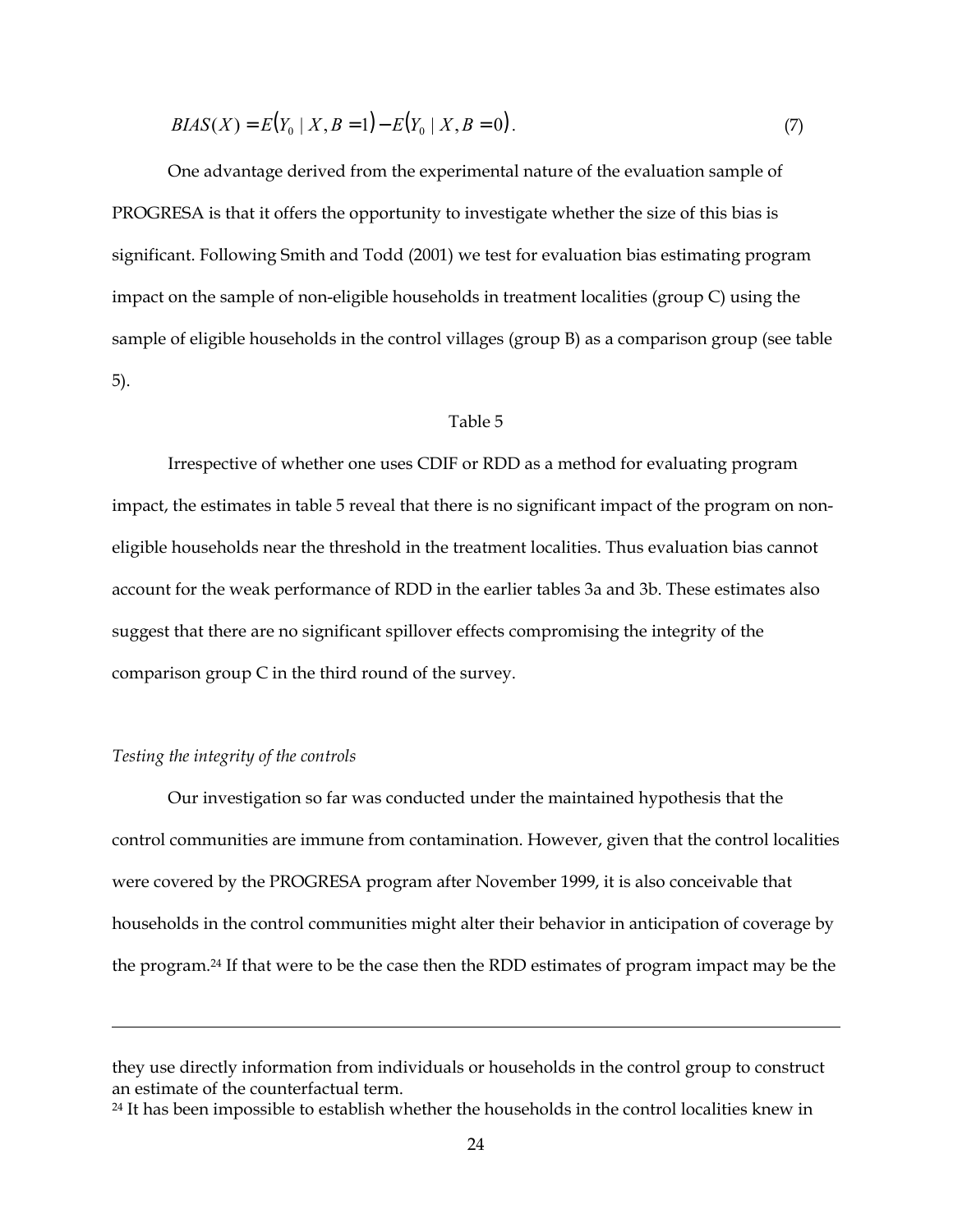$$
BIAS(X) = E(Y_0 \mid X, B=1) - E(Y_0 \mid X, B=0). \tag{7}
$$

One advantage derived from the experimental nature of the evaluation sample of PROGRESA is that it offers the opportunity to investigate whether the size of this bias is significant. Following Smith and Todd (2001) we test for evaluation bias estimating program impact on the sample of non-eligible households in treatment localities (group C) using the sample of eligible households in the control villages (group B) as a comparison group (see table 5).

#### Table 5

Irrespective of whether one uses CDIF or RDD as a method for evaluating program impact, the estimates in table 5 reveal that there is no significant impact of the program on noneligible households near the threshold in the treatment localities. Thus evaluation bias cannot account for the weak performance of RDD in the earlier tables 3a and 3b. These estimates also suggest that there are no significant spillover effects compromising the integrity of the comparison group C in the third round of the survey.

#### *Testing the integrity of the controls*

-

Our investigation so far was conducted under the maintained hypothesis that the control communities are immune from contamination. However, given that the control localities were covered by the PROGRESA program after November 1999, it is also conceivable that households in the control communities might alter their behavior in anticipation of coverage by the program[.24](#page-26-0) If that were to be the case then the RDD estimates of program impact may be the

they use directly information from individuals or households in the control group to construct an estimate of the counterfactual term.

<span id="page-26-0"></span><sup>&</sup>lt;sup>24</sup> It has been impossible to establish whether the households in the control localities knew in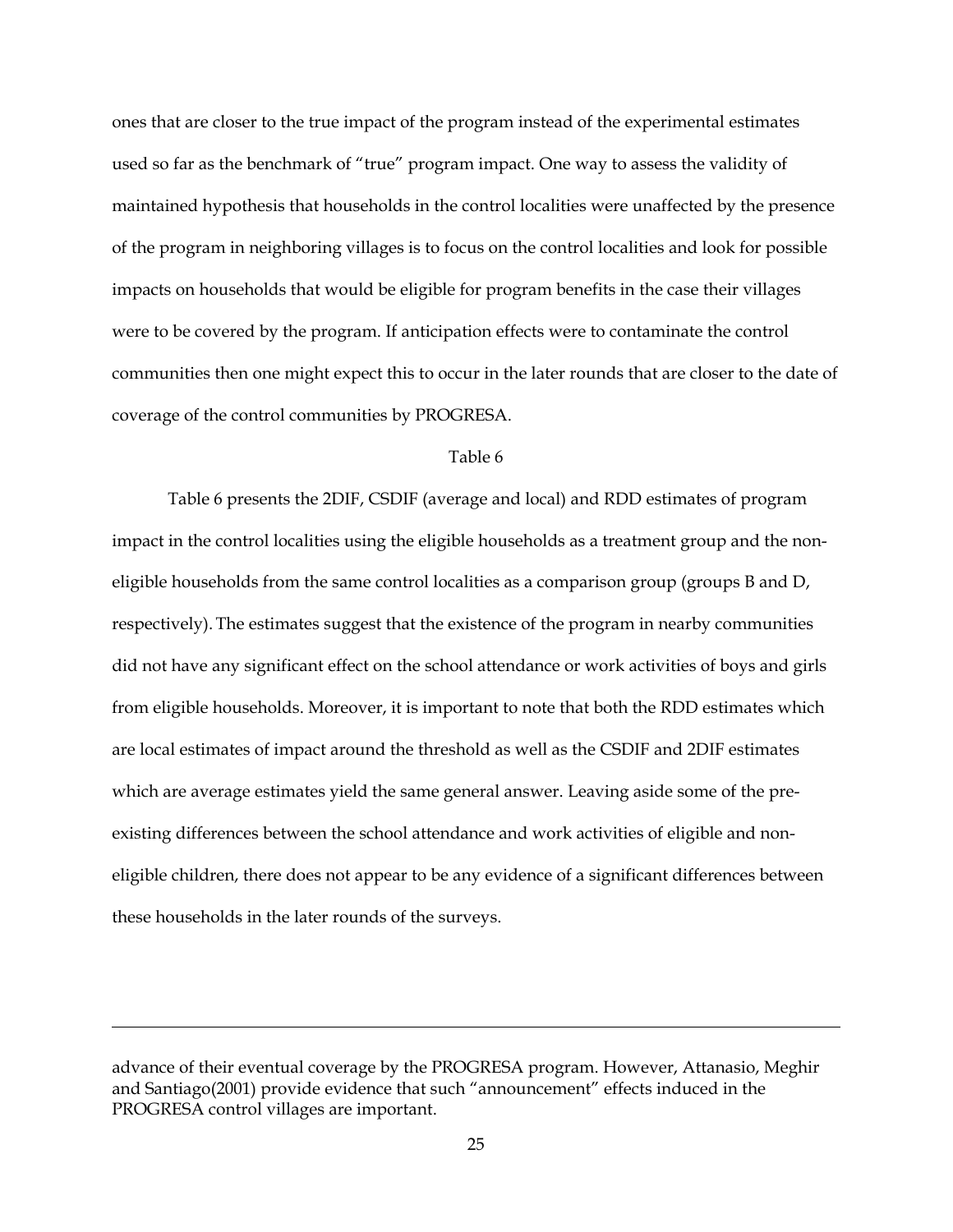ones that are closer to the true impact of the program instead of the experimental estimates used so far as the benchmark of "true" program impact. One way to assess the validity of maintained hypothesis that households in the control localities were unaffected by the presence of the program in neighboring villages is to focus on the control localities and look for possible impacts on households that would be eligible for program benefits in the case their villages were to be covered by the program. If anticipation effects were to contaminate the control communities then one might expect this to occur in the later rounds that are closer to the date of coverage of the control communities by PROGRESA.

#### Table 6

Table 6 presents the 2DIF, CSDIF (average and local) and RDD estimates of program impact in the control localities using the eligible households as a treatment group and the noneligible households from the same control localities as a comparison group (groups B and D, respectively). The estimates suggest that the existence of the program in nearby communities did not have any significant effect on the school attendance or work activities of boys and girls from eligible households. Moreover, it is important to note that both the RDD estimates which are local estimates of impact around the threshold as well as the CSDIF and 2DIF estimates which are average estimates yield the same general answer. Leaving aside some of the preexisting differences between the school attendance and work activities of eligible and noneligible children, there does not appear to be any evidence of a significant differences between these households in the later rounds of the surveys.

-

advance of their eventual coverage by the PROGRESA program. However, Attanasio, Meghir and Santiago(2001) provide evidence that such "announcement" effects induced in the PROGRESA control villages are important.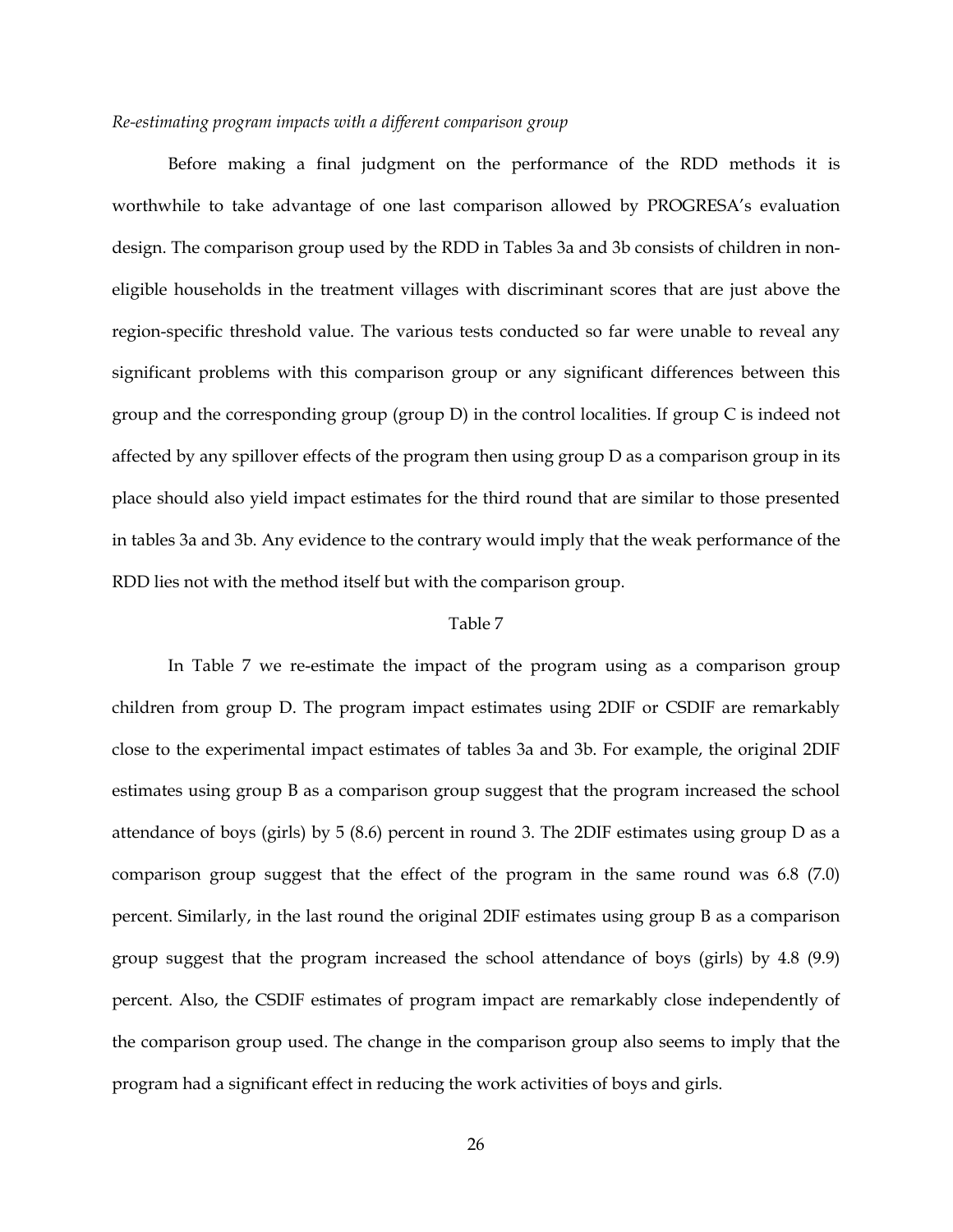#### *Re-estimating program impacts with a different comparison group*

Before making a final judgment on the performance of the RDD methods it is worthwhile to take advantage of one last comparison allowed by PROGRESA's evaluation design. The comparison group used by the RDD in Tables 3a and 3b consists of children in noneligible households in the treatment villages with discriminant scores that are just above the region-specific threshold value. The various tests conducted so far were unable to reveal any significant problems with this comparison group or any significant differences between this group and the corresponding group (group D) in the control localities. If group C is indeed not affected by any spillover effects of the program then using group D as a comparison group in its place should also yield impact estimates for the third round that are similar to those presented in tables 3a and 3b. Any evidence to the contrary would imply that the weak performance of the RDD lies not with the method itself but with the comparison group.

#### Table 7

In Table 7 we re-estimate the impact of the program using as a comparison group children from group D. The program impact estimates using 2DIF or CSDIF are remarkably close to the experimental impact estimates of tables 3a and 3b. For example, the original 2DIF estimates using group B as a comparison group suggest that the program increased the school attendance of boys (girls) by 5 (8.6) percent in round 3. The 2DIF estimates using group D as a comparison group suggest that the effect of the program in the same round was 6.8 (7.0) percent. Similarly, in the last round the original 2DIF estimates using group B as a comparison group suggest that the program increased the school attendance of boys (girls) by 4.8 (9.9) percent. Also, the CSDIF estimates of program impact are remarkably close independently of the comparison group used. The change in the comparison group also seems to imply that the program had a significant effect in reducing the work activities of boys and girls.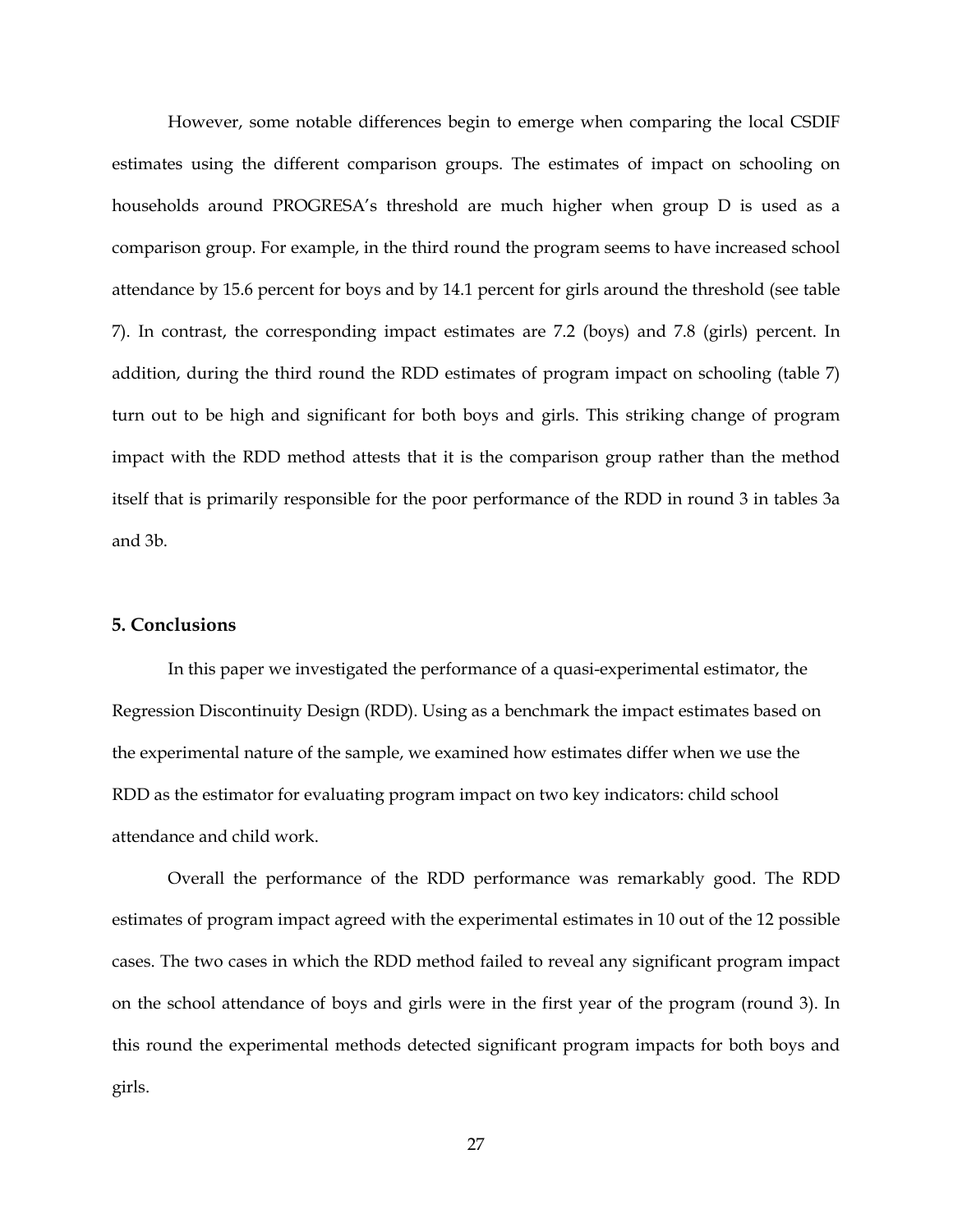However, some notable differences begin to emerge when comparing the local CSDIF estimates using the different comparison groups. The estimates of impact on schooling on households around PROGRESA's threshold are much higher when group D is used as a comparison group. For example, in the third round the program seems to have increased school attendance by 15.6 percent for boys and by 14.1 percent for girls around the threshold (see table 7). In contrast, the corresponding impact estimates are 7.2 (boys) and 7.8 (girls) percent. In addition, during the third round the RDD estimates of program impact on schooling (table 7) turn out to be high and significant for both boys and girls. This striking change of program impact with the RDD method attests that it is the comparison group rather than the method itself that is primarily responsible for the poor performance of the RDD in round 3 in tables 3a and 3b.

#### **5. Conclusions**

In this paper we investigated the performance of a quasi-experimental estimator, the Regression Discontinuity Design (RDD). Using as a benchmark the impact estimates based on the experimental nature of the sample, we examined how estimates differ when we use the RDD as the estimator for evaluating program impact on two key indicators: child school attendance and child work.

Overall the performance of the RDD performance was remarkably good. The RDD estimates of program impact agreed with the experimental estimates in 10 out of the 12 possible cases. The two cases in which the RDD method failed to reveal any significant program impact on the school attendance of boys and girls were in the first year of the program (round 3). In this round the experimental methods detected significant program impacts for both boys and girls.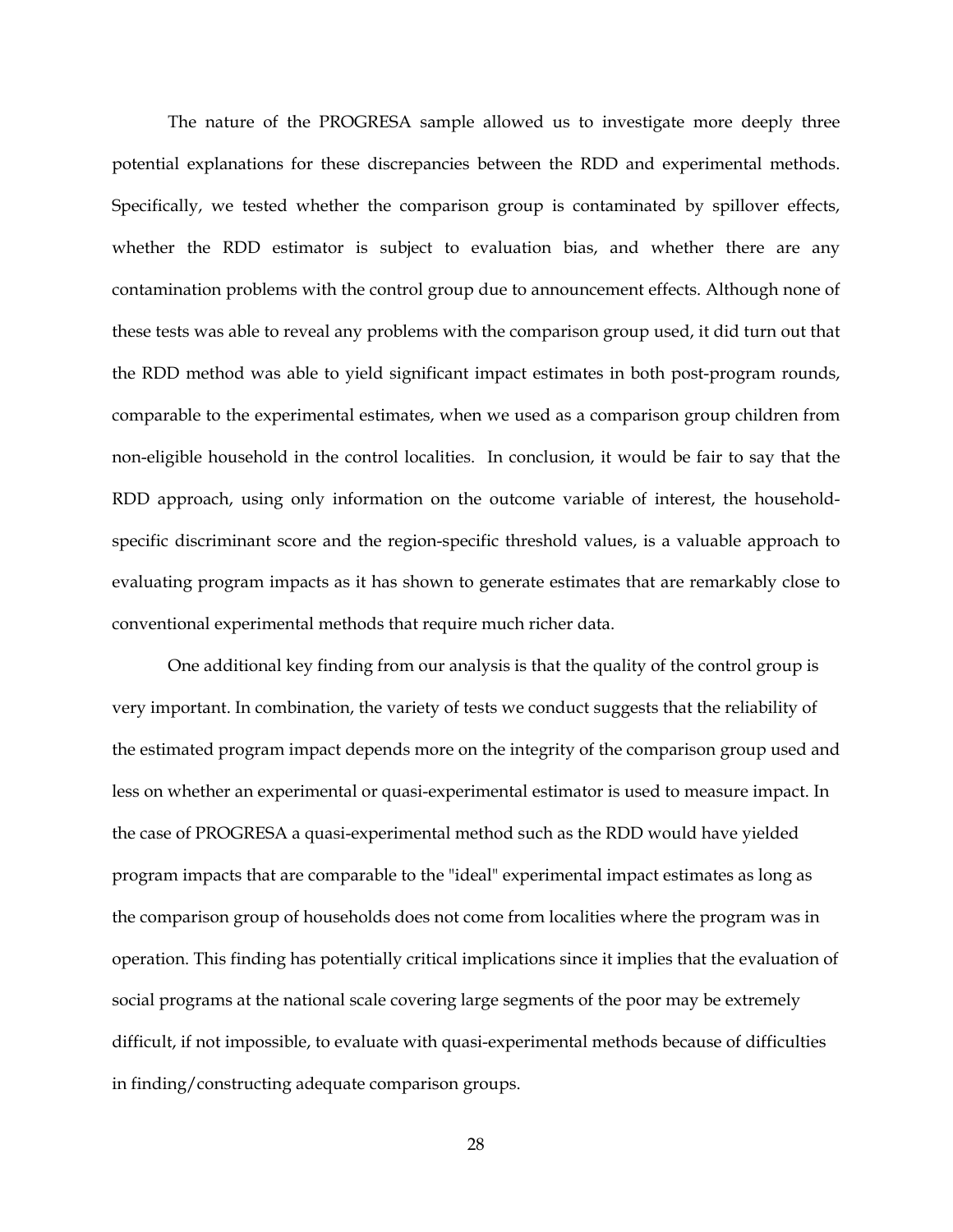The nature of the PROGRESA sample allowed us to investigate more deeply three potential explanations for these discrepancies between the RDD and experimental methods. Specifically, we tested whether the comparison group is contaminated by spillover effects, whether the RDD estimator is subject to evaluation bias, and whether there are any contamination problems with the control group due to announcement effects. Although none of these tests was able to reveal any problems with the comparison group used, it did turn out that the RDD method was able to yield significant impact estimates in both post-program rounds, comparable to the experimental estimates, when we used as a comparison group children from non-eligible household in the control localities. In conclusion, it would be fair to say that the RDD approach, using only information on the outcome variable of interest, the householdspecific discriminant score and the region-specific threshold values, is a valuable approach to evaluating program impacts as it has shown to generate estimates that are remarkably close to conventional experimental methods that require much richer data.

One additional key finding from our analysis is that the quality of the control group is very important. In combination, the variety of tests we conduct suggests that the reliability of the estimated program impact depends more on the integrity of the comparison group used and less on whether an experimental or quasi-experimental estimator is used to measure impact. In the case of PROGRESA a quasi-experimental method such as the RDD would have yielded program impacts that are comparable to the "ideal" experimental impact estimates as long as the comparison group of households does not come from localities where the program was in operation. This finding has potentially critical implications since it implies that the evaluation of social programs at the national scale covering large segments of the poor may be extremely difficult, if not impossible, to evaluate with quasi-experimental methods because of difficulties in finding/constructing adequate comparison groups.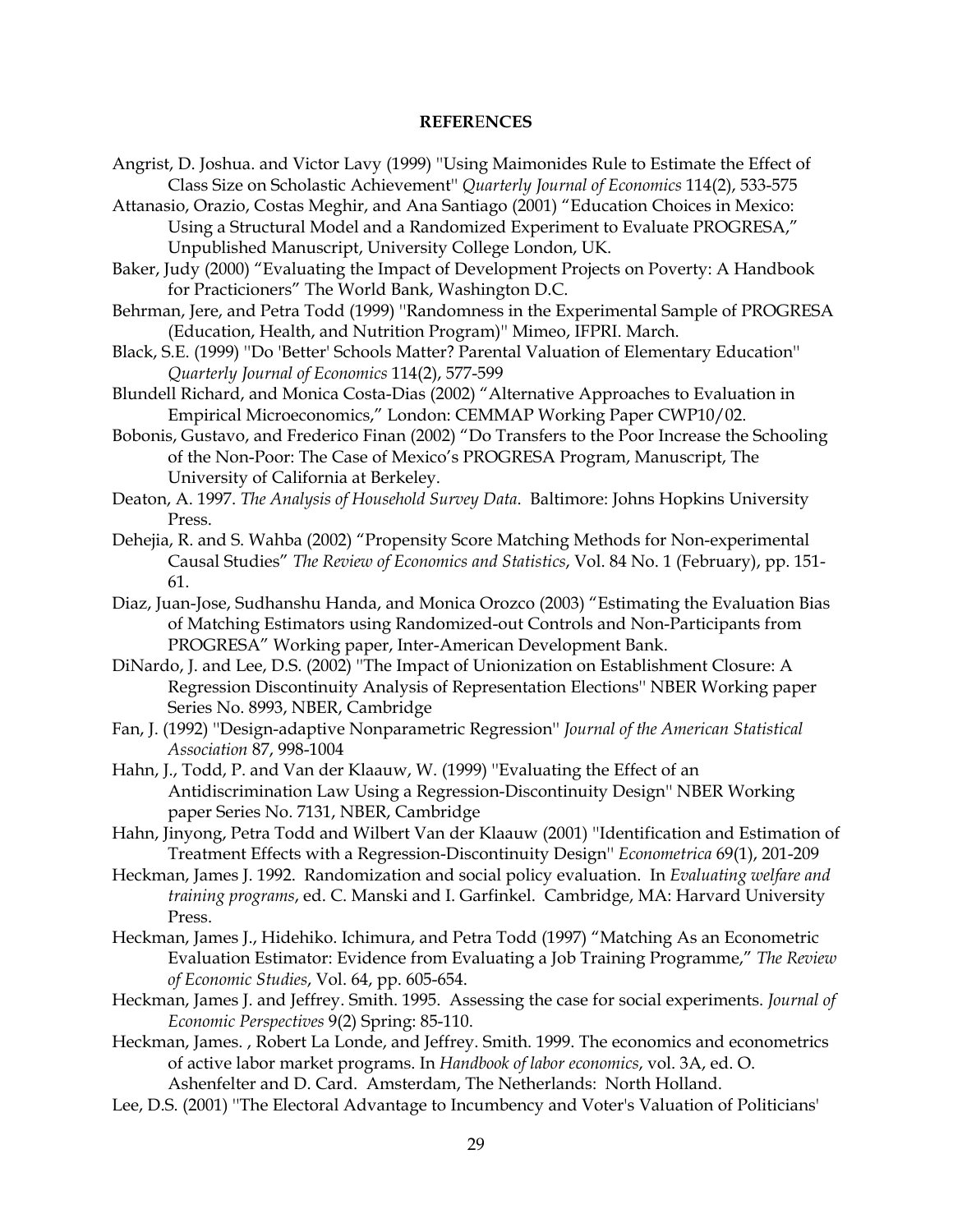#### **REFER**E**NCES**

- Angrist, D. Joshua. and Victor Lavy (1999) ''Using Maimonides Rule to Estimate the Effect of Class Size on Scholastic Achievement'' *Quarterly Journal of Economics* 114(2), 533-575
- Attanasio, Orazio, Costas Meghir, and Ana Santiago (2001) "Education Choices in Mexico: Using a Structural Model and a Randomized Experiment to Evaluate PROGRESA," Unpublished Manuscript, University College London, UK.

Baker, Judy (2000) "Evaluating the Impact of Development Projects on Poverty: A Handbook for Practicioners" The World Bank, Washington D.C.

Behrman, Jere, and Petra Todd (1999) ''Randomness in the Experimental Sample of PROGRESA (Education, Health, and Nutrition Program)'' Mimeo, IFPRI. March.

Black, S.E. (1999) ''Do 'Better' Schools Matter? Parental Valuation of Elementary Education'' *Quarterly Journal of Economics* 114(2), 577-599

Blundell Richard, and Monica Costa-Dias (2002) "Alternative Approaches to Evaluation in Empirical Microeconomics," London: CEMMAP Working Paper CWP10/02.

- Bobonis, Gustavo, and Frederico Finan (2002) "Do Transfers to the Poor Increase the Schooling of the Non-Poor: The Case of Mexico's PROGRESA Program, Manuscript, The University of California at Berkeley.
- Deaton, A. 1997. *The Analysis of Household Survey Data*. Baltimore: Johns Hopkins University Press.
- Dehejia, R. and S. Wahba (2002) "Propensity Score Matching Methods for Non-experimental Causal Studies" *The Review of Economics and Statistics*, Vol. 84 No. 1 (February), pp. 151- 61.
- Diaz, Juan-Jose, Sudhanshu Handa, and Monica Orozco (2003) "Estimating the Evaluation Bias of Matching Estimators using Randomized-out Controls and Non-Participants from PROGRESA" Working paper, Inter-American Development Bank.
- DiNardo, J. and Lee, D.S. (2002) ''The Impact of Unionization on Establishment Closure: A Regression Discontinuity Analysis of Representation Elections'' NBER Working paper Series No. 8993, NBER, Cambridge
- Fan, J. (1992) ''Design-adaptive Nonparametric Regression'' *Journal of the American Statistical Association* 87, 998-1004
- Hahn, J., Todd, P. and Van der Klaauw, W. (1999) ''Evaluating the Effect of an Antidiscrimination Law Using a Regression-Discontinuity Design'' NBER Working paper Series No. 7131, NBER, Cambridge
- Hahn, Jinyong, Petra Todd and Wilbert Van der Klaauw (2001) ''Identification and Estimation of Treatment Effects with a Regression-Discontinuity Design'' *Econometrica* 69(1), 201-209
- Heckman, James J. 1992. Randomization and social policy evaluation. In *Evaluating welfare and training programs*, ed. C. Manski and I. Garfinkel. Cambridge, MA: Harvard University Press.
- Heckman, James J., Hidehiko. Ichimura, and Petra Todd (1997) "Matching As an Econometric Evaluation Estimator: Evidence from Evaluating a Job Training Programme," *The Review of Economic Studies*, Vol. 64, pp. 605-654.
- Heckman, James J. and Jeffrey. Smith. 1995. Assessing the case for social experiments. *Journal of Economic Perspectives* 9(2) Spring: 85-110.
- Heckman, James. , Robert La Londe, and Jeffrey. Smith. 1999. The economics and econometrics of active labor market programs. In *Handbook of labor economics*, vol. 3A, ed. O. Ashenfelter and D. Card. Amsterdam, The Netherlands: North Holland.
- Lee, D.S. (2001) ''The Electoral Advantage to Incumbency and Voter's Valuation of Politicians'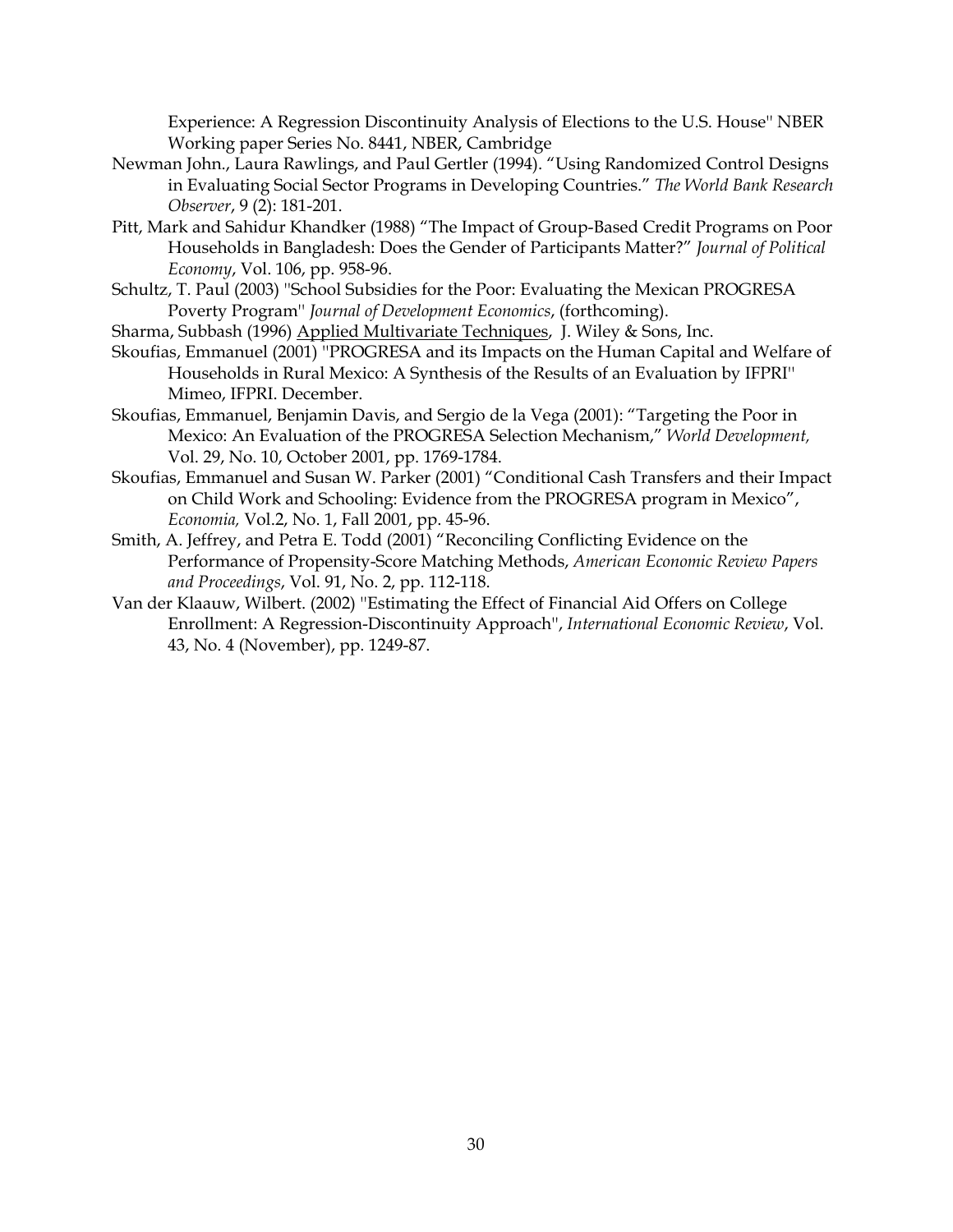Experience: A Regression Discontinuity Analysis of Elections to the U.S. House'' NBER Working paper Series No. 8441, NBER, Cambridge

- Newman John., Laura Rawlings, and Paul Gertler (1994). "Using Randomized Control Designs in Evaluating Social Sector Programs in Developing Countries." *The World Bank Research Observer*, 9 (2): 181-201.
- Pitt, Mark and Sahidur Khandker (1988) "The Impact of Group-Based Credit Programs on Poor Households in Bangladesh: Does the Gender of Participants Matter?" *Journal of Political Economy*, Vol. 106, pp. 958-96.
- Schultz, T. Paul (2003) ''School Subsidies for the Poor: Evaluating the Mexican PROGRESA Poverty Program'' *Journal of Development Economics*, (forthcoming).
- Sharma, Subbash (1996) Applied Multivariate Techniques, J. Wiley & Sons, Inc.
- Skoufias, Emmanuel (2001) ''PROGRESA and its Impacts on the Human Capital and Welfare of Households in Rural Mexico: A Synthesis of the Results of an Evaluation by IFPRI'' Mimeo, IFPRI. December.
- Skoufias, Emmanuel, Benjamin Davis, and Sergio de la Vega (2001): "Targeting the Poor in Mexico: An Evaluation of the PROGRESA Selection Mechanism," *World Development,* Vol. 29, No. 10, October 2001, pp. 1769-1784.
- Skoufias, Emmanuel and Susan W. Parker (2001) "Conditional Cash Transfers and their Impact on Child Work and Schooling: Evidence from the PROGRESA program in Mexico", *Economia,* Vol.2, No. 1, Fall 2001, pp. 45-96.
- Smith, A. Jeffrey, and Petra E. Todd (2001) "Reconciling Conflicting Evidence on the Performance of Propensity-Score Matching Methods, *American Economic Review Papers and Proceedings*, Vol. 91, No. 2, pp. 112-118.
- Van der Klaauw, Wilbert. (2002) ''Estimating the Effect of Financial Aid Offers on College Enrollment: A Regression-Discontinuity Approach'', *International Economic Review*, Vol. 43, No. 4 (November), pp. 1249-87.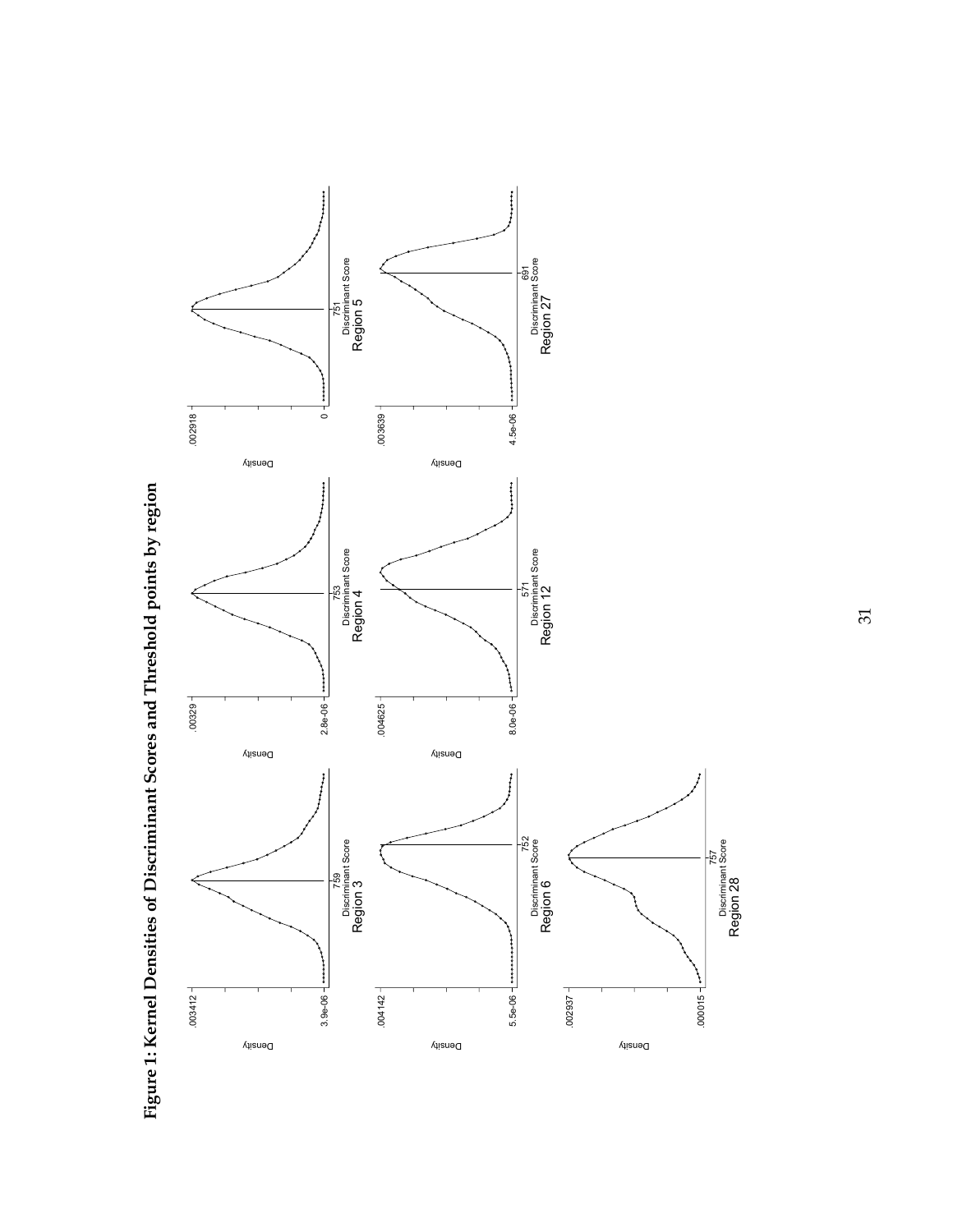

Figure 1: Kernel Densities of Discriminant Scores and Threshold points by region **Figure 1: Kernel Densities of Discriminant Scores and Threshold points by region** 

31

Region 28

Discriminant Score 757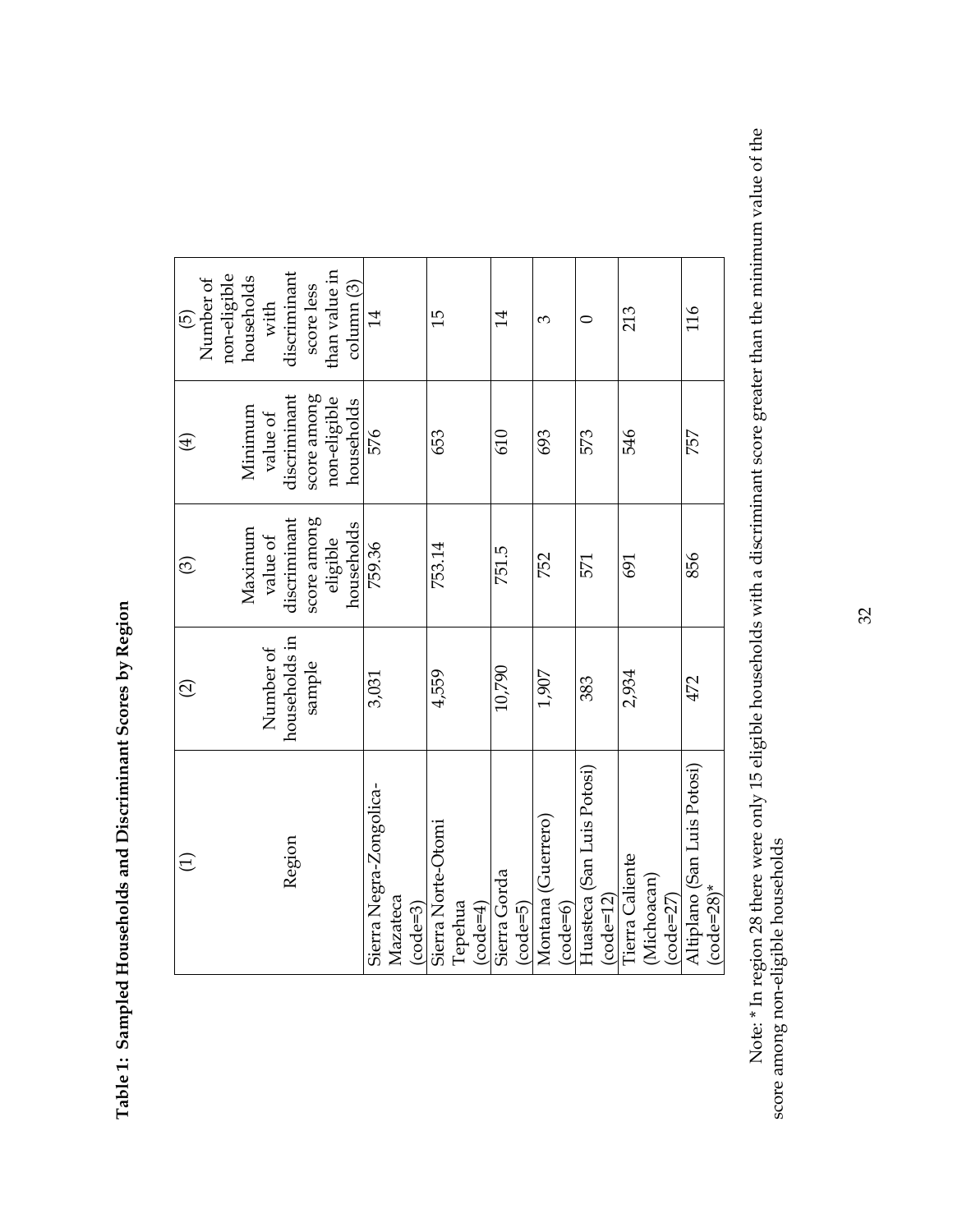| $\widehat{\mathcal{O}}$ | $\odot$                | $\bigoplus$                | $\widehat{\Theta}$                   |
|-------------------------|------------------------|----------------------------|--------------------------------------|
|                         |                        |                            | non-eligible<br>Number of            |
| Number of               | Maximum<br>value of    | Minimum<br>value of        | households<br>with                   |
| households in           | discriminant           | discriminant               | discriminant                         |
| sample                  | score among            | score among                | score less                           |
|                         | households<br>eligible | non-eligible<br>households | than value in<br>$\text{column} (3)$ |
| 3,031                   | 759.36                 | 576                        | $\overline{14}$                      |
|                         |                        |                            |                                      |
| 4,559                   | 753.14                 | 653                        | 15                                   |
|                         |                        |                            |                                      |
|                         |                        |                            |                                      |
| 10,790                  | 751.5                  | 610                        | 14                                   |
|                         |                        |                            |                                      |
| 1,907                   | 752                    | 693                        | 3                                    |
|                         |                        |                            |                                      |
| 383                     | 571                    | 573                        | 0                                    |
|                         |                        |                            |                                      |
| 2,934                   | 691                    | 546                        | 213                                  |
|                         |                        |                            |                                      |
|                         |                        |                            |                                      |
| 472                     | 856                    | 757                        | 116                                  |
|                         |                        |                            |                                      |

Table 1: Sampled Households and Discriminant Scores by Region **Table 1: Sampled Households and Discriminant Scores by Region** 

Note: \* In region 28 there were only 15 eligible households with a discriminant score greater than the minimum value of the<br>score among non-eligible households Note: \* In region 28 there were only 15 eligible households with a discriminant score greater than the minimum value of the score among non-eligible households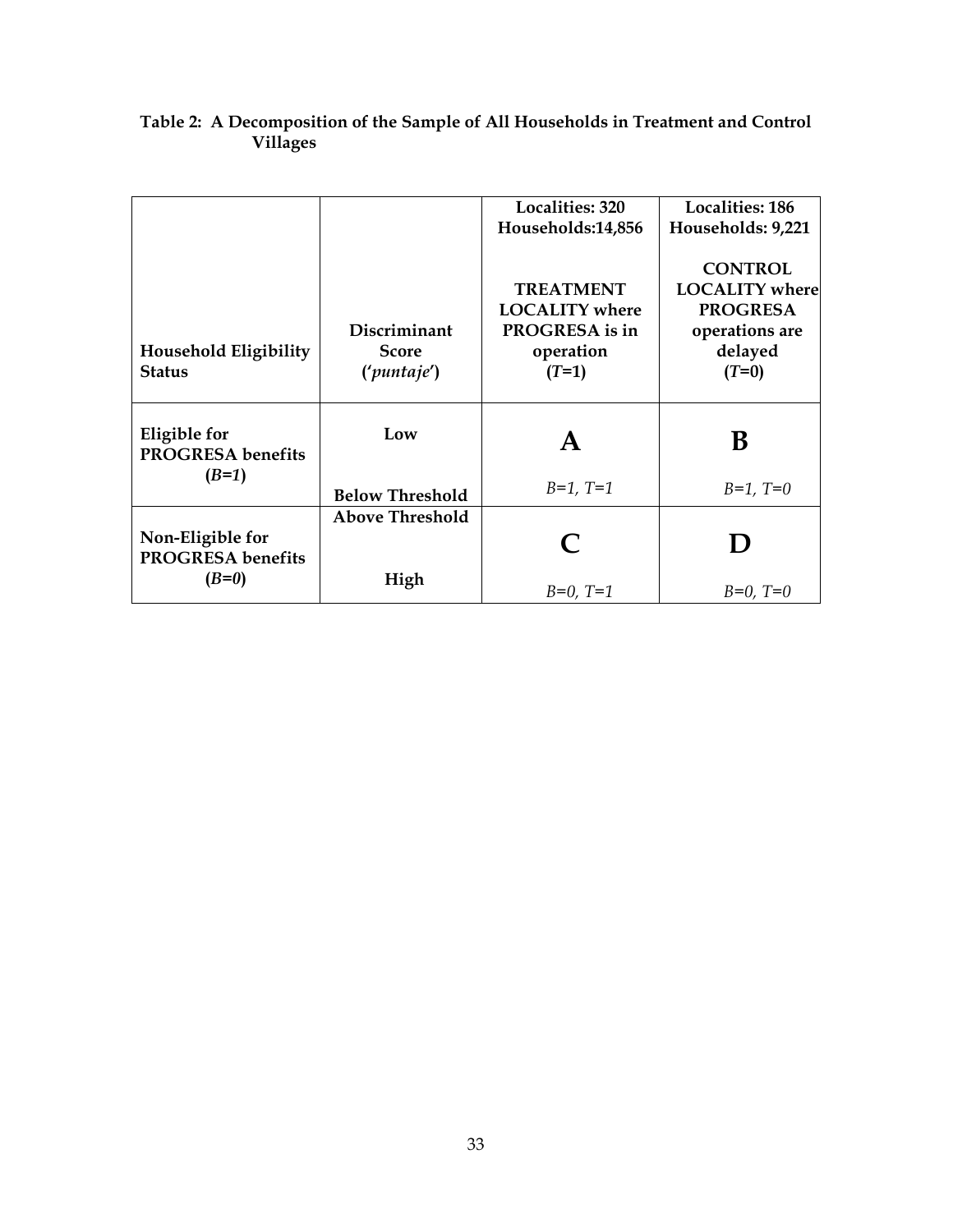|                              |                        | Localities: 320       | <b>Localities: 186</b> |
|------------------------------|------------------------|-----------------------|------------------------|
|                              |                        | Households:14,856     | Households: 9,221      |
|                              |                        |                       |                        |
|                              |                        |                       |                        |
|                              |                        |                       | <b>CONTROL</b>         |
|                              |                        | <b>TREATMENT</b>      | <b>LOCALITY</b> where  |
|                              |                        | <b>LOCALITY</b> where | <b>PROGRESA</b>        |
|                              |                        |                       |                        |
|                              | Discriminant           | PROGRESA is in        | operations are         |
| <b>Household Eligibility</b> | <b>Score</b>           | operation             | delayed                |
| <b>Status</b>                | ('puntaje')            | $(T=1)$               | $(T=0)$                |
|                              |                        |                       |                        |
|                              |                        |                       |                        |
|                              |                        |                       |                        |
| Eligible for                 | Low                    |                       |                        |
|                              |                        | A                     | B                      |
| <b>PROGRESA</b> benefits     |                        |                       |                        |
| $(B=1)$                      |                        |                       |                        |
|                              | <b>Below Threshold</b> | $B=1, T=1$            | $B=1, T=0$             |
|                              |                        |                       |                        |
|                              | <b>Above Threshold</b> |                       |                        |
| Non-Eligible for             |                        |                       | $\bf{D}$               |
| <b>PROGRESA</b> benefits     |                        |                       |                        |
|                              |                        |                       |                        |
| $(B=0)$                      | High                   | $B=0, T=1$            | $B=0, T=0$             |
|                              |                        |                       |                        |

#### **Table 2: A Decomposition of the Sample of All Households in Treatment and Control Villages**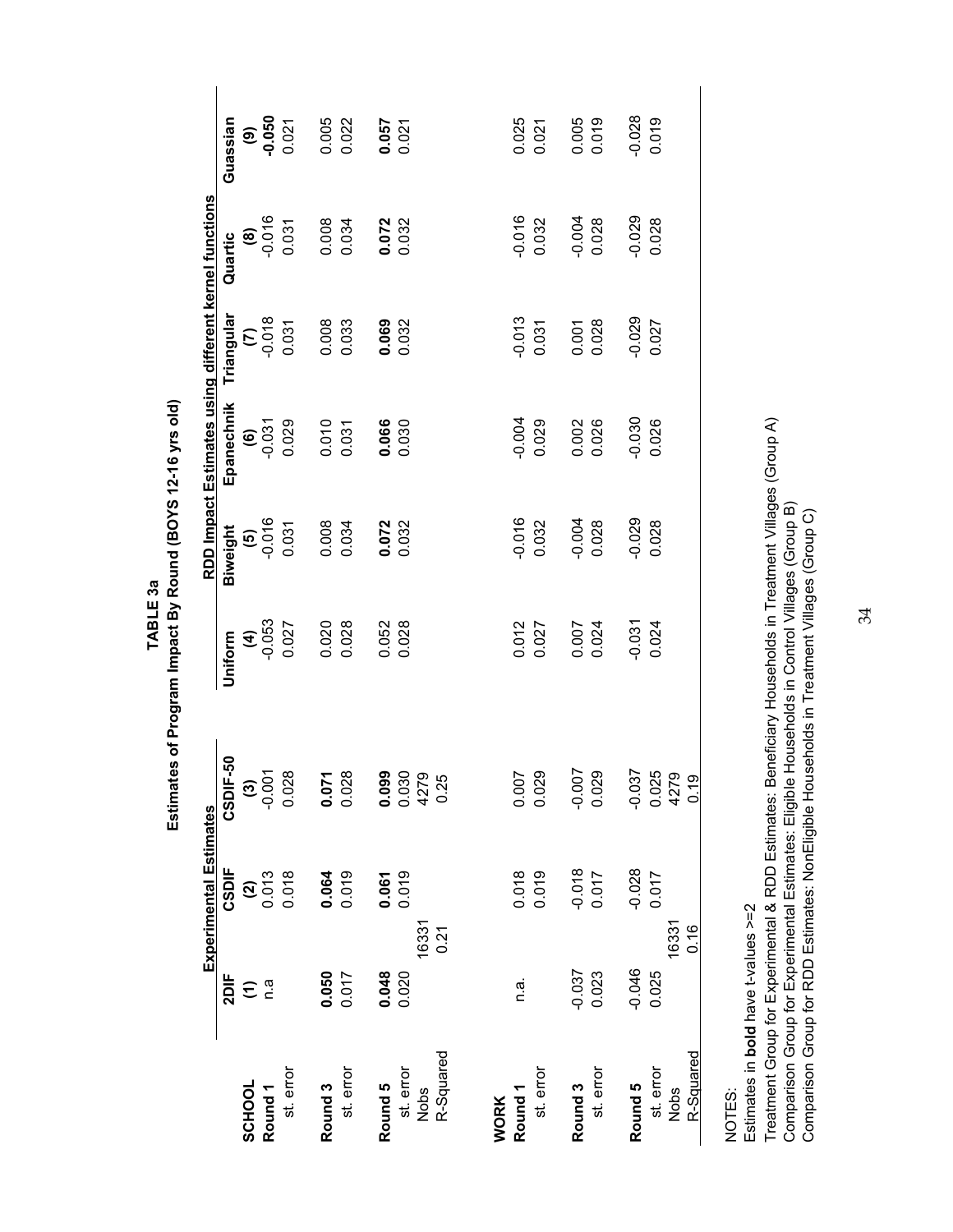Estimates of Program Impact By Round (BOYS 12-16 yrs old) **Estimates of Program Impact By Round (BOYS 12-16 yrs old)** TABLE<sub>3a</sub> **TABLE 3a**

|                                 |                  | <b>Experimental Estimates</b> |                                                                                 |                          |          | RDD Impact Estimates using different kernel functions |                    |                        |                  |  |
|---------------------------------|------------------|-------------------------------|---------------------------------------------------------------------------------|--------------------------|----------|-------------------------------------------------------|--------------------|------------------------|------------------|--|
|                                 | 2DIF             | CSDIF                         | CSDIF-50                                                                        | Uniform                  | Biweight | Epanechnik                                            | Triangular         | Quartic                | Guassian         |  |
| SCHOOL                          | $\widehat{\tau}$ |                               |                                                                                 |                          |          |                                                       |                    | $\widehat{\mathbf{e}}$ | $(9)$<br>0.050   |  |
| Round <sub>1</sub>              | n.a              | $\frac{2}{2}$                 | $\begin{array}{c} \textbf{(3)} \\ \textbf{0.001} \\ \textbf{0.028} \end{array}$ |                          | $60^{0}$ | $60^{0}$                                              | $rac{610}{20}$     | $-0.016$               |                  |  |
| st. error                       |                  | 0.018                         |                                                                                 | (4)<br>$-0.053$<br>0.027 | 0.031    | 0.029                                                 | 0.031              | 0.031                  | 0.021            |  |
| Round <sub>3</sub>              | 0.050            | 0.064                         | $\overline{\phantom{0}}$<br>0.07                                                | 0.020                    | 0.008    | 0.010                                                 | 0.008              | 0.008                  | 0.005            |  |
| st. error                       | 0.017            | 0.019                         | 0.028                                                                           | 0.028                    | 0.034    | 0.031                                                 | 0.033              | 0.034                  | 0.022            |  |
| Round 5                         | 0.048            | 0.061                         | 0.099                                                                           | 0.052                    | 0.072    | 0.066                                                 | 0.069              | 0.072<br>0.032         | $0.057$<br>0.021 |  |
| st. error                       | 0.020            | 0.019                         |                                                                                 | 0.028                    | 0.032    | 0.030                                                 | 0.032              |                        |                  |  |
| R-Squared<br>Nobs               | 16331<br>0.21    |                               | 0.030<br>4279<br>0.25                                                           |                          |          |                                                       |                    |                        |                  |  |
| <b>WORK</b>                     |                  |                               |                                                                                 |                          |          |                                                       |                    |                        |                  |  |
| Round <sub>1</sub>              | n.a.             | 0.018                         | 0.007                                                                           | 0.012                    | $-0.016$ | $-0.004$                                              | $-0.013$           | $-0.016$               | 0.025            |  |
| st. error                       |                  | 0.019                         | 0.029                                                                           | 0.027                    | 0.032    | 0.029                                                 | 0.031              | 0.032                  | 0.021            |  |
| Round <sub>3</sub>              | $-0.037$         | $-0.018$                      | $-0.007$                                                                        | 0.007<br>0.024           | $-0.004$ | 0.002                                                 | $0.001$<br>$0.028$ | $-0.004$               | 0.005            |  |
| st. error                       | 0.023            | 0.017                         | 0.029                                                                           |                          | 0.028    | 0.026                                                 |                    | 0.028                  | 0.019            |  |
| Round 5                         | $-0.046$         | $-0.028$                      | $-0.037$                                                                        | $-0.031$                 | $-0.029$ | $-0.030$                                              | $-0.029$           | $-0.029$               | $-0.028$         |  |
| st. error                       | 0.025            | 0.017                         | 0.025<br>4279                                                                   | 0.024                    | 0.028    | 0.026                                                 | 0.027              | 0.028                  | 0.019            |  |
| <u>R-Squared</u><br><b>Nobs</b> | 16331<br>0.16    |                               | 0.19                                                                            |                          |          |                                                       |                    |                        |                  |  |
|                                 |                  |                               |                                                                                 |                          |          |                                                       |                    |                        |                  |  |
|                                 |                  |                               |                                                                                 |                          |          |                                                       |                    |                        |                  |  |

NOTES:

Estimates in bold have t-values >=2 Estimates in **bold** have t-values >=2

Treatment Group for Experimental & RDD Estimates: Beneficiary Households in Treatment Villages (Group A)<br>Comparison Group for Experimental Estimates: Eligible Households in Control Villages (Group B)<br>Comparison Group for R Treatment Group for Experimental & RDD Estimates: Beneficiary Households in Treatment Villages (Group A) Comparison Group for Experimental Estimates: Eligible Households in Control Villages (Group B) Comparison Group for RDD Estimates: NonEligible Households in Treatment Villages (Group C)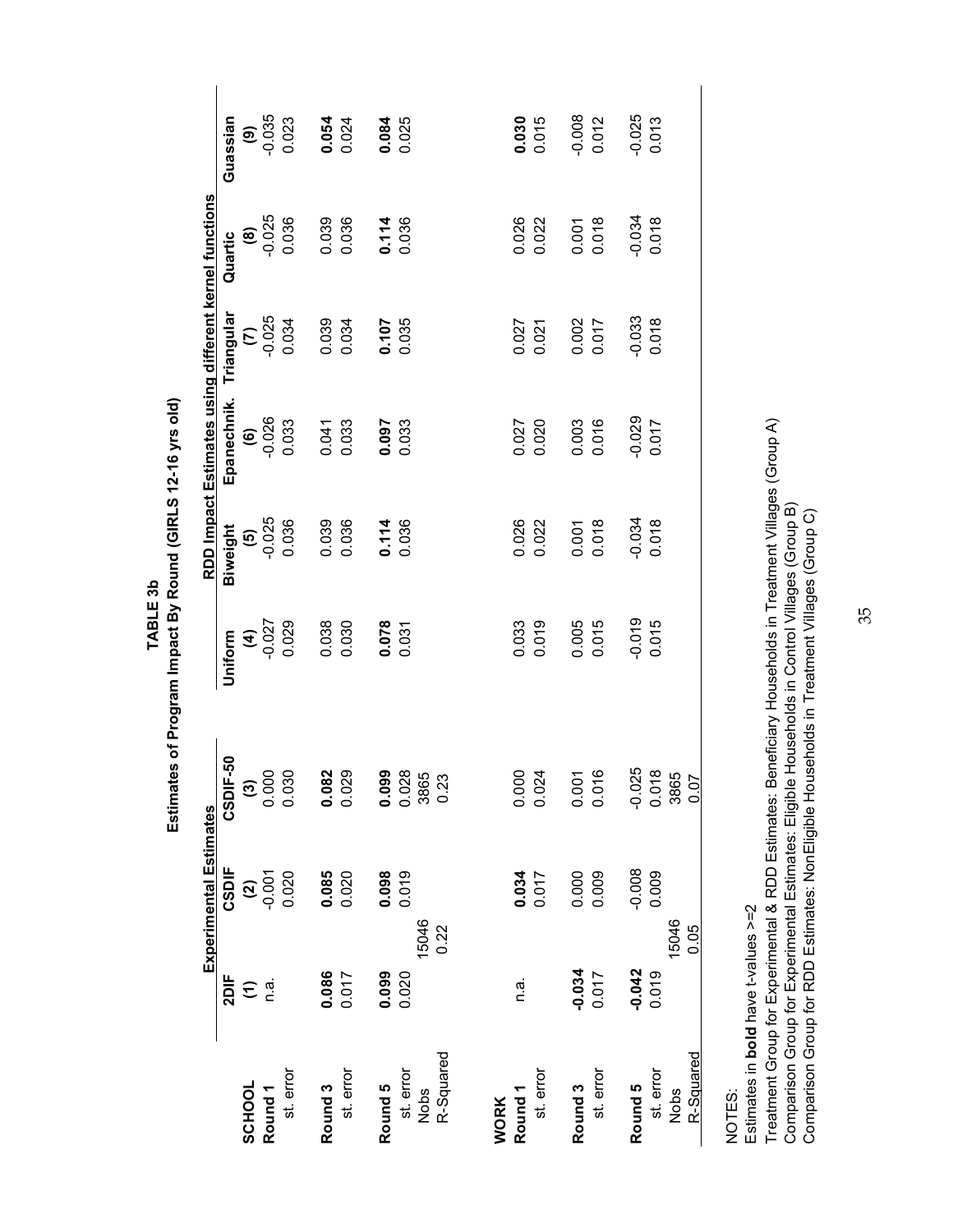|                    |                      | <b>Experimental Estimates</b> |                                                               |                 |                   | RDD Impact Estimates using different kernel functions |                   |                   |                   |
|--------------------|----------------------|-------------------------------|---------------------------------------------------------------|-----------------|-------------------|-------------------------------------------------------|-------------------|-------------------|-------------------|
|                    | 2DIF                 | CSDIF                         | 50<br>CSDIF-                                                  | Uniform         | Biweight          | Epanechnik.                                           | Triangular        | Quartic           | Guassian          |
| SCHOOL             | $\widehat{\epsilon}$ |                               |                                                               |                 |                   |                                                       |                   |                   |                   |
| Round <sub>1</sub> | n.a.                 | $\frac{1}{2}$                 | $\begin{array}{c} \textbf{(3)} \\ 0.000 \\ 0.030 \end{array}$ | (4)<br>$-0.027$ | $\frac{6}{0.025}$ | $(6)$<br>-0.026                                       | $(7)$<br>$-0.025$ | $(8)$<br>$-0.025$ | $(9)$<br>$-0.035$ |
| st. error          |                      | 0.020                         |                                                               | 0.029           | 0.036             | 0.033                                                 | 0.034             | 0.036             | 0.023             |
| Round <sub>3</sub> | 0.086                | 0.085                         |                                                               | 0.038           | 0.039             | 0.041                                                 | 0.039             | 0.039             | 0.054             |
| st. error          | 0.017                | 0.020                         | 0.082<br>0.029                                                | 0.030           | 0.036             | 0.033                                                 | 0.034             | 0.036             | 0.024             |
| Round 5            | 0.099                | 0.098                         |                                                               | 0.078           | 0.114             | 0.097                                                 | 0.107             |                   | 0.084             |
| st. error          | 0.020                | 0.019                         | 0.099<br>0.028<br>3865                                        | 0.031           | 0.036             | 0.033                                                 |                   | 0.114<br>0.036    | 0.025             |
| Nobs               | 15046                |                               |                                                               |                 |                   |                                                       |                   |                   |                   |
| R-Squared          | 0.22                 |                               | 0.23                                                          |                 |                   |                                                       |                   |                   |                   |
| <b>WORK</b>        |                      |                               |                                                               |                 |                   |                                                       |                   |                   |                   |
| Round <sub>1</sub> | n.a.                 | 0.034                         | 0.000                                                         | 0.033           | 0.026             | 0.027                                                 | 0.027             | 0.026             | 0.030             |
| st. error          |                      | 0.017                         | 0.024                                                         | 0.019           | 0.022             | 0.020                                                 | 0.021             | 0.022             | 0.015             |
| Round <sub>3</sub> | $-0.034$             | 0.000<br>0.009                | 0.001                                                         | 0.005<br>0.015  | 0.001<br>0.018    | 0.003                                                 | 0.002<br>0.017    | 0.001<br>0.018    | $-0.008$          |
| st. error          | 0.017                |                               | 0.016                                                         |                 |                   | 0.016                                                 |                   |                   | 0.012             |
| Round 5            | $-0.042$             | $-0.008$                      | $-0.025$                                                      | $-0.019$        | $-0.034$          | $-0.029$                                              | $-0.033$          | $-0.034$          | $-0.025$          |
| st. error          | 0.019                | 0.009                         | 0.018<br>3865                                                 | 0.015           | 0.018             | 0.017                                                 | 0.018             | 0.018             | 0.013             |
| <b>Nobs</b>        | 15046<br>0.05        |                               | 0.07                                                          |                 |                   |                                                       |                   |                   |                   |
| R-Squared          |                      |                               |                                                               |                 |                   |                                                       |                   |                   |                   |
|                    |                      |                               |                                                               |                 |                   |                                                       |                   |                   |                   |

Estimates in bold have t-values >=2 Estimates in **bold** have t-values >=2 NOTES:

Treatment Group for Experimental & RDD Estimates: Beneficiary Households in Treatment Villages (Group A)<br>Comparison Group for Experimental Estimates: Eligible Households in Control Villages (Group B)<br>Comparison Group for R Treatment Group for Experimental & RDD Estimates: Beneficiary Households in Treatment Villages (Group A) Comparison Group for Experimental Estimates: Eligible Households in Control Villages (Group B)

Comparison Group for RDD Estimates: NonEligible Households in Treatment Villages (Group C)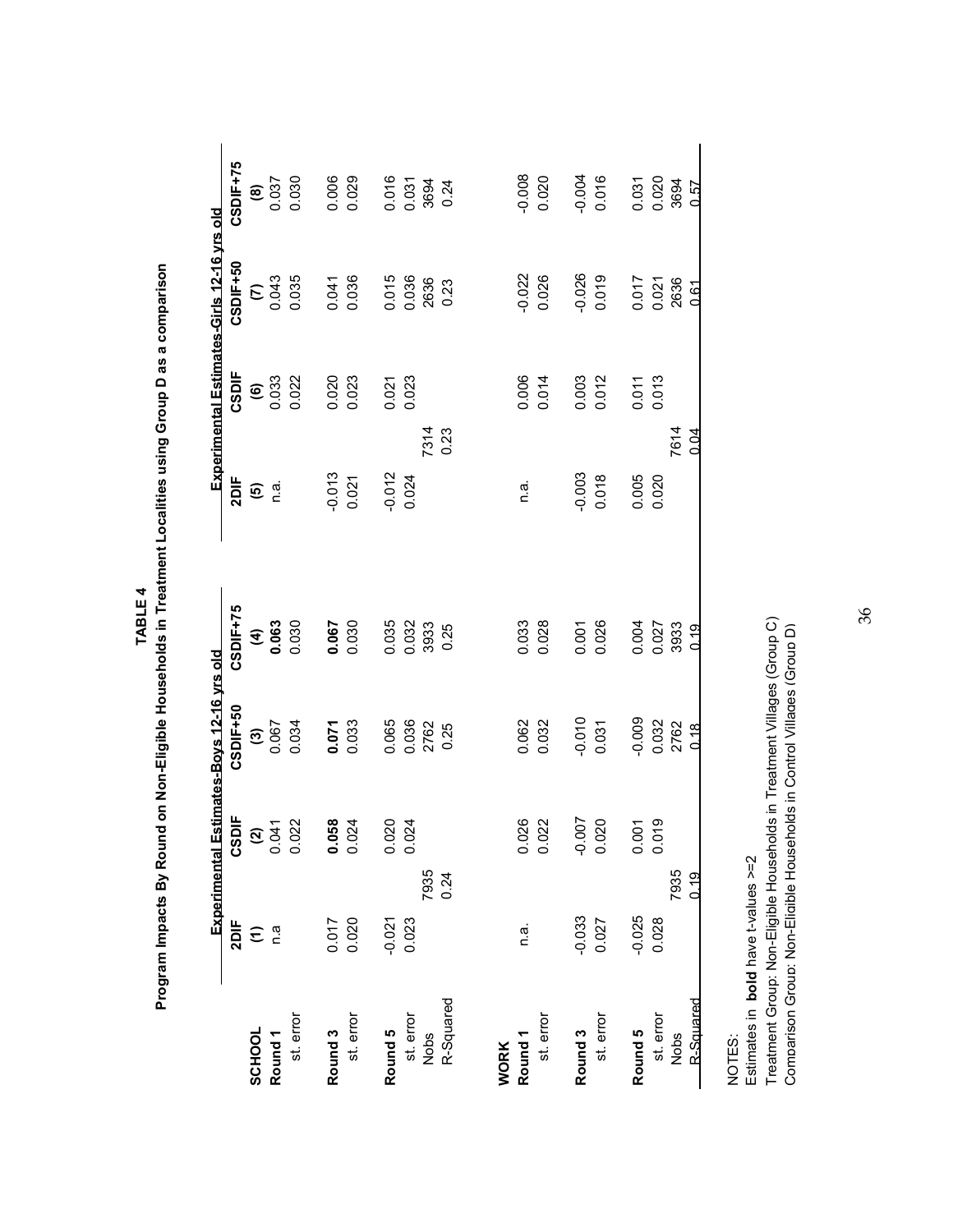|                    |                      |                                        | Experimental Estimates-Boys 12-16 yrs old |                |          |                                                               | <b>Experimental Estimates-Girls 12-16 yrs old</b> |                |
|--------------------|----------------------|----------------------------------------|-------------------------------------------|----------------|----------|---------------------------------------------------------------|---------------------------------------------------|----------------|
|                    | 2DIF                 |                                        | CSDIF+50                                  | CSDIF+75       | 2DIF     | CSDIF                                                         | CSDIF+50                                          | CSDIF+75       |
| SCHOOL             | $\widehat{\epsilon}$ | $CSDIF$<br>$(2)$<br>$0.041$<br>$0.022$ |                                           |                |          |                                                               |                                                   |                |
| Round <sub>1</sub> | n.a                  |                                        | $(3)$<br>0.067                            | $(4)$<br>0.063 | စ် ဖြ    | $\begin{array}{c} \textbf{(6)} \\ \textbf{0.033} \end{array}$ | $\frac{6}{3}$                                     | $(8)$<br>0.037 |
| st. error          |                      |                                        | 0.034                                     | 0.030          |          | 0.022                                                         | 0.035                                             | 0.030          |
| Round <sub>3</sub> | 0.017                |                                        |                                           |                | $-0.013$ | 0.020                                                         | 0.041                                             | 0.006          |
| st. error          | 0.020                | $0.058$<br>$0.024$                     | 0.033                                     | 0.067          | 0.021    | 0.023                                                         | 0.036                                             | 0.029          |
| Round 5            | $-0.021$             | 0.020                                  | 0.065                                     | 0.035          | $-0.012$ | 0.021                                                         | 0.015                                             | 0.016          |
| st. error          | 0.023                | 0.024                                  | 0.036<br>2762                             | 0.032          | 0.024    | 0.023                                                         | 0.036<br>2636                                     | 0.031<br>3694  |
| Nobs               | 7935                 |                                        |                                           | 3933           | 7314     |                                                               |                                                   |                |
| R-Squared          | 0.24                 |                                        | 0.25                                      | 0.25           | 0.23     |                                                               | 0.23                                              | 0.24           |
| <b>WORK</b>        |                      |                                        |                                           |                |          |                                                               |                                                   |                |
| Round <sub>1</sub> | n.a.                 | 0.026<br>0.022                         | 0.062                                     | 0.033          | n.a.     | 0.006                                                         | $-0.022$                                          | $-0.008$       |
| st. error          |                      |                                        | 0.032                                     | 0.028          |          | 0.014                                                         | 0.026                                             | 0.020          |
| Round <sub>3</sub> | $-0.033$             |                                        | $-0.010$                                  | 0.001          | $-0.003$ | 0.003                                                         | $-0.026$                                          | $-0.004$       |
| st. error          | 0.027                | $-0.007$<br>0.020                      | 0.031                                     | 0.026          | 0.018    | 0.012                                                         | 0.019                                             | 0.016          |
| Round 5            | $-0.025$             | 0.001                                  | $-0.009$                                  | 0.004          | 0.005    | 0.011                                                         |                                                   | 0.031          |
| st. error          | 0.028                | 0.019                                  | 0.032                                     | 0.027          | 0.020    | 0.013                                                         | 0.017<br>0.021<br>2636                            | 0.020          |
| Nobs               | 7935                 |                                        | 2762                                      | 3933           | 7614     |                                                               |                                                   | 3694           |
| R-Squared          | 0.19                 |                                        | 0.18                                      | 0.19           | 0.04     |                                                               | 0.61                                              | 0.57           |
|                    |                      |                                        |                                           |                |          |                                                               |                                                   |                |

Program Impacts By Round on Non-Eligible Households in Treatment Localities using Group D as a comparison **Program Impacts By Round on Non-Eligible Households in Treatment Localities using Group D as a comparison** TABLE 4 **TABLE 4**

NOTES: NOTES:

Estimates in **bold** have t-values >=2

Estimates in **bold** have t-values >=2<br>Treatment Group: Non-Eligible Households in Treatment Villages (Group C)<br>Comparison Group: Non-Eligible Households in Control Villages (Group D) Treatment Group: Non-Eligible Households in Treatment Villages (Group C) Comparison Group: Non-Eligible Households in Control Villages (Group D)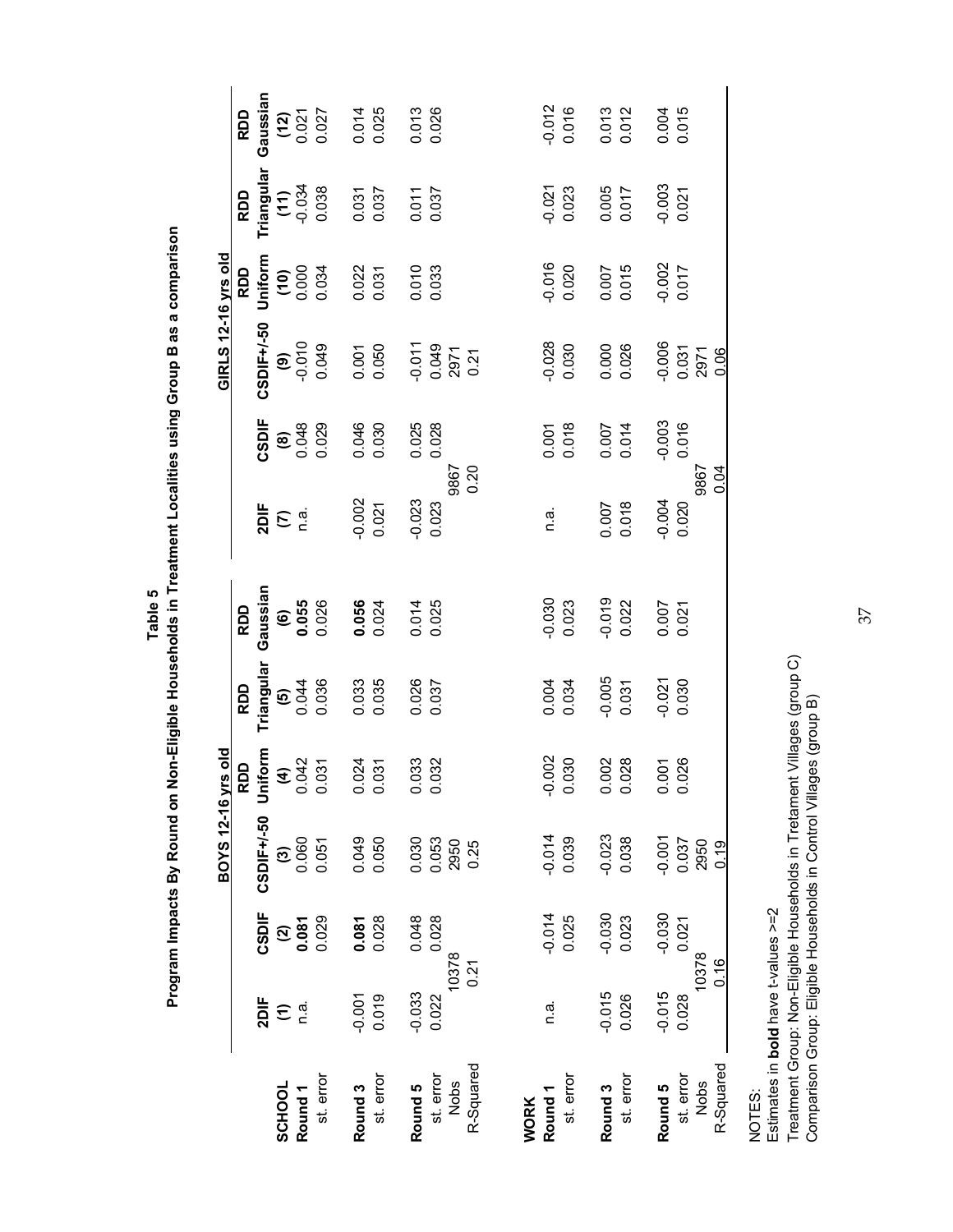| u<br>J<br>J | $\frac{1}{3}$<br>j<br>j<br>ה<br>י<br>ï<br>a<br>ó<br>ן<br>י<br>$\vdots$<br>١<br>$\ddot{ }$<br>j<br>í |
|-------------|-----------------------------------------------------------------------------------------------------|
|-------------|-----------------------------------------------------------------------------------------------------|

|                                                  |                                               |                                          |                                                                                                                                |                   |                                                                                           |                                            |                                     |                                | <b>GIRLS 12-16 yrs old</b>            |                                            |                                              |                                                        |
|--------------------------------------------------|-----------------------------------------------|------------------------------------------|--------------------------------------------------------------------------------------------------------------------------------|-------------------|-------------------------------------------------------------------------------------------|--------------------------------------------|-------------------------------------|--------------------------------|---------------------------------------|--------------------------------------------|----------------------------------------------|--------------------------------------------------------|
| st. error<br>SCHOOL<br>Round <sub>1</sub>        | 2DIF<br>n.a.<br>$\widehat{\boldsymbol{\tau}}$ | CSDIF<br>0.029<br>$\frac{2}{3}$<br>0.081 | <b>BOYS 12-16 yrs old</b><br><b>RDD</b><br><b>CSDIF+/-50 Uniform</b><br>(3)<br>(3)<br>0.060 0.042<br>0.051 0.031<br>CSDIF+/-50 |                   | <b>Triangular</b><br>$\begin{array}{c} \textbf{(5)} \\ 0.044 \\ 0.036 \end{array}$<br>RDD | Gaussian<br>$(6)$<br>0.055<br>0.026<br>RDD | $2DIF$<br>$(7)$<br>$R$ .            | CSDIF<br>(8)<br>0.048<br>0.029 | CSDIF+/-50<br>$(9)$<br>0.010<br>0.049 | Uniform<br>$(10)$<br>0.000<br>0.034<br>RDD | Triangular<br>(11)<br>-0.034<br>0.038<br>RDD | Gaussian $(12)$<br>$(12)$<br>$0.021$<br>$0.027$<br>RDD |
| st. error<br>Round <sub>3</sub>                  | 0.019<br>$-0.001$                             | 0.028<br>0.081                           | 0.049<br>0.050                                                                                                                 | 0.024             | 0.033<br>0.035                                                                            | $0.056$<br>0.024                           | $-0.002$<br>$0.021$                 | 0.046<br>0.030                 | 0.001<br>0.050                        | 0.022                                      | 0.031                                        | 0.014<br>0.025                                         |
| R-Squared<br>st. error<br><b>Nobs</b><br>Round 5 | 10378<br>0.21<br>$-0.033$<br>0.022            | 0.028<br>0.048                           | 0.030<br>0.053<br>2950<br>0.25                                                                                                 | 0.033<br>0.032    | 0.026<br>0.037                                                                            | 0.014<br>0.025                             | 9867<br>0.20<br>$-0.023$<br>$0.023$ | 0.025<br>0.028                 | 0.011<br>0.049<br>0.071<br>0.21       | 0.010<br>0.033                             | 0.011<br>0.037                               | 0.013<br>0.026                                         |
| st. error<br>Round <sub>1</sub><br><b>WORK</b>   | n.a.                                          | $-0.014$<br>0.025                        | $-0.014$<br>0.039                                                                                                              | $-0.002$<br>0.030 | 0.004<br>0.034                                                                            | $-0.030$<br>$0.023$                        | n.a.                                | 0.001<br>0.018                 | $-0.028$<br>$0.030$                   | $-0.016$<br>$0.020$                        | $-0.021$<br>$0.023$                          | $-0.012$<br>$0.016$                                    |
| st. error<br>Round <sub>3</sub>                  | $-0.015$<br>0.026                             | $-0.030$<br>$0.023$                      | $-0.023$<br>0.038                                                                                                              | 0.002<br>0.028    | $-0.005$<br>$0.031$                                                                       | $-0.019$<br>$0.022$                        | 0.007<br>0.018                      | 0.007<br>0.014                 | 0.000<br>0.026                        | 0.007<br>0.015                             | 0.005<br>0.017                               | 0.013<br>0.012                                         |
| R-Squared<br>st. error<br>Nobs<br>Round 5        | 10378<br>0.16<br>$-0.015$<br>0.028            | $-0.030$<br>0.021                        | $-0.001$<br>$0.037$<br>$2950$<br>0.19                                                                                          | 0.001<br>0.026    | $-0.021$<br>$0.030$                                                                       | 0.007<br>0.021                             | 9867<br>0.04<br>$-0.004$<br>0.020   | $-0.003$<br>$0.016$            | $-0.006$<br>0.031<br>2971<br>0.06     | $-0.002$<br>0.017                          | $-0.003$<br>$0.021$                          | 0.004                                                  |

Estimates in **bold** have t-values >=2

NOTES:<br>Estimates in **bold** have t-values >=2<br>Treatment Group: Non-Eligible Households in Tretament Villages (group C)<br>Comparison Group: Eligible Households in Control Villages (group C) Treatment Group: Non-Eligible Households in Tretament Villages (group C) Comparison Group: Eligible Households in Control Villages (group B)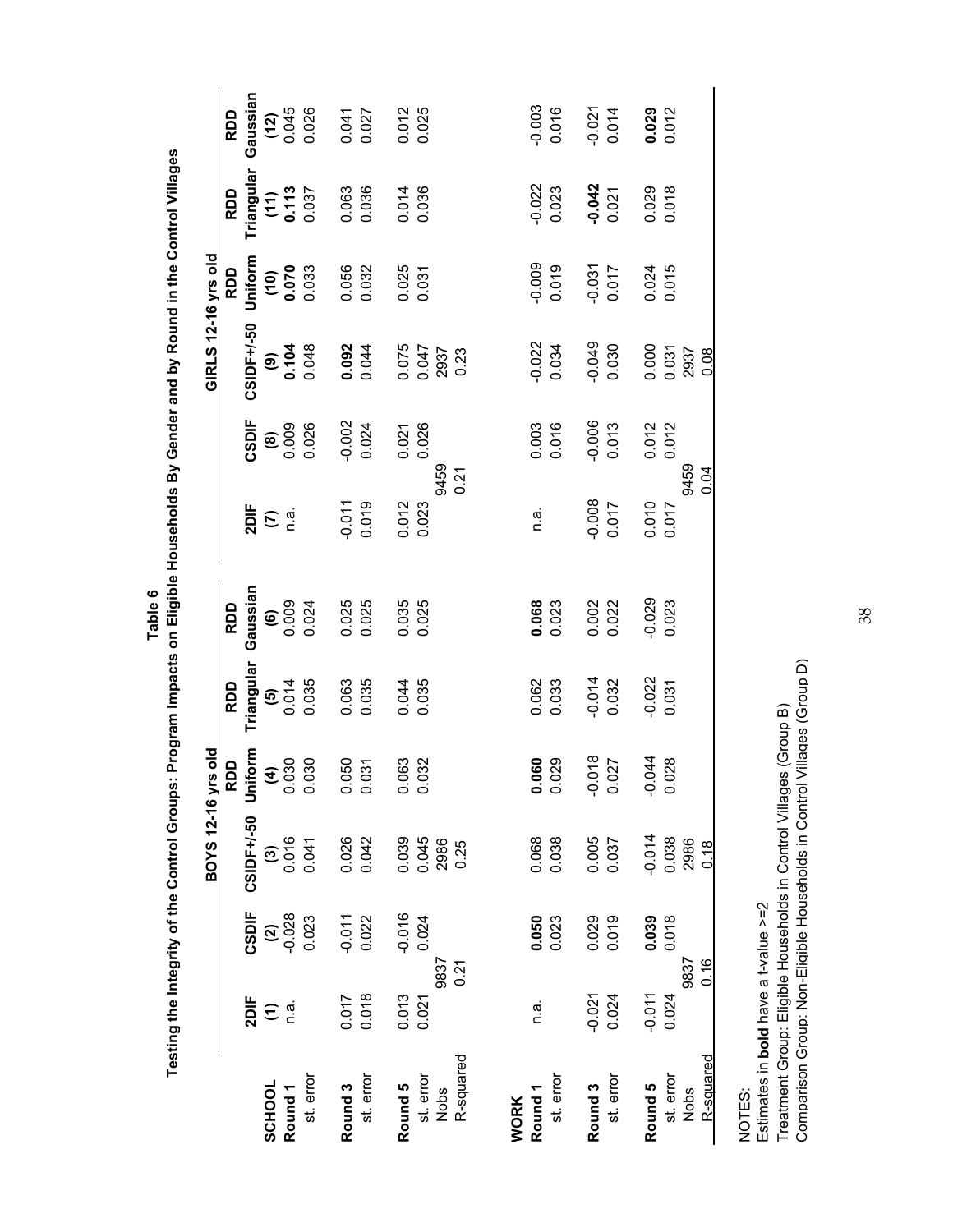|                                   |                    |                     | <b>BOYS 12-16 yrs old</b>      |                          |                                                               |                                                   |                                     |                                                     | GIRLS 12-16 yrs old             |                          |                          |                                        |
|-----------------------------------|--------------------|---------------------|--------------------------------|--------------------------|---------------------------------------------------------------|---------------------------------------------------|-------------------------------------|-----------------------------------------------------|---------------------------------|--------------------------|--------------------------|----------------------------------------|
|                                   |                    |                     |                                | RDD                      | RDD                                                           | RDD                                               |                                     |                                                     |                                 | RDD                      | <b>RDD</b>               | RDD                                    |
| SCHOOL                            | 2DIF<br>$\epsilon$ | CSDIF               | CSIDF+/-50                     | Uniform                  | Triangular                                                    | Gaussian                                          | $\frac{1}{2}$ $\sum_{n=1}^{\infty}$ | CSDIF                                               | CSIDF+/-50                      | Uniform                  | Triangular               | Gaussian<br>(12)<br>$0.045$<br>$0.026$ |
| Round <sub>1</sub>                |                    | $\frac{2}{3}$       | $\frac{3}{2006}$               | $(4)$<br>0.030<br>0.030  | $\begin{array}{c} \textbf{(5)} \\ 0.014 \\ 0.035 \end{array}$ |                                                   |                                     | $\begin{array}{c} \n 0.009 \\  0.026\n \end{array}$ | $(9)$<br>0.104<br>0.048         | $(10)$<br>0.070<br>0.033 | $(11)$<br>0.113<br>0.037 |                                        |
| st. error                         |                    | 0.023               | 0.041                          |                          |                                                               | $\begin{matrix} 6 \\ 0.009 \\ 0.024 \end{matrix}$ |                                     |                                                     |                                 |                          |                          |                                        |
| Round <sub>3</sub>                | 0.017              | $-0.011$<br>$0.022$ | 0.026                          | 0.050<br>0.031           | 0.063<br>0.035                                                | 0.025<br>0.025                                    | $-0.011$                            | $-0.002$<br>0.024                                   |                                 | 0.056<br>0.032           | 0.063<br>0.036           |                                        |
| st. error                         | 0.018              |                     | 0.042                          |                          |                                                               |                                                   | 0.019                               |                                                     | $0.092$<br>0.044                |                          |                          | 0.041<br>0.027                         |
| Round 5                           | 0.013              |                     |                                | 383<br>$\frac{0}{\circ}$ |                                                               |                                                   |                                     |                                                     |                                 |                          |                          |                                        |
| st. error<br>Nobs                 | 9837<br>0.021      | $-0.016$<br>0.024   | 0.039<br>0.045<br>2986<br>0.25 | 0.032                    | 0.044<br>0.035                                                | 0.035<br>0.025                                    | 9459<br>0.012<br>0.023              | 0.021                                               | 0.075<br>0.047<br>0.047<br>0.23 | 0.025                    | 0.014<br>0.036           | 0.012<br>0.025                         |
| R-squared                         | 0.21               |                     |                                |                          |                                                               |                                                   | 0.21                                |                                                     |                                 |                          |                          |                                        |
| Round <sub>1</sub><br><b>WORK</b> | n.a.               | 0.050               | 0.068                          | 0.060                    | 0.062                                                         |                                                   | n.a.                                | 0.003                                               | $-0.022$                        | 0.009                    | $-0.022$                 | $-0.003$                               |
| st. error                         |                    | 0.023               | 0.038                          | 0.029                    | 0.033                                                         | $0.068$<br>$0.023$                                |                                     | 0.016                                               | 0.034                           | 0.019                    | 0.023                    | 0.016                                  |
| Round <sub>3</sub>                | $-0.021$           | 0.029               | 0.005                          | $-0.018$                 | $-0.014$                                                      | 0.002<br>0.022                                    | $-0.008$                            | $-0.006$                                            | 60.01                           | $-0.031$                 | $-0.042$                 | $-0.021$<br>0.014                      |
| st. error                         | 0.024              | 0.019               | 0.037                          | 0.027                    | 0.032                                                         |                                                   | 0.017                               | 0.013                                               | 0.030                           | 0.017                    | 0.021                    |                                        |
| Round 5                           | $-0.011$           | 0.039               | $-0.014$                       | $-0.044$                 | $-0.022$<br>$0.031$                                           | $-0.029$                                          | 0.010                               | 0.012                                               | 0.000<br>0.031<br>2937          | 0.024<br>0.015           | 0.029                    | 0.029<br>0.012                         |
| st. error                         | 0.024              | 0.018               | 0.038<br>2986                  | 0.028                    |                                                               | 0.023                                             | 0.017                               | 0.012                                               |                                 |                          | 0.018                    |                                        |
| R-squared<br>Nobs                 | 9837<br>0.16       |                     | 0.18                           |                          |                                                               |                                                   | 9459<br>0.04                        |                                                     | 0.08                            |                          |                          |                                        |
|                                   |                    |                     |                                |                          |                                                               |                                                   |                                     |                                                     |                                 |                          |                          |                                        |

Testing the Integrity of the Control Groups: Program Impacts on Eligible Households By Gender and by Round in the Control Villages  **Testing the Integrity of the Control Groups: Program Impacts on Eligible Households By Gender and by Round in the Control Villages Table 6**

NOTES:

Estimates in bold have a t-value >=2 Estimates in **bold** have a t-value >=2

Treatment Group: Eligible Households in Control Villages (Group B)<br>Comparison Group: Non-Eligible Households in Control Villages (Group D) Comparison Group: Non-Eligible Households in Control Villages (Group D) Treatment Group: Eligible Households in Control Villages (Group B)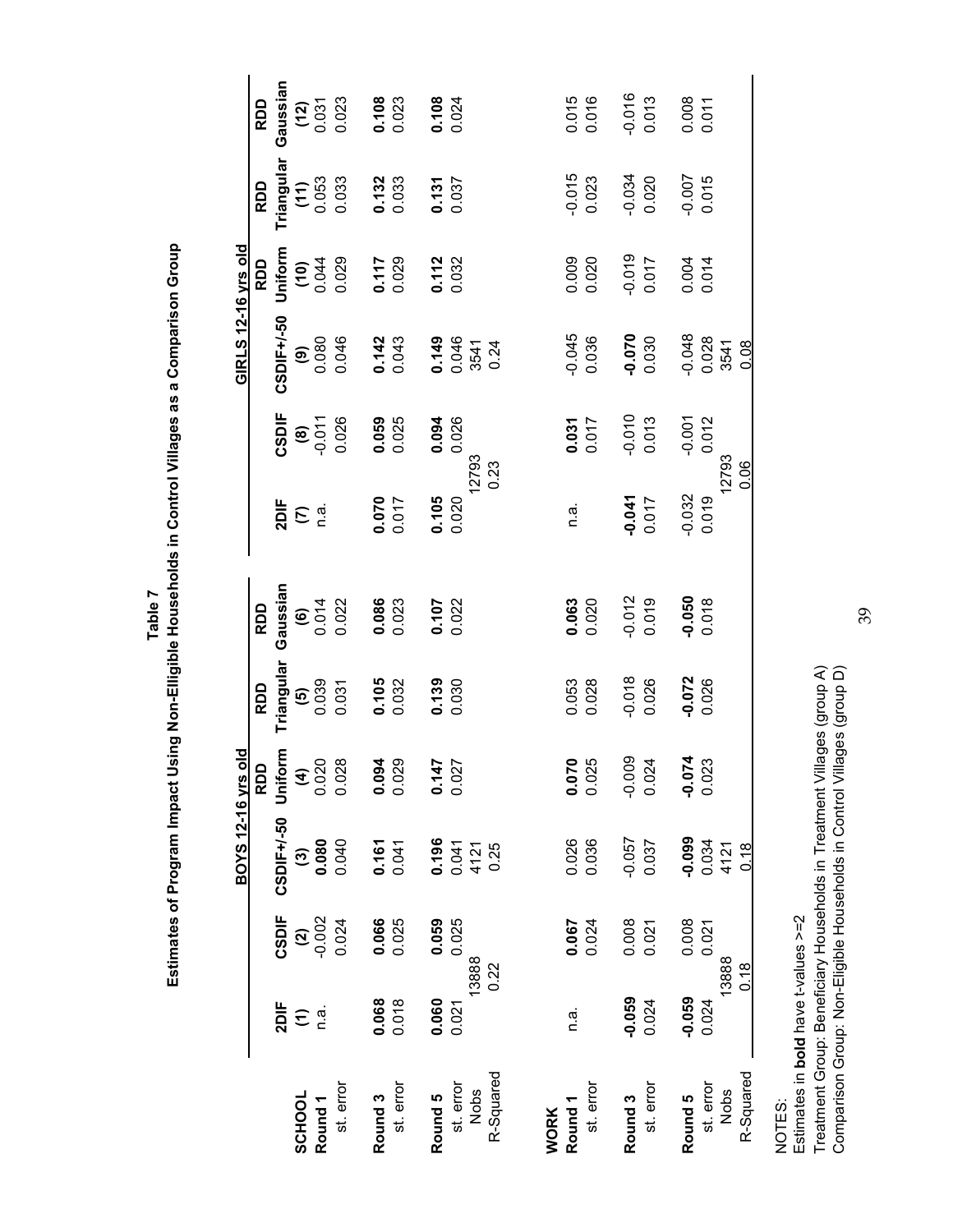|                                 |                               |                     | BOYS 12-16 yrs                   | <u>s</u>                             |                                     |                          |                                     |                                                      | GIRLS 12-16 yrs old             |                                 |                                                      |                          |
|---------------------------------|-------------------------------|---------------------|----------------------------------|--------------------------------------|-------------------------------------|--------------------------|-------------------------------------|------------------------------------------------------|---------------------------------|---------------------------------|------------------------------------------------------|--------------------------|
|                                 | 2DIF                          | CSDIF               | CSDIF+/-50                       | RDD                                  | RDD                                 | Gaussian<br>RDD          |                                     | <b>CSDIF</b>                                         | CSDIF+/-50                      | Uniform<br>RDD                  | RDD                                                  | Gaussian<br>RDD          |
| SCHOOL                          | $\widehat{\boldsymbol{\tau}}$ |                     | $\widehat{\mathcal{C}}$          | Uniform<br>(4)<br>$0.020$<br>$0.028$ | Triangular<br>(5)<br>0.039<br>0.031 |                          | $\frac{1}{2}$ $\sum_{n=1}^{\infty}$ |                                                      |                                 |                                 | <b>Triangular</b><br>( <b>11</b> )<br>0.053<br>0.033 |                          |
| Round <sub>1</sub>              | n.a.                          | $\frac{2000}{1000}$ | 0.080                            |                                      |                                     |                          |                                     |                                                      |                                 |                                 |                                                      |                          |
| st. error                       |                               | 0.024               | 0.040                            |                                      |                                     | $6014$<br>0.014<br>0.022 |                                     | $\begin{array}{c} (8) \\ 0.011 \\ 0.026 \end{array}$ | $0.080$<br>0.080                | $(10)$<br>0.044<br>444<br>0.029 |                                                      | $(12)$<br>0.031<br>0.023 |
| Round <sub>3</sub>              | 0.068                         |                     |                                  |                                      |                                     |                          |                                     |                                                      |                                 |                                 |                                                      |                          |
| st. error                       | 0.018                         | 0.066<br>0.025      | $0.161$<br>0.041                 | 0.094                                | $0.105$<br>$0.032$                  | 0.086<br>0.023           | 0.070                               | 0.059<br>0.025                                       | 0.142<br>0.043                  | 0.117<br>0.029                  | $0.132$<br>0.033                                     | $0.108$<br>$0.023$       |
| Round 5                         | 0.060                         | 0.059               |                                  |                                      |                                     |                          |                                     |                                                      |                                 |                                 |                                                      |                          |
| st. error<br>Nobs               | 0.021                         | 0.025<br>13888      | $0.041$<br>0.041<br>4121<br>0.25 | $0.147$<br>$0.027$                   | 0.139                               | $0.107$<br>$0.022$       | $0.105$<br>$0.020$                  | 0.094<br>12793                                       | 0.149<br>0.046<br>0.046<br>0.24 | $0.112$<br>$0.032$              | $0.131$<br>$0.037$                                   | $0.108$<br>0.024         |
| R-Squared                       |                               | 0.22                |                                  |                                      |                                     |                          |                                     | 0.23                                                 |                                 |                                 |                                                      |                          |
| <b>WORK</b>                     |                               |                     |                                  |                                      |                                     |                          |                                     |                                                      |                                 |                                 |                                                      |                          |
| st. error<br>Round <sub>1</sub> | n.ai                          | 0.024<br>0.067      | 0.026<br>0.036                   | $0.070$<br>$0.025$                   | 0.053<br>0.028                      | 0.063<br>0.020           | n.a.                                | $0.031$<br>0.017                                     | $-0.045$<br>0.036               | 0.009<br>0.020                  | $-0.015$<br>0.023                                    | 0.015<br>0.016           |
| Round <sub>3</sub>              | $-0.059$                      | 0.008               | $-0.057$                         | $-0.009$<br>0.024                    | $-0.018$                            | $-0.012$                 | $-0.041$                            | $-0.010$<br>$0.013$                                  |                                 | $-0.019$                        |                                                      | -0.016                   |
| st. error                       | 0.024                         | 0.021               | 0.037                            |                                      | 0.026                               | 0.019                    | 0.017                               |                                                      | 0.070                           | 0.017                           | -0.034<br>0.020                                      | 0.013                    |
| Round 5                         | $-0.059$                      | 0.008               | -0.099                           | $-0.074$<br>$0.023$                  | $-0.072$<br>0.026                   | $0.050$<br>$0.070$       | $-0.032$                            | $-0.001$                                             |                                 | 0.004                           | $-0.007$<br>0.015                                    | 0.008                    |
| st. error                       | 0.024                         | 0.021               | 0.034<br>4121                    |                                      |                                     |                          | 0.019                               | 0.012                                                | $-0.048$<br>$0.028$<br>3541     | 0.014                           |                                                      | 0.011                    |
| R-Squared<br>Nobs               |                               | 13888<br>0.18       | $\frac{8}{10}$                   |                                      |                                     |                          |                                     | 12793<br>0.06                                        | 0.08                            |                                 |                                                      |                          |
|                                 |                               |                     |                                  |                                      |                                     |                          |                                     |                                                      |                                 |                                 |                                                      |                          |

Estimates of Program Impact Using Non-Elligible Households in Control Villages as a Comparison Group **Estimates of Program Impact Using Non-Elligible Households in Control Villages as a Comparison Group Table 7**

NOTES:<br>Estimates in bold have t-values >=2 Estimates in **bold** have t-values >=2

Treatment Group: Beneficiary Households in Treatment Villages (group A)<br>Comparison Group: Non-Eligible Households in Control Villages (group D) Treatment Group: Beneficiary Households in Treatment Villages (group A) Comparison Group: Non-Eligible Households in Control Villages (group D)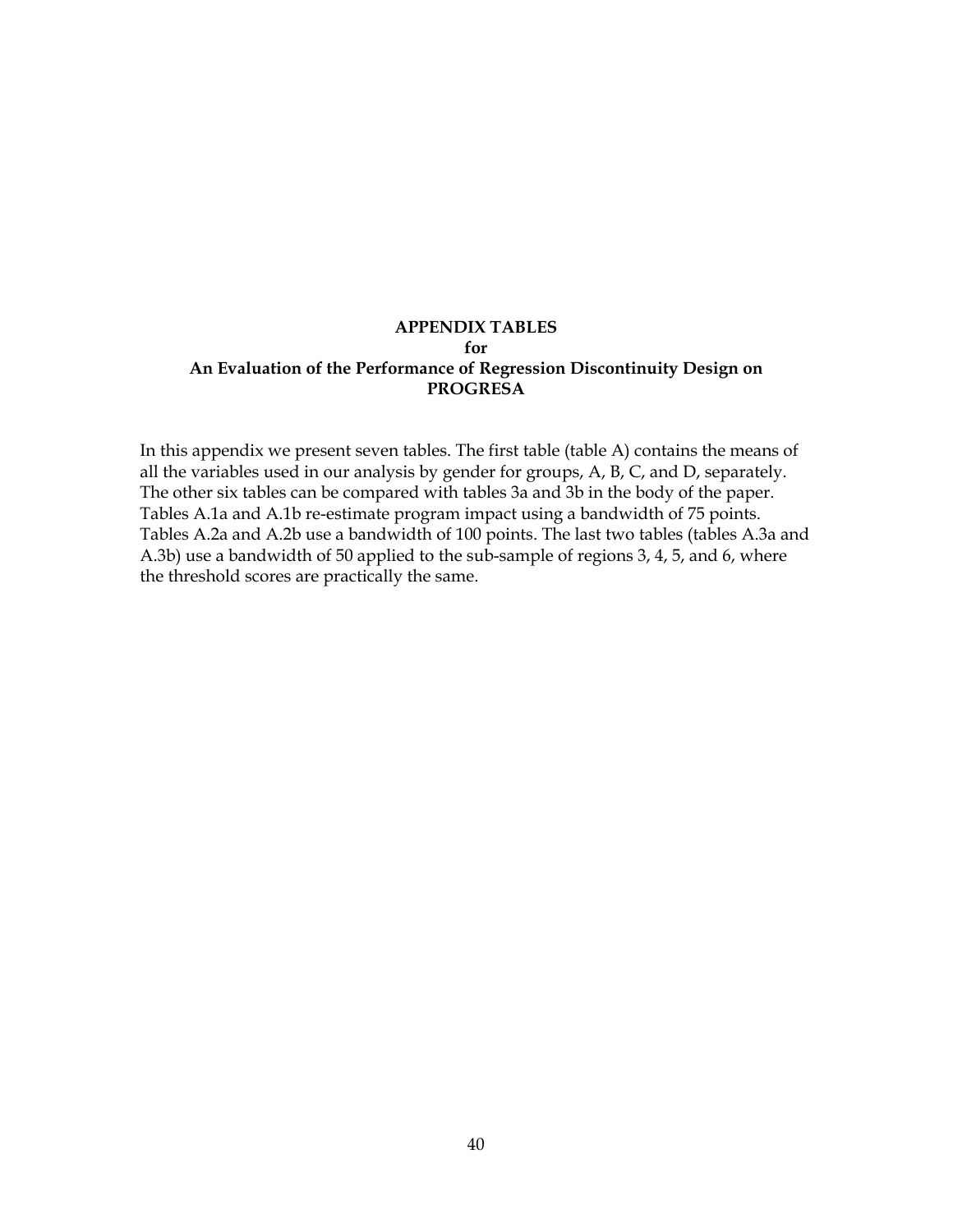#### **APPENDIX TABLES for An Evaluation of the Performance of Regression Discontinuity Design on PROGRESA**

In this appendix we present seven tables. The first table (table A) contains the means of all the variables used in our analysis by gender for groups, A, B, C, and D, separately. The other six tables can be compared with tables 3a and 3b in the body of the paper. Tables A.1a and A.1b re-estimate program impact using a bandwidth of 75 points. Tables A.2a and A.2b use a bandwidth of 100 points. The last two tables (tables A.3a and A.3b) use a bandwidth of 50 applied to the sub-sample of regions 3, 4, 5, and 6, where the threshold scores are practically the same.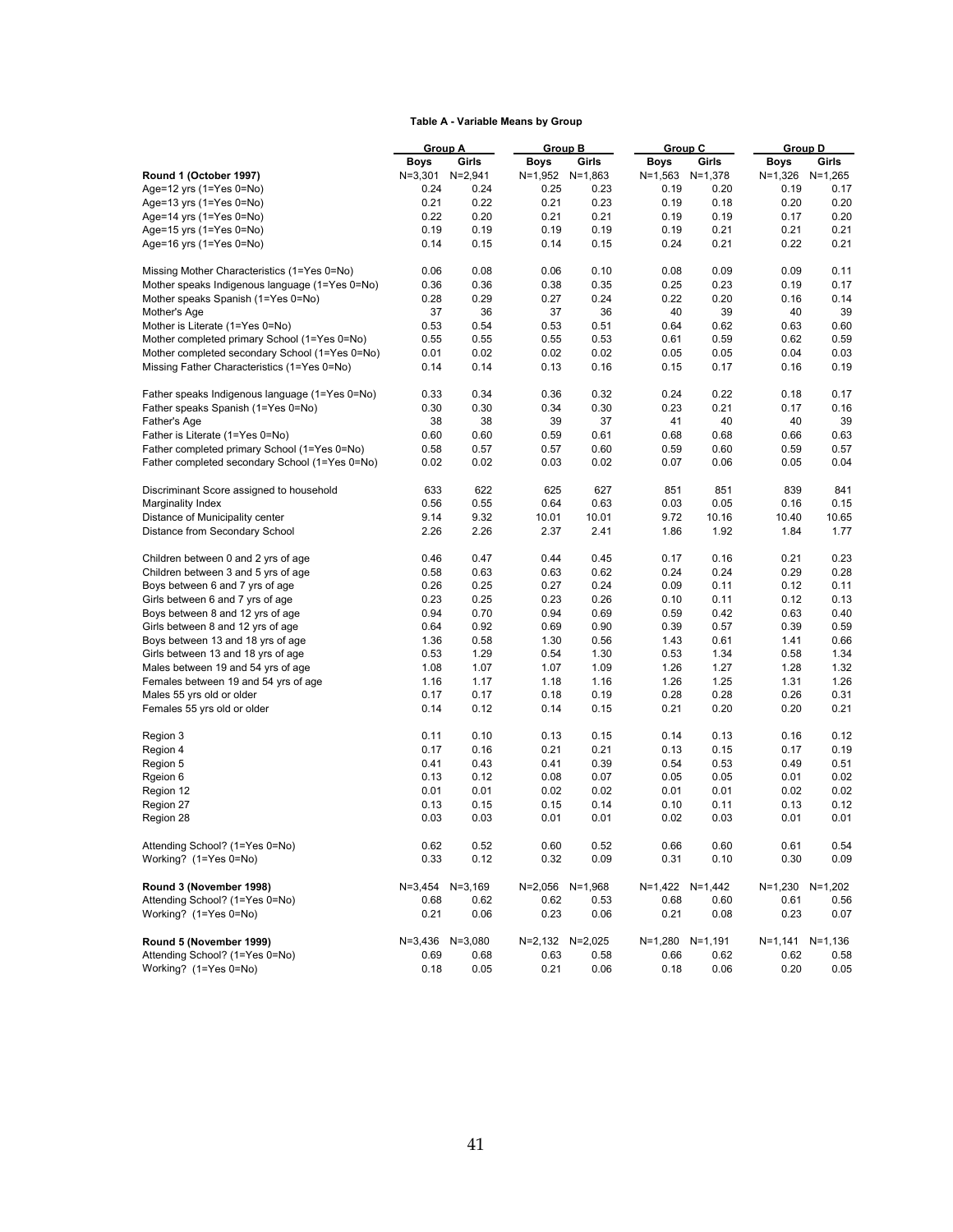#### **Table A - Variable Means by Group**

|                                                | <b>Group A</b> |              |              | Group B         | Group C         |                 | <b>Group D</b>  |             |
|------------------------------------------------|----------------|--------------|--------------|-----------------|-----------------|-----------------|-----------------|-------------|
|                                                | Boys           | Girls        | <b>Boys</b>  | Girls           | Boys            | Girls           | Boys            | Girls       |
| Round 1 (October 1997)                         | $N = 3,301$    | $N = 2,941$  |              | N=1,952 N=1,863 | N=1,563 N=1,378 |                 | N=1,326 N=1,265 |             |
| Age=12 yrs $(1=Yes 0=No)$                      | 0.24           | 0.24         | 0.25         | 0.23            | 0.19            | 0.20            | 0.19            | 0.17        |
| Age=13 yrs $(1=Yes 0=No)$                      | 0.21           | 0.22         | 0.21         | 0.23            | 0.19            | 0.18            | 0.20            | 0.20        |
| Age=14 yrs $(1=Yes 0=No)$                      | 0.22           | 0.20         | 0.21         | 0.21            | 0.19            | 0.19            | 0.17            | 0.20        |
| Age=15 yrs (1=Yes 0=No)                        | 0.19           | 0.19         | 0.19         | 0.19            | 0.19            | 0.21            | 0.21            | 0.21        |
| Age=16 yrs (1=Yes 0=No)                        | 0.14           | 0.15         | 0.14         | 0.15            | 0.24            | 0.21            | 0.22            | 0.21        |
|                                                |                |              |              |                 |                 |                 |                 |             |
| Missing Mother Characteristics (1=Yes 0=No)    | 0.06           | 0.08         | 0.06         | 0.10            | 0.08            | 0.09            | 0.09            | 0.11        |
| Mother speaks Indigenous language (1=Yes 0=No) | 0.36           | 0.36         | 0.38         | 0.35            | 0.25            | 0.23            | 0.19            | 0.17        |
| Mother speaks Spanish (1=Yes 0=No)             | 0.28           | 0.29         | 0.27         | 0.24            | 0.22            | 0.20            | 0.16            | 0.14        |
| Mother's Age                                   | 37             | 36           | 37           | 36              | 40              | 39              | 40              | 39          |
| Mother is Literate (1=Yes 0=No)                | 0.53           | 0.54         | 0.53         | 0.51            | 0.64            | 0.62            | 0.63            | 0.60        |
| Mother completed primary School (1=Yes 0=No)   | 0.55           | 0.55         | 0.55         | 0.53            | 0.61            | 0.59            | 0.62            | 0.59        |
| Mother completed secondary School (1=Yes 0=No) | 0.01           | 0.02         | 0.02         | 0.02            | 0.05            | 0.05            | 0.04            | 0.03        |
| Missing Father Characteristics (1=Yes 0=No)    | 0.14           | 0.14         | 0.13         | 0.16            | 0.15            | 0.17            | 0.16            | 0.19        |
|                                                |                |              |              |                 |                 |                 |                 |             |
| Father speaks Indigenous language (1=Yes 0=No) | 0.33           | 0.34         | 0.36         | 0.32            | 0.24            | 0.22            | 0.18            | 0.17        |
| Father speaks Spanish (1=Yes 0=No)             | 0.30           | 0.30         | 0.34         | 0.30            | 0.23            | 0.21            | 0.17            | 0.16        |
| Father's Age                                   | 38             | 38           | 39           | 37              | 41              | 40              | 40              | 39          |
| Father is Literate (1=Yes 0=No)                | 0.60           | 0.60         | 0.59         | 0.61            | 0.68            | 0.68            | 0.66            | 0.63        |
| Father completed primary School (1=Yes 0=No)   | 0.58           | 0.57         | 0.57         | 0.60            | 0.59            | 0.60            | 0.59            | 0.57        |
| Father completed secondary School (1=Yes 0=No) | 0.02           | 0.02         | 0.03         | 0.02            | 0.07            | 0.06            | 0.05            | 0.04        |
|                                                |                |              |              |                 |                 |                 |                 |             |
| Discriminant Score assigned to household       | 633            | 622          | 625          | 627             | 851             | 851             | 839             | 841         |
| Marginality Index                              | 0.56           | 0.55         | 0.64         | 0.63            | 0.03            | 0.05            | 0.16            | 0.15        |
| Distance of Municipality center                | 9.14           | 9.32         | 10.01        | 10.01           | 9.72            | 10.16           | 10.40           | 10.65       |
| Distance from Secondary School                 | 2.26           | 2.26         | 2.37         | 2.41            | 1.86            | 1.92            | 1.84            | 1.77        |
| Children between 0 and 2 yrs of age            | 0.46           | 0.47         | 0.44         | 0.45            | 0.17            | 0.16            | 0.21            | 0.23        |
| Children between 3 and 5 yrs of age            | 0.58           | 0.63         | 0.63         | 0.62            | 0.24            | 0.24            | 0.29            | 0.28        |
| Boys between 6 and 7 yrs of age                | 0.26           | 0.25         | 0.27         | 0.24            | 0.09            | 0.11            | 0.12            | 0.11        |
| Girls between 6 and 7 yrs of age               | 0.23           | 0.25         | 0.23         | 0.26            | 0.10            | 0.11            | 0.12            | 0.13        |
| Boys between 8 and 12 yrs of age               | 0.94           | 0.70         | 0.94         | 0.69            | 0.59            | 0.42            | 0.63            | 0.40        |
| Girls between 8 and 12 yrs of age              | 0.64           | 0.92         | 0.69         | 0.90            | 0.39            | 0.57            | 0.39            | 0.59        |
|                                                | 1.36           | 0.58         | 1.30         | 0.56            | 1.43            | 0.61            | 1.41            | 0.66        |
| Boys between 13 and 18 yrs of age              |                |              |              |                 |                 |                 |                 |             |
| Girls between 13 and 18 yrs of age             | 0.53           | 1.29         | 0.54         | 1.30            | 0.53            | 1.34            | 0.58            | 1.34        |
| Males between 19 and 54 yrs of age             | 1.08           | 1.07         | 1.07         | 1.09            | 1.26            | 1.27            | 1.28            | 1.32        |
| Females between 19 and 54 yrs of age           | 1.16           | 1.17         | 1.18         | 1.16            | 1.26            | 1.25            | 1.31            | 1.26        |
| Males 55 yrs old or older                      | 0.17           | 0.17         | 0.18         | 0.19            | 0.28            | 0.28            | 0.26            | 0.31        |
| Females 55 yrs old or older                    | 0.14           | 0.12         | 0.14         | 0.15            | 0.21            | 0.20            | 0.20            | 0.21        |
| Region 3                                       | 0.11           | 0.10         | 0.13         | 0.15            | 0.14            | 0.13            | 0.16            | 0.12        |
| Region 4                                       | 0.17           | 0.16         | 0.21         | 0.21            | 0.13            | 0.15            | 0.17            | 0.19        |
| Region 5                                       | 0.41           | 0.43         | 0.41         | 0.39            | 0.54            | 0.53            | 0.49            | 0.51        |
| Rgeion 6                                       | 0.13           | 0.12         | 0.08         | 0.07            | 0.05            | 0.05            | 0.01            | 0.02        |
| Region 12                                      | 0.01           | 0.01         | 0.02         | 0.02            | 0.01            | 0.01            | 0.02            | 0.02        |
| Region 27                                      |                |              |              | 0.14            | 0.10            |                 |                 | 0.12        |
|                                                | 0.13<br>0.03   | 0.15<br>0.03 | 0.15<br>0.01 | 0.01            |                 | 0.11            | 0.13<br>0.01    | 0.01        |
| Region 28                                      |                |              |              |                 | 0.02            | 0.03            |                 |             |
| Attending School? (1=Yes 0=No)                 | 0.62           | 0.52         | 0.60         | 0.52            | 0.66            | 0.60            | 0.61            | 0.54        |
| Working? (1=Yes 0=No)                          | 0.33           | 0.12         | 0.32         | 0.09            | 0.31            | 0.10            | 0.30            | 0.09        |
| Round 3 (November 1998)                        | N=3,454        | $N = 3,169$  | $N = 2,056$  | $N = 1,968$     |                 | N=1,422 N=1,442 | $N=1,230$       | $N=1,202$   |
| Attending School? (1=Yes 0=No)                 | 0.68           | 0.62         | 0.62         | 0.53            | 0.68            | 0.60            | 0.61            | 0.56        |
| Working? (1=Yes 0=No)                          | 0.21           | 0.06         | 0.23         | 0.06            | 0.21            | 0.08            | 0.23            | 0.07        |
|                                                |                |              |              |                 |                 |                 |                 |             |
| Round 5 (November 1999)                        | N=3,436        | $N = 3,080$  | N=2,132      | $N = 2,025$     | N=1,280 N=1,191 |                 | N=1,141         | $N = 1,136$ |
| Attending School? (1=Yes 0=No)                 | 0.69           | 0.68         | 0.63         | 0.58            | 0.66            | 0.62            | 0.62            | 0.58        |
| Working? (1=Yes 0=No)                          | 0.18           | 0.05         | 0.21         | 0.06            | 0.18            | 0.06            | 0.20            | 0.05        |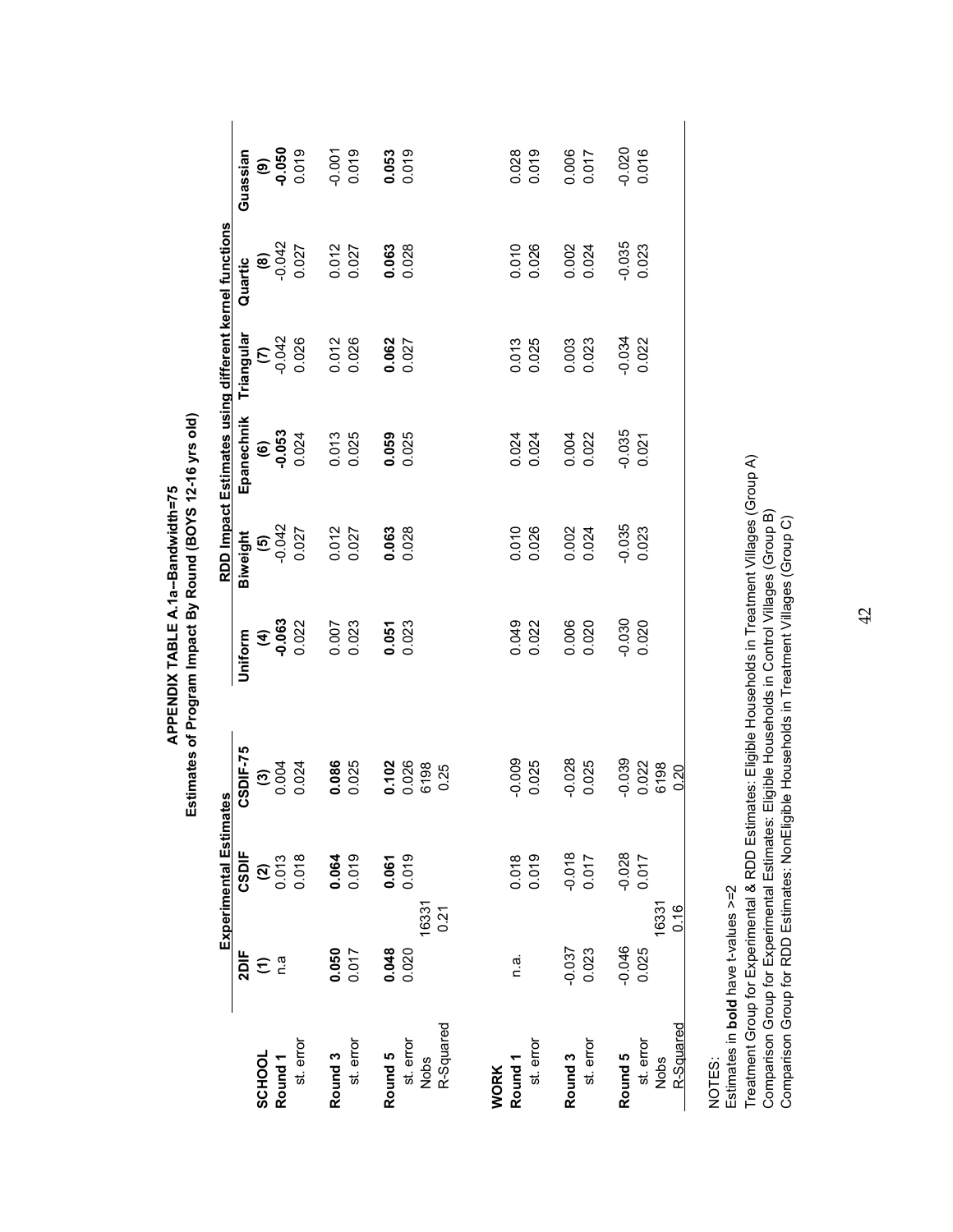APPENDIX TABLE A.1a--Bandwidth=75<br>Estimates of Program Impact By Round (BOYS 12-16 yrs old) **Estimates of Program Impact By Round (BOYS 12-16 yrs old) APPENDIX TABLE A.1a--Bandwidth=75**

|                                |                               | Experimental Estima                                  | ates          |                              |                | RDD Impact Estimates using different kernel functions |                                |               |          |
|--------------------------------|-------------------------------|------------------------------------------------------|---------------|------------------------------|----------------|-------------------------------------------------------|--------------------------------|---------------|----------|
|                                | 2DIF                          | CSDIF                                                | CSDIF-75      | Uniform                      | Biweight       | Epanechnik                                            | Triangular                     | Quartic       | Guassian |
| SCHOOL                         | $\widehat{\boldsymbol{\tau}}$ |                                                      |               |                              |                |                                                       |                                |               |          |
| Round <sub>1</sub>             | n.a                           | $\begin{array}{c} (2) \\ 0.013 \\ 0.018 \end{array}$ | $\frac{3}{6}$ | $(4)$<br>$-0.063$<br>$0.022$ | $60^{10}$      | $(6)$<br>$0.053$                                      | $\mathcal{L}$ or $\frac{3}{2}$ | $\frac{6}{9}$ | 0.050    |
| st. error                      |                               |                                                      | 0.024         |                              | 0.027          | 0.024                                                 | 0.026                          | 0.027         | 0.019    |
| Round <sub>3</sub>             |                               |                                                      | 0.086         | 0.007<br>0.023               | 0.012          |                                                       |                                | 0.012         | $-0.001$ |
| st. error                      | $0.050$<br>$0.017$            | 0.064                                                | 0.025         |                              | 0.027          | 0.013<br>0.025                                        | 0.012<br>0.026                 | 0.027         | 0.019    |
| Round 5                        |                               | $0.061$<br>$0.019$                                   | 0.102         | 0.051                        | 0.063          | 0.059                                                 | 0.062                          | 0.063         | 0.053    |
|                                | 0.048                         |                                                      | 0.026         | 0.023                        | 0.028          | 0.025                                                 | 0.027                          | 0.028         | 0.019    |
| R-Squared<br>st. error<br>Nobs | 16331<br>0.21                 |                                                      | 6198<br>0.25  |                              |                |                                                       |                                |               |          |
| <b>WORK</b>                    |                               |                                                      |               |                              |                |                                                       |                                |               |          |
| Round <sub>1</sub>             | n.a.                          |                                                      | $-0.009$      |                              |                |                                                       |                                | 0.010         | 0.028    |
| st. error                      |                               | 0.018                                                | 0.025         | 0.049<br>0.022               | 0.010<br>0.026 | 0.024<br>0.024                                        | 0.013<br>0.025                 | 0.026         | 0.019    |
| Round <sub>3</sub>             | -0.037                        | $-0.018$                                             | $-0.028$      |                              | 0.002          |                                                       | 0.003                          | 0.002         | 0.006    |
| st. error                      | 0.023                         | 0.017                                                | 0.025         | 0.006<br>0.020               | 0.024          | 0.004<br>0.022                                        | 0.023                          | 0.024         | 0.017    |
| Round 5                        | $-0.046$                      | $-0.028$                                             | $-0.039$      | $-0.030$                     | $-0.035$       | $-0.035$                                              | $-0.034$                       | $-0.035$      | $-0.020$ |
| st. error                      | 0.025                         | 0.017                                                | 0.022         | 0.020                        | 0.023          | 0.021                                                 | 0.022                          | 0.023         | 0.016    |
| R-Squared<br><b>Nobs</b>       | 16331<br>0.16                 |                                                      | 6198<br>0.20  |                              |                |                                                       |                                |               |          |
|                                |                               |                                                      |               |                              |                |                                                       |                                |               |          |

NOTES: NOTES:

Estimates in bold have t-values >=2 Estimates in **bold** have t-values >=2

Treatment Group for Experimental & RDD Estimates: Eligible Households in Treatment Villages (Group A)<br>Comparison Group for Experimental Estimates: Eligible Households in Control Villages (Group B)<br>Comparison Group for RDD Treatment Group for Experimental & RDD Estimates: Eligible Households in Treatment Villages (Group A) Comparison Group for Experimental Estimates: Eligible Households in Control Villages (Group B) Comparison Group for RDD Estimates: NonEligible Households in Treatment Villages (Group C)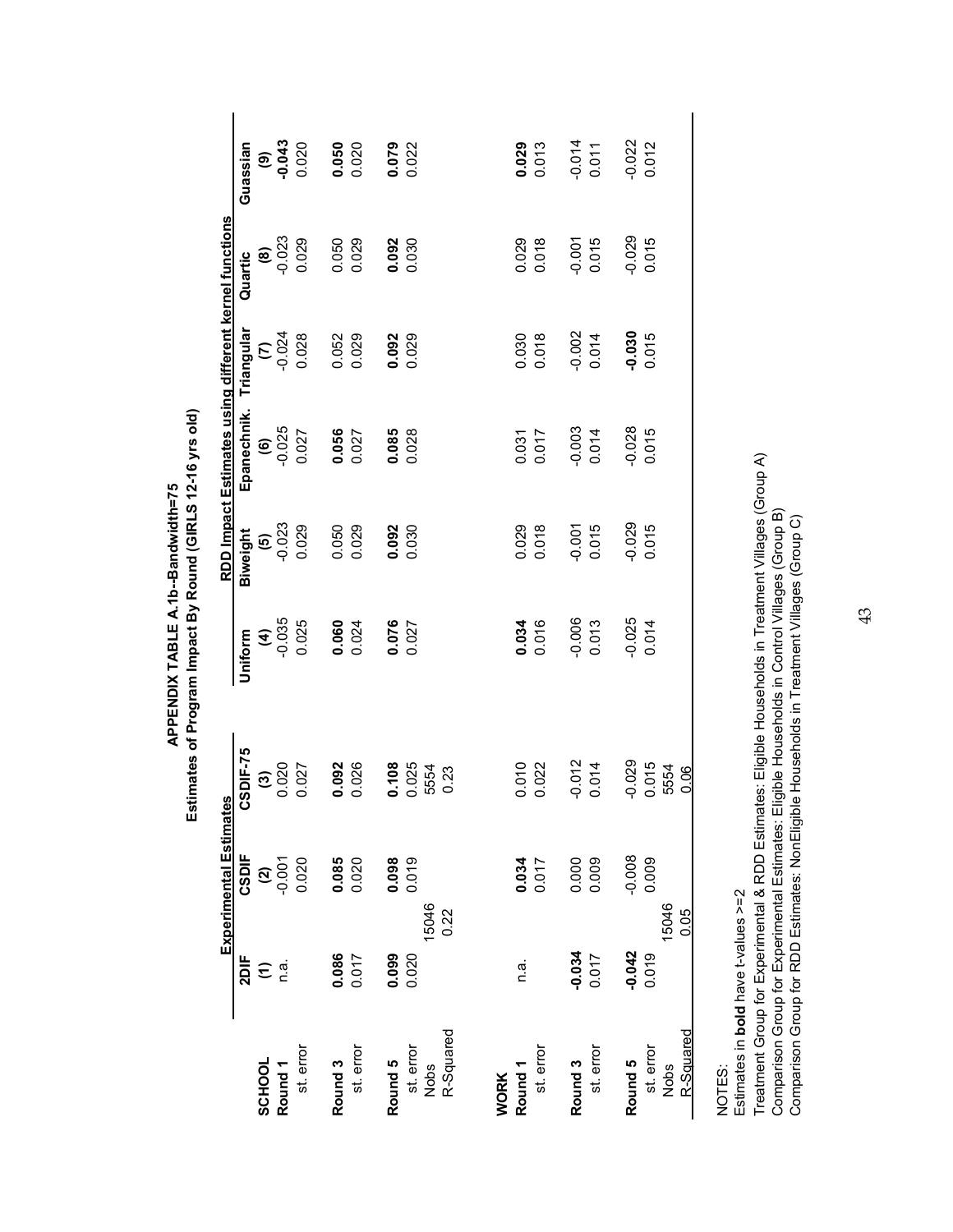|                                   |            | <b>Experimental Estimates</b> |                     |                            |                     | RDD Impact Estimates using different kernel functions |                      |               |                |
|-----------------------------------|------------|-------------------------------|---------------------|----------------------------|---------------------|-------------------------------------------------------|----------------------|---------------|----------------|
|                                   | 2DIF       | CSDIF                         | CSDIF-75            | Uniform                    | Biweight            | Epanechnik.                                           | Triangular           | Quartic       | Guassian       |
| SCHOOL                            |            |                               |                     |                            |                     |                                                       |                      | $\circledast$ | ම              |
| Round <sub>1</sub>                | تے تغ<br>د | $(2)$<br>$-0.001$             | $\frac{3000}{1000}$ | $(4)$<br>$-0.035$<br>0.025 | $\frac{(5)}{0.023}$ | $\begin{array}{c} (6) \\ -0.025 \\ 0.027 \end{array}$ | $\frac{10004}{5004}$ | $-0.023$      | $-0.043$       |
| st. error                         |            | 0.020                         | 0.027               |                            | 0.029               |                                                       | 0.028                | 0.029         | 0.020          |
| Round <sub>3</sub>                | 0.086      | 0.085                         | 0.092               | $0.060$<br>0.024           | 0.050               | $0.056$<br>$0.027$                                    | 0.052                | 0.050         | 0.050<br>0.020 |
| st. error                         | 0.017      | 0.020                         | 0.026               |                            | 0.029               |                                                       | 0.029                | 0.029         |                |
| Round 5                           | 0.099      | 0.098                         | 0.108               | 0.076                      | 0.092               | 0.085                                                 | 0.092                | 0.092         | 0.079          |
|                                   | 0.020      |                               |                     |                            | 0.030               | 0.028                                                 | 0.029                | 0.030         |                |
| st. error<br>Nobs                 | 15046      |                               | 0.025<br>5554       |                            |                     |                                                       |                      |               |                |
| R-Squared                         | 0.22       |                               | 0.23                |                            |                     |                                                       |                      |               |                |
|                                   |            |                               |                     |                            |                     |                                                       |                      |               |                |
| Round <sub>1</sub><br><b>WORK</b> | n.a.       |                               | 0.010               |                            | 0.029               |                                                       | 0.030                | 0.029         | 0.029          |
| st. error                         |            | 0.034                         | 0.022               | 0.034                      | 0.018               | 0.031<br>0.017                                        | 0.018                | 0.018         | 0.013          |
| Round <sub>3</sub>                | $-0.034$   | 0.000<br>0.009                | $-0.012$            | $-0.006$<br>$0.013$        | $-0.001$            |                                                       | $-0.002$             | $-0.001$      | $-0.014$       |
| st. error                         | 0.017      |                               | 0.014               |                            | 0.015               | $-0.003$<br>$0.014$                                   | 0.014                | 0.015         | 0.011          |
| Round 5                           | $-0.042$   | $-0.008$                      | $-0.029$            | $-0.025$                   | $-0.029$            | $-0.028$                                              | $-0.030$             | $-0.029$      | $-0.022$       |
| st. error                         | 0.019      | 0.009                         | 0.015               | 0.014                      | 0.015               | 0.015                                                 | 0.015                | 0.015         | 0.012          |
| Nobs                              | 15046      |                               | 5554                |                            |                     |                                                       |                      |               |                |
| R-Squared                         | 0.05       |                               | 0.06                |                            |                     |                                                       |                      |               |                |

NOTES:<br>Estimates in **bold** have t-values >=2 Estimates in **bold** have t-values >=2

Treatment Group for Experimental & RDD Estimates: Eligible Households in Treatment Villages (Group A)<br>Comparison Group for Experimental Estimates: Eligible Households in Control Villages (Group B)<br>Comparison Group for RDD Treatment Group for Experimental & RDD Estimates: Eligible Households in Treatment Villages (Group A) Comparison Group for Experimental Estimates: Eligible Households in Control Villages (Group B) Comparison Group for RDD Estimates: NonEligible Households in Treatment Villages (Group C)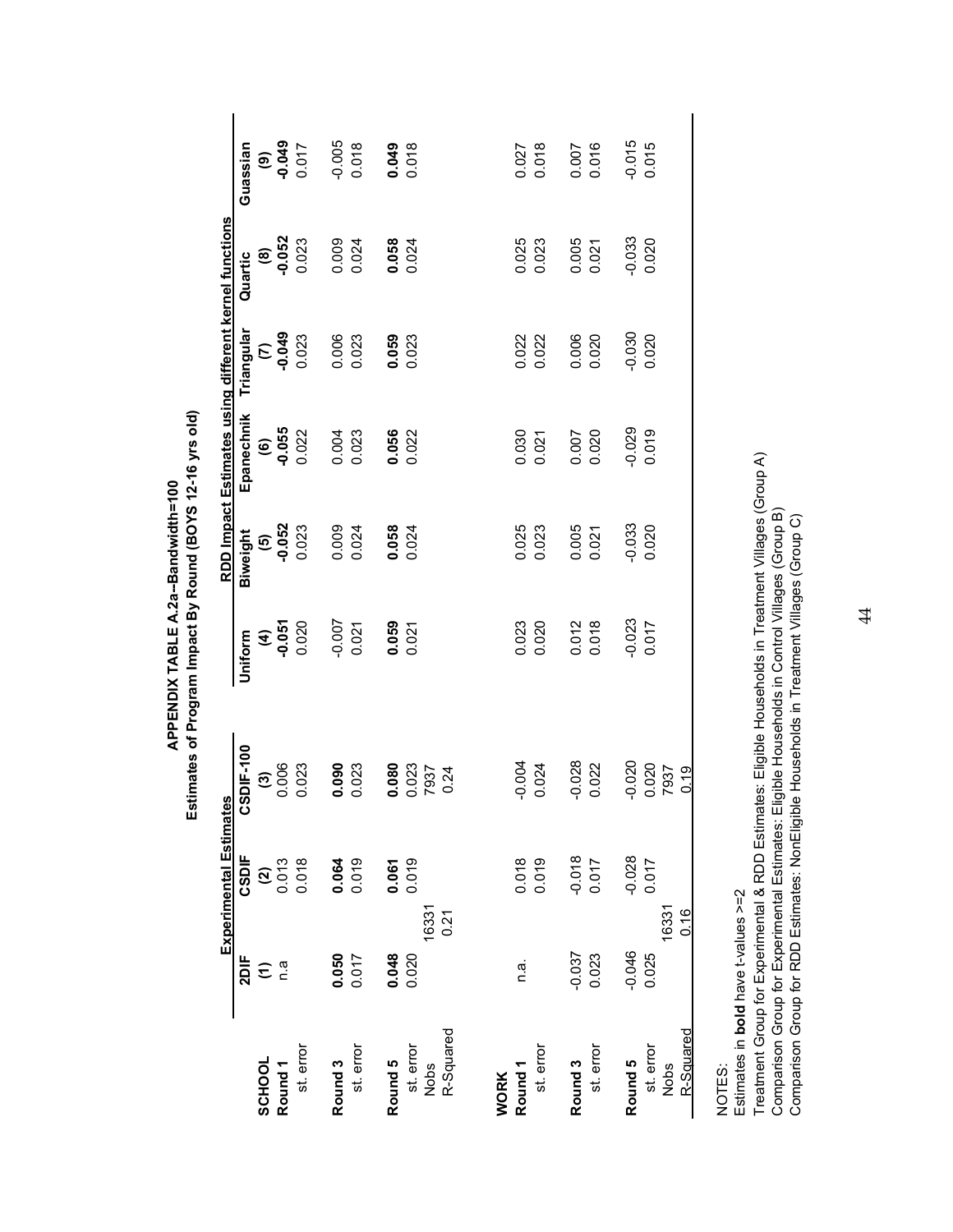|                    |                      | Experimental Estimates |                  |                              |                   | RDD Impact Estimates using different kernel functions |                |                   |          |
|--------------------|----------------------|------------------------|------------------|------------------------------|-------------------|-------------------------------------------------------|----------------|-------------------|----------|
|                    | 2DIF                 | CSDIF                  | CSDIF-100        | Uniform                      | Biweight          | Epanechnik                                            | Triangular     | Quartic           | Guassian |
| SCHOOL             | $\widehat{\epsilon}$ |                        |                  |                              |                   |                                                       |                |                   |          |
| Round <sub>1</sub> | n.a                  | $\frac{2}{2}$          | $\frac{3}{2006}$ | $(4)$<br>$-0.051$<br>$0.020$ | $(5)$<br>$-0.052$ | $(6)$<br>$-0.055$<br>$0.022$                          | 6,000          | $(8)$<br>$-0.052$ | 6500     |
| st. error          |                      | 0.018                  | 0.023            |                              | 0.023             |                                                       | 0.023          | 0.023             | 0.017    |
| Round 3            | 0.050                | 0.064                  | $0.090$<br>0.023 | $-0.007$                     | 0.009             | 0.004                                                 | 0.006          | 0.009             | $-0.005$ |
| st. error          | 0.017                |                        |                  | 0.021                        | 0.024             |                                                       | 0.023          | 0.024             | 0.018    |
| Round 5            | 0.048                | 0.061                  | 0.080            |                              | 0.058             | 0.056                                                 | 0.059          | 0.058             | 0.049    |
|                    | 0.020                |                        |                  | $0.059$<br>$0.021$           | 0.024             | 0.022                                                 | 0.023          | 0.024             | 0.018    |
| st. error<br>Nobs  | 16331                |                        | 0.023<br>7937    |                              |                   |                                                       |                |                   |          |
| R-Squared          | 0.21                 |                        | 0.24             |                              |                   |                                                       |                |                   |          |
| <b>WORK</b>        |                      |                        |                  |                              |                   |                                                       |                |                   |          |
| Round <sub>1</sub> | n.a.                 | 0.018                  | $-0.004$         | 0.023                        | 0.025             |                                                       | 0.022          | 0.025             | 0.027    |
| st. error          |                      | 0.019                  | 0.024            | 0.020                        | 0.023             | 0.030<br>0.021                                        | 0.022          | 0.023             | 0.018    |
| Round <sub>3</sub> | $-0.037$             | $-0.018$               | $-0.028$         |                              | 0.005             | 0.007                                                 |                | 0.005             | 0.007    |
| st. error          | 0.023                | 0.017                  | 0.022            | 0.012<br>0.018               | 0.021             | 0.020                                                 | 0.006<br>0.020 | 0.021             | 0.016    |
| Round 5            | $-0.046$             | $-0.028$               | $-0.020$         | $-0.023$                     | $-0.033$          | $-0.029$                                              | $-0.030$       | $-0.033$          | $-0.015$ |
| st. error          | 0.025                | 0.017                  | 0.020            | 0.017                        | 0.020             | 0.019                                                 | 0.020          | 0.020             | 0.015    |
| Nobs               | 16331                |                        | 7937             |                              |                   |                                                       |                |                   |          |
| <u>R-Squared</u>   | 0.16                 |                        | 0.19             |                              |                   |                                                       |                |                   |          |

NOTES:<br>Estimates in **bold** have t-values >=2 Estimates in **bold** have t-values >=2

Treatment Group for Experimental & RDD Estimates: Eligible Households in Treatment Villages (Group A)<br>Comparison Group for Experimental Estimates: Eligible Households in Control Villages (Group B)<br>Comparison Group for RDD Treatment Group for Experimental & RDD Estimates: Eligible Households in Treatment Villages (Group A) Comparison Group for Experimental Estimates: Eligible Households in Control Villages (Group B) Comparison Group for RDD Estimates: NonEligible Households in Treatment Villages (Group C)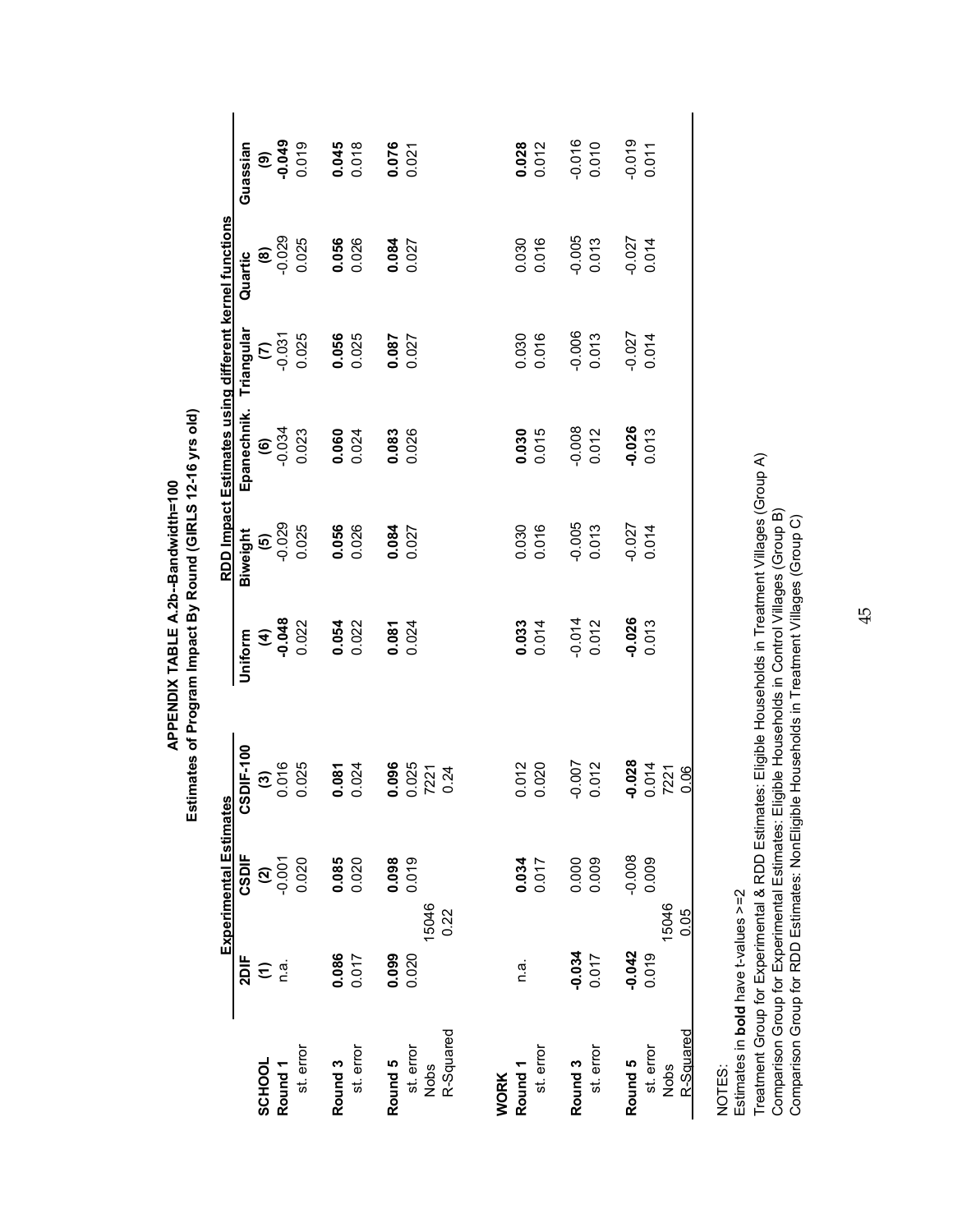| RLS 12-16 vr<br>å<br>ームキャンド<br>)<br>2<br>2<br>2<br>2<br>היהם אף ו<br>v Roun<br>ĺ<br>PPENDIX TABLE A.<br>π<br>ر<br>ا Pr<br>Ş |
|-----------------------------------------------------------------------------------------------------------------------------|
|-----------------------------------------------------------------------------------------------------------------------------|

|                                   |          | <b>Experimental Estimates</b> |                  |          |                   | RDD Impact Estimates using different kernel functions |            |               |          |
|-----------------------------------|----------|-------------------------------|------------------|----------|-------------------|-------------------------------------------------------|------------|---------------|----------|
|                                   | 2DF      | CSDIF                         | CSDIF-100        | Uniform  | Biweight          | Epanechnik.                                           | Triangular | Quartic       | Guassian |
| SCHOOL                            |          |                               |                  |          |                   |                                                       | E          | $\circledast$ | ම        |
| Round <sub>1</sub>                | Ξã       | $(2)$<br>$-0.001$             | $\frac{3}{2000}$ | 60.048   | $(5)$<br>$-0.029$ | $60^{0}$                                              | $-0.031$   | $-0.029$      | -0.049   |
| st. error                         |          | 0.020                         | 0.025            | 0.022    | 0.025             | 0.023                                                 | 0.025      | 0.025         | 0.019    |
| Round <sub>3</sub>                | 0.086    | 0.085                         | 0.081            | 0.054    | 0.056             | $0.060$<br>0.024                                      | 0.056      | 0.056         | 0.045    |
| st. error                         | 0.017    | 0.020                         | 0.024            | 0.022    | 0.026             |                                                       | 0.025      | 0.026         | 0.018    |
| Round 5                           | 0.099    | 0.098                         | 0.096            | 0.081    | 0.084             | 0.083                                                 | 0.087      | 0.084         | 0.076    |
| st. error                         | 0.020    |                               |                  | 0.024    | 0.027             | 0.026                                                 | 0.027      | 0.027         | 0.021    |
| Nobs                              | 15046    |                               | 0.025            |          |                   |                                                       |            |               |          |
| R-Squared                         | 0.22     |                               | 0.24             |          |                   |                                                       |            |               |          |
|                                   |          |                               |                  |          |                   |                                                       |            |               |          |
| Round <sub>1</sub><br><b>WORK</b> | n.a.     | 0.034                         | 0.012            | 0.033    | 0.030             | 0.030                                                 | 0.030      | 0.030         | 0.028    |
| st. error                         |          | 0.017                         | 0.020            | 0.014    | 0.016             | 0.015                                                 | 0.016      | 0.016         | 0.012    |
| Round <sub>3</sub>                | $-0.034$ | 0.000                         | $-0.007$         | $-0.014$ | $-0.005$          | $-0.008$                                              | $-0.006$   | $-0.005$      | $-0.016$ |
| st. error                         | 0.017    | 0.009                         | 0.012            | 0.012    | 0.013             | 0.012                                                 | 0.013      | 0.013         | 0.010    |
| Round 5                           | $-0.042$ | $-0.008$                      | $-0.028$         | $-0.026$ | $-0.027$          | $-0.026$                                              | $-0.027$   | $-0.027$      | $-0.019$ |
| st. error                         | 0.019    | 0.009                         | 0.014            | 0.013    | 0.014             | 0.013                                                 | 0.014      | 0.014         | 0.011    |
| <b>Nobs</b>                       | 15046    |                               | 7221             |          |                   |                                                       |            |               |          |
| R-Squared                         | 0.05     |                               | 0.06             |          |                   |                                                       |            |               |          |

NOTES:<br>Estimates in **bold** have t-values >=2 Estimates in **bold** have t-values >=2

Treatment Group for Experimental & RDD Estimates: Eligible Households in Treatment Villages (Group A)<br>Comparison Group for Experimental Estimates: Eligible Households in Control Villages (Group B)<br>Comparison Group for RDD Treatment Group for Experimental & RDD Estimates: Eligible Households in Treatment Villages (Group A) Comparison Group for Experimental Estimates: Eligible Households in Control Villages (Group B) Comparison Group for RDD Estimates: NonEligible Households in Treatment Villages (Group C)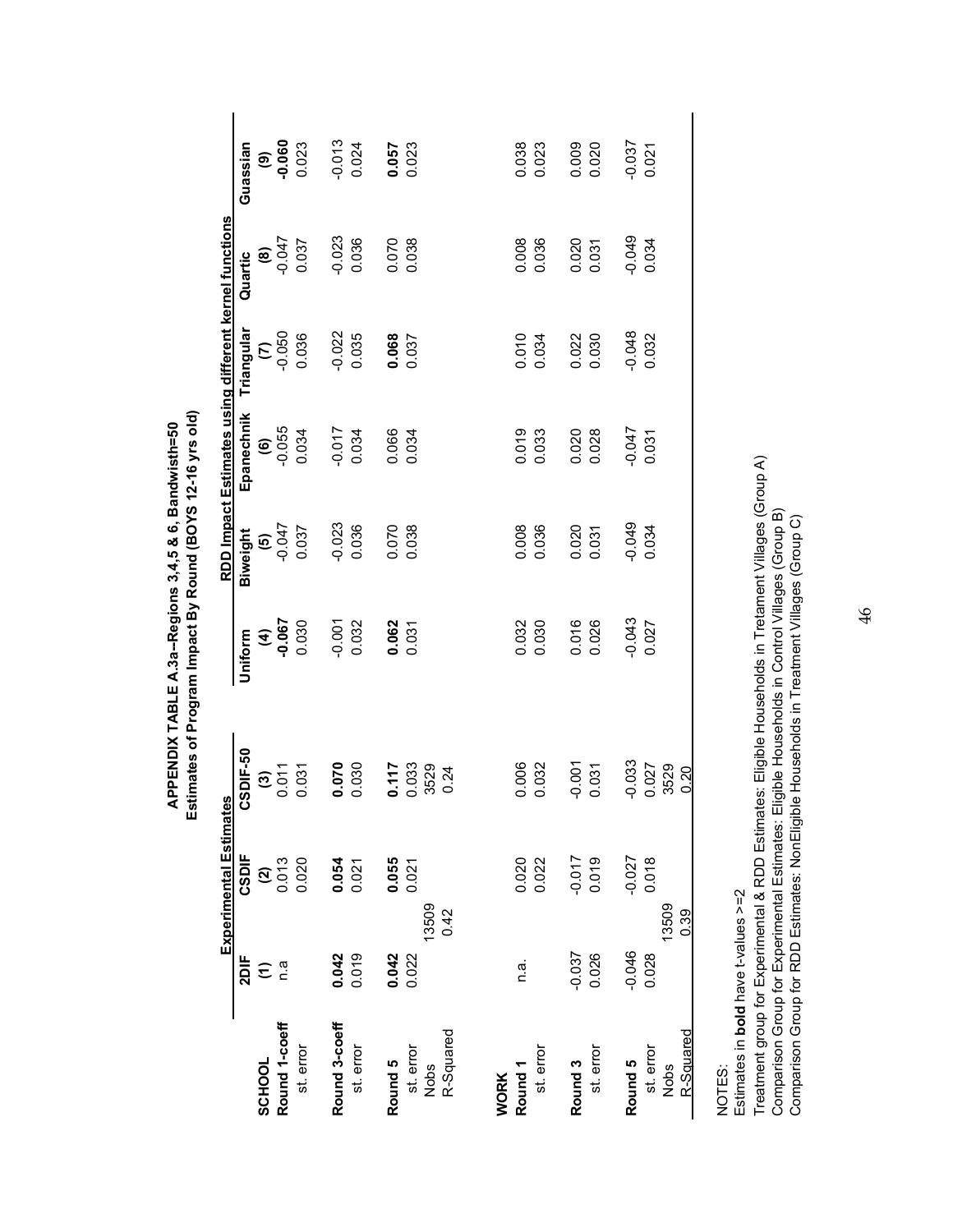|                    |                      | Experimental Estimates |                                        |                     |          | RDD Impact Estimates using different kernel functions                           |                   |          |                             |
|--------------------|----------------------|------------------------|----------------------------------------|---------------------|----------|---------------------------------------------------------------------------------|-------------------|----------|-----------------------------|
|                    | 2DIF                 | CSDIF                  | CSDIF-50                               | Uniform             | Biweight | Epanechnik                                                                      | Triangular        | Quartic  | Guassian                    |
| SCHOOL             | $\widehat{\epsilon}$ |                        |                                        | $(4)$<br>0.067      |          |                                                                                 |                   |          |                             |
| Round 1-coeff      | n.a                  | $\frac{2}{2}$          | $\overline{\mathbf{e}}_{\mathrm{opt}}$ |                     | $-0.047$ | $\begin{array}{c} \textbf{(6)} \\ \textbf{0.055} \\ \textbf{0.034} \end{array}$ | $\frac{2000}{20}$ | (8)      | <b>90.06</b><br>P<br>P<br>P |
| st. error          |                      | 0.020                  | 0.031                                  | 0.030               | 0.037    |                                                                                 | 0.036             | 0.037    | 0.023                       |
| Round 3-coeff      | 0.042                | 0.054                  | 0.070                                  | $-0.001$<br>$0.032$ | 0.023    | 0.034                                                                           | $-0.022$          | $-0.023$ | $-0.013$                    |
| st. error          | 0.019                |                        |                                        |                     | 0.036    |                                                                                 | 0.035             | 0.036    | 0.024                       |
| Round 5            | 0.042                | 0.055                  | 0.117                                  | 0.062               | 0.070    | 0.066                                                                           | 0.068             | 0.070    | 0.057                       |
| st. error          | 0.022                | 0.021                  | 0.033                                  | 0.031               | 0.038    | 0.034                                                                           | 0.037             | 0.038    | 0.023                       |
| R-Squared<br>Nobs  | 13509<br>0.42        |                        | 3529<br>0.24                           |                     |          |                                                                                 |                   |          |                             |
| <b>WORK</b>        |                      |                        |                                        |                     |          |                                                                                 |                   |          |                             |
| Round <sub>1</sub> | n.a.                 | 0.020                  | 0.006                                  | 0.032               | 0.008    |                                                                                 | 0.010             | 0.008    | 0.038                       |
| st. error          |                      | 0.022                  | 0.032                                  | 0.030               | 0.036    | 0.019<br>0.033                                                                  | 0.034             | 0.036    | 0.023                       |
| Round <sub>3</sub> | $-0.037$             | $-0.017$               | $-0.001$                               | 0.016               | 0.020    | 0.020<br>0.028                                                                  | 0.022             | 0.020    | 0.009                       |
| st. error          | 0.026                | 0.019                  | 0.031                                  | 0.026               | 0.031    |                                                                                 |                   | 0.031    | 0.020                       |
| Round 5            | $-0.046$             | $-0.027$               | $-0.033$                               | $-0.043$            | $-0.049$ | $-0.047$                                                                        | $-0.048$          | $-0.049$ | $-0.037$                    |
| st. error          | 0.028                | 0.018                  | 0.027                                  | 0.027               | 0.034    | 0.031                                                                           | 0.032             | 0.034    | 0.021                       |
| <b>Nobs</b>        | 13509                |                        | 3529                                   |                     |          |                                                                                 |                   |          |                             |
| R-Squared          | 0.39                 |                        | 0.20                                   |                     |          |                                                                                 |                   |          |                             |

NOTES:<br>Estimates in **bold** have t-values >=2 Estimates in **bold** have t-values >=2

Treatment group for Experimental & RDD Estimates: Eligible Households in Tretament Villages (Group A)<br>Comparison Group for Experimental Estimates: Eligible Households in Control Villages (Group B)<br>Comparison Group for RDD Treatment group for Experimental & RDD Estimates: Eligible Households in Tretament Villages (Group A) Comparison Group for Experimental Estimates: Eligible Households in Control Villages (Group B) Comparison Group for RDD Estimates: NonEligible Households in Treatment Villages (Group C)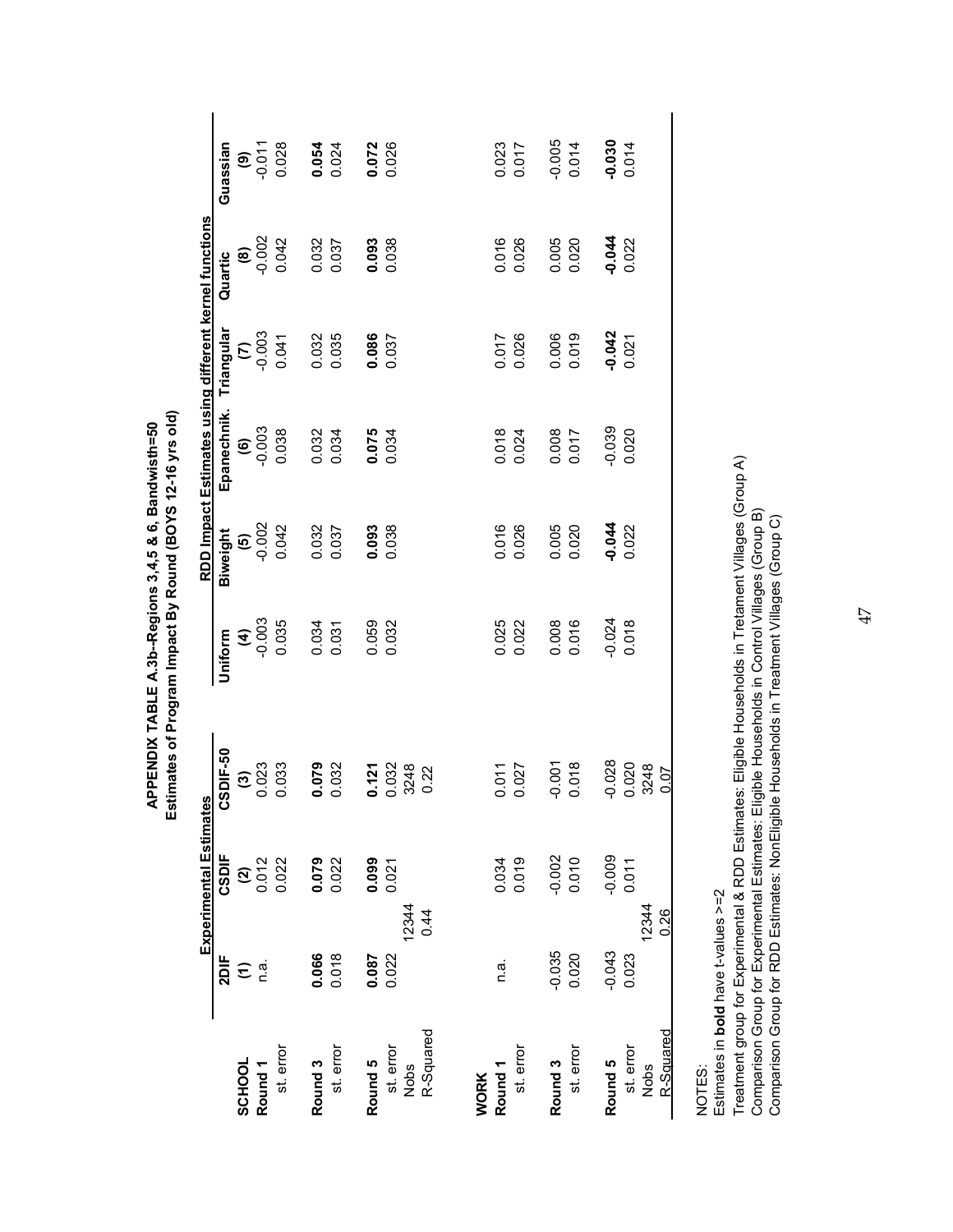|                    |                  | Experimental Estimate | U)             |             |                   | RDD Impact Estimates using different kernel functions |                  |                   |                   |
|--------------------|------------------|-----------------------|----------------|-------------|-------------------|-------------------------------------------------------|------------------|-------------------|-------------------|
| SCHOOL             | 2DIF             | CSDIF                 | SDIF-50        | Uniform     | Biweight          | Epanechnik.                                           | Triangular       | Quartic           | Guassian          |
| Round <sub>1</sub> | e<br>€ ä         | $\frac{2}{3}$         | $\frac{3}{20}$ | $rac{4}{4}$ | $(5)$<br>$-0.002$ | $6000 - 0.003$                                        | $rac{1000}{(2)}$ | $(8)$<br>$-0.002$ | $-5.001$          |
| st. error          |                  | 0.022                 | 0.033          | 0.035       | 0.042             | 0.038                                                 | 0.041            | 0.042             | 0.028             |
| Round 3            | 0.066            | $0.079$<br>$0.022$    | 0.079          | 0.034       | 0.032             | 0.032                                                 |                  | 0.032             |                   |
| st. error          | 0.018            |                       | 0.032          | 0.031       | 0.037             |                                                       | 0.032<br>0.035   | 0.037             | 0.054             |
| Round 5            | $0.087$<br>0.022 | $0.099$<br>$0.021$    | 0.121          | 0.059       | 0.093             | $0.075$<br>0.034                                      | 0.086            | 0.093             | 0.072             |
| st. error          |                  |                       |                | 0.032       | 0.038             |                                                       |                  |                   |                   |
| Nobs               | 12344            |                       | 0.032<br>3248  |             |                   |                                                       |                  |                   |                   |
| R-Squared          | 0.44             |                       | 0.22           |             |                   |                                                       |                  |                   |                   |
| <b>WORK</b>        |                  |                       |                |             |                   |                                                       |                  |                   |                   |
| Round <sub>1</sub> | n.a.             | 0.034                 | 0.011          | 0.025       | 0.016             | 0.018                                                 | 0.017            | 0.016             | 0.023             |
| st. error          |                  | 0.019                 | 0.027          | 0.022       | 0.026             | 0.024                                                 | 0.026            | 0.026             | 0.017             |
| Round 3            | $-0.035$         | $-0.002$              | $-0.001$       | 0.008       | 0.005             | 0.008<br>0.017                                        | 0.006<br>0.019   | 0.005             | $-0.005$          |
| st. error          | 0.020            | 0.010                 | 0.018          | 0.016       | 0.020             |                                                       |                  | 0.020             | 0.014             |
| Round 5            | $-0.043$         | $-0.009$              | $-0.028$       | $-0.024$    | $-0.044$          | $-0.039$                                              | $-0.042$         | 0.044             | $-0.030$<br>0.014 |
| st. error          | 0.023            | 0.011                 | 0.020          | 0.018       | 0.022             | 0.020                                                 | 0.021            | 0.022             |                   |
| Nobs               | 12344            |                       | 3248           |             |                   |                                                       |                  |                   |                   |
| <u>R-Squared</u>   | 0.26             |                       | 0.07           |             |                   |                                                       |                  |                   |                   |
|                    |                  |                       |                |             |                   |                                                       |                  |                   |                   |

NOTES: NOTES:

Estimates in bold have t-values >=2 Estimates in **bold** have t-values >=2

Treatment group for Experimental & RDD Estimates: Eligible Households in Tretament Villages (Group A)<br>Comparison Group for Experimental Estimates: Eligible Households in Control Villages (Group B)<br>Comparison Group for RDD Treatment group for Experimental & RDD Estimates: Eligible Households in Tretament Villages (Group A) Comparison Group for Experimental Estimates: Eligible Households in Control Villages (Group B) Comparison Group for RDD Estimates: NonEligible Households in Treatment Villages (Group C)